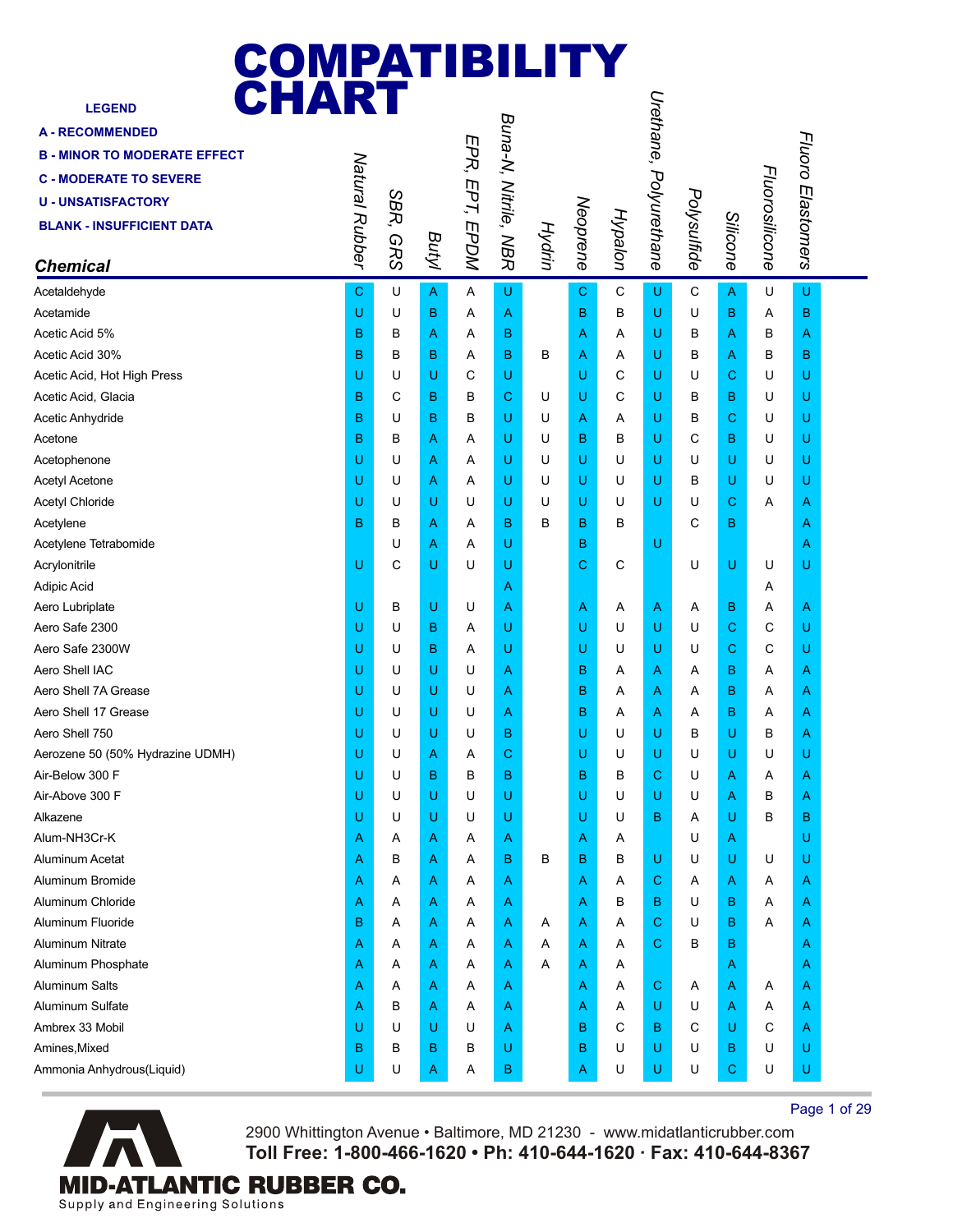| <b>COMPATIBILITY<br/>CHART</b>      |                |            |       |                |                      |        |             |         |                        |             |              |                |                   |  |
|-------------------------------------|----------------|------------|-------|----------------|----------------------|--------|-------------|---------|------------------------|-------------|--------------|----------------|-------------------|--|
| <b>LEGEND</b>                       |                |            |       |                |                      |        |             |         | Urethane, Polyurethane |             |              |                |                   |  |
| <b>A-RECOMMENDED</b>                |                |            |       |                |                      |        |             |         |                        |             |              |                |                   |  |
| <b>B - MINOR TO MODERATE EFFECT</b> |                |            |       |                |                      |        |             |         |                        |             |              |                |                   |  |
| <b>C - MODERATE TO SEVERE</b>       |                |            |       |                |                      |        |             |         |                        |             |              |                |                   |  |
| <b>U - UNSATISFACTORY</b>           |                |            |       |                |                      |        |             |         |                        |             |              |                |                   |  |
| <b>BLANK - INSUFFICIENT DATA</b>    |                | SBR,       |       |                |                      |        |             |         |                        |             |              |                |                   |  |
|                                     |                |            |       |                |                      |        |             |         |                        |             |              |                |                   |  |
| <b>Chemical</b>                     | Natural Rubber | <b>GRS</b> | Butyl | EPR, EPT, EPDM | Buna-N, Nitrile, NBR | Hydrin | Neoprene    | Hypalon |                        | Polysulfide | Silicone     | Fluorosilicone | Fluoro Elastomers |  |
| Acetaldehyde                        | С              | U          | A     | Α              | U                    |        | $\mathbf C$ | C       | U                      | C           | $\mathsf{A}$ | U              | U                 |  |
| Acetamide                           | U              | U          | В     | A              | A                    |        | B           | В       | U                      | U           | в            | Α              | в                 |  |
| Acetic Acid 5%                      | в              | в          | Α     | A              | B                    |        | A           | A       | U                      | B           | Α            | в              | A                 |  |
| Acetic Acid 30%                     | B              | в          | В     | A              | B                    | В      | Α           | A       | U                      | в           | A            | в              | в                 |  |
| Acetic Acid, Hot High Press         | U              | U          | U     | C              | U                    |        | U           | С       | U                      | U           | C            | U              | U                 |  |
| Acetic Acid, Glacia                 | в              | С          | В     | в              | С                    | U      | U           | С       | U                      | B           | В            | U              | U                 |  |
| Acetic Anhydride                    | в              | U          | В     | в              | U                    | U      | Α           | Α       | U                      | B           | C            | U              | U                 |  |
| Acetone                             | B              | В          | Α     | Α              | U                    | U      | в           | В       | U                      | C           | В            | U              | U                 |  |
| Acetophenone                        | U              | U          | Α     | Α              | U                    | U      | U           | U       | U                      | U           | U            | U              | U                 |  |
| <b>Acetyl Acetone</b>               | U              | U          | Α     | Α              | U                    | U      | U           | U       | U                      | в           | U            | U              | U                 |  |
| Acetyl Chloride                     | U              | U          | U     | U              | U                    | U      | U           | U       | U                      | U           | С            | A              | Α                 |  |
| Acetylene                           | в              | в          | Α     | Α              | в                    | в      | в           | в       |                        | C           | B            |                | Α                 |  |
| Acetylene Tetrabomide               |                | U          | Α     | Α              | U                    |        | B           |         | U                      |             |              |                | Α                 |  |
| Acrylonitrile                       | U              | C          | U     | U              | U                    |        | C           | С       |                        | U           | U            | U              | U                 |  |
| Adipic Acid                         |                |            |       |                | Α                    |        |             |         |                        |             |              | Α              |                   |  |
| Aero Lubriplate                     | U              | в          | U     | U              | A                    |        | Α           | A       | $\mathsf{A}$           | Α           | В            | Α              | A                 |  |
| Aero Safe 2300                      | U              | U          | В     | Α              | U                    |        | U           | U       | U                      | U           | C            | С              | U                 |  |
| Aero Safe 2300W                     | U              | U          | В     | A              | U                    |        | U           | U       | U                      | U           | C            | C              | U                 |  |
| Aero Shell IAC                      | U              | U          | U     | U              | Α                    |        | в           | A       | Α                      | A           | B            | A              | Α                 |  |
| Aero Shell 7A Grease                | U              | U          | U     | U              | A                    |        | в           | A       | A                      | Α           | B            | Α              | A                 |  |
| Aero Shell 17 Grease                | U              | U          | U     | U              | Α                    |        | B           | Α       | Α                      | Α           | в            | Α              | Α                 |  |
| Aero Shell 750                      | U              | U          | U     | U              | B                    |        | U           | U       | U                      | B           | U            | в              | Α                 |  |
| Aerozene 50 (50% Hydrazine UDMH)    | U              | U          | Α     | Α              | C                    |        | U           | U       | U                      | U           | U            | U              | U                 |  |
| Air-Below 300 F                     | U              | U          | В     | в              | в                    |        | в           | В       | $\mathbf C$            | U           | A            | Α              | A                 |  |
| Air-Above 300 F                     | U              | U          | U     | U              | U                    |        | U           | U       | U                      | U           | Α            | В              | Α                 |  |
| Alkazene                            | U              | U          | U     | U              | U                    |        | U           | U       | в                      | Α           | U            | B              | в                 |  |
| Alum-NH3Cr-K                        | Α              | Α          | Α     | Α              | Α                    |        | Α           | A       |                        | U           | Α            |                | U                 |  |
| <b>Aluminum Acetat</b>              | Α              | в          | Α     | Α              | в                    | B      | в           | в       | U                      | U           | U            | U              | U                 |  |
| Aluminum Bromide                    | Α              | Α          | Α     | Α              | A                    |        | Α           | A       | $\mathbf C$            | Α           | Α            | Α              | A                 |  |
| Aluminum Chloride                   | Α              | Α          | Α     | Α              | A                    |        | Α           | В       | B                      | U           | в            | Α              | A                 |  |
| Aluminum Fluoride                   | в              | Α          | Α     | Α              | Α                    | A      | A           | A       | $\mathbf C$            | U           | в            | Α              | A                 |  |
| <b>Aluminum Nitrate</b>             | Α              | Α          | Α     | Α              | A                    | Α      | Α           | A       | $\mathbf C$            | в           | B            |                | A                 |  |
| Aluminum Phosphate                  | Α              | Α          | Α     | Α              | A                    | Α      | Α           | A       |                        |             | A            |                | Α                 |  |
| <b>Aluminum Salts</b>               | Α              | Α          | Α     | Α              | A                    |        | Α           | A       | $\mathbf C$            | A           | Α            | Α              | A                 |  |
| Aluminum Sulfate                    | Α              | в          | Α     | Α              | A                    |        | Α           | A       | U                      | U           | Α            | Α              | A                 |  |
| Ambrex 33 Mobil                     | U              | U          | U     | U              | A                    |        | в           | С       | в                      | C           | U            | С              | A                 |  |
| Amines, Mixed                       | В              | В          | В     | В              | U                    |        | B           | U       | U                      | U           | В            | U              | U                 |  |
| Ammonia Anhydrous(Liquid)           | U              | U          | A     | A              | B                    |        | А           | U       | U                      | U           | C            | U              | U                 |  |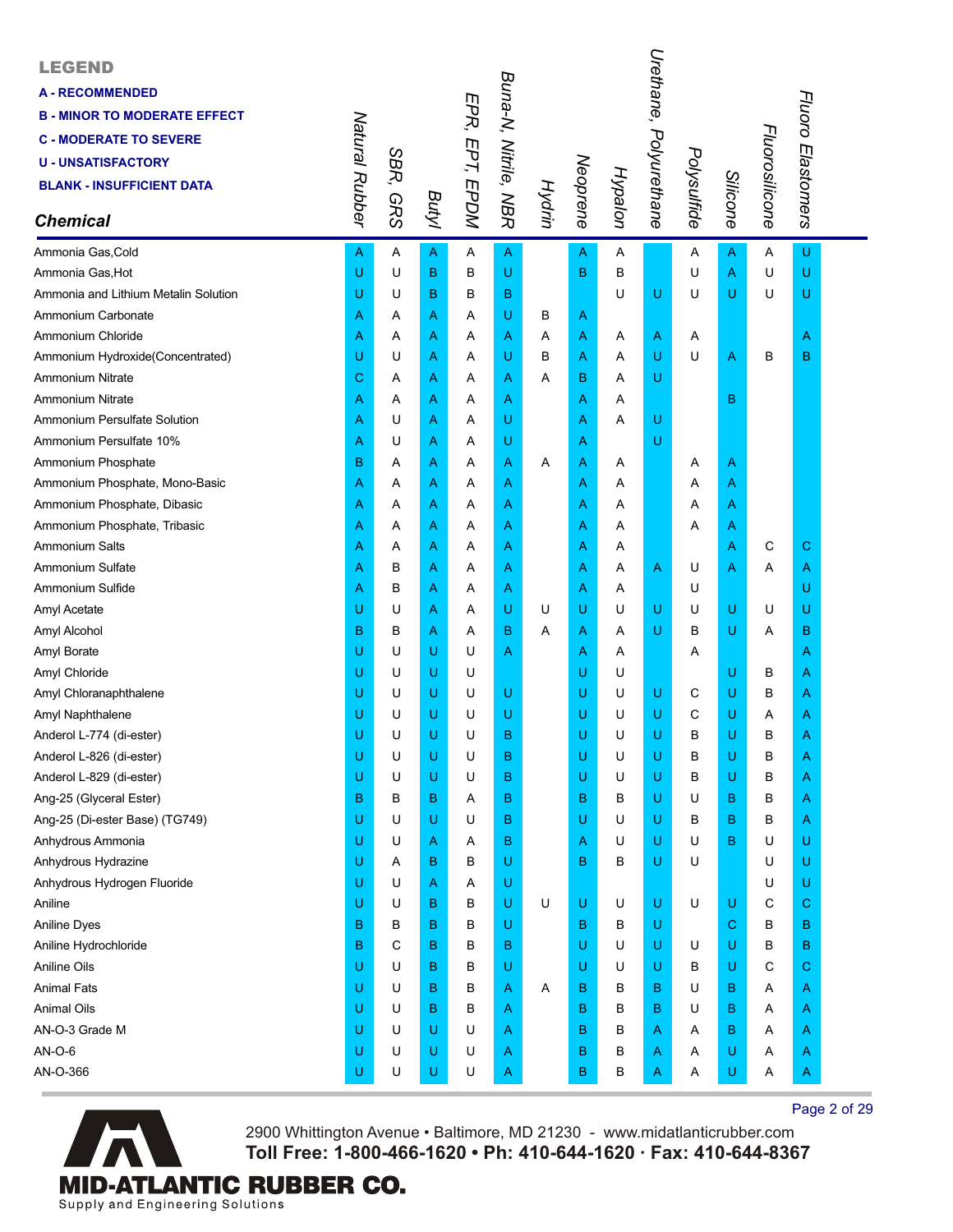| <b>LEGEND</b><br><b>A-RECOMMENDED</b><br><b>B - MINOR TO MODERATE EFFECT</b><br><b>C - MODERATE TO SEVERE</b><br><b>U - UNSATISFACTORY</b><br><b>BLANK - INSUFFICIENT DATA</b><br><b>Chemical</b> | Natural Rubber | SBR,<br><b>GRS</b> | Butyl        | EPR, EPT, EPDM | Buna-N, Nitrile, NBR | <b>Hydrin</b> | Neoprene | Hypalon | Urethane,<br>Polyurethane | Polysulfide | Silicone                                                                                                   | Fluorosilicone | Fluoro Elastomers |  |
|---------------------------------------------------------------------------------------------------------------------------------------------------------------------------------------------------|----------------|--------------------|--------------|----------------|----------------------|---------------|----------|---------|---------------------------|-------------|------------------------------------------------------------------------------------------------------------|----------------|-------------------|--|
| Ammonia Gas, Cold                                                                                                                                                                                 | A              | Α                  | $\mathsf{A}$ | Α              | $\overline{A}$       |               | A        | Α       |                           | A           | $\mathsf A$                                                                                                | Α              | U                 |  |
| Ammonia Gas, Hot                                                                                                                                                                                  | U              | U                  | B            | B              | U                    |               | B        | B       |                           | U           | $\boldsymbol{\mathsf{A}}$                                                                                  | U              | U                 |  |
| Ammonia and Lithium Metalin Solution                                                                                                                                                              | U              | U                  | B            | В              | B                    |               |          | U       | U                         | U           | U                                                                                                          | U              | U                 |  |
| Ammonium Carbonate                                                                                                                                                                                | Α              | A                  | Α            | Α              | U                    | в             | Α        |         |                           |             |                                                                                                            |                |                   |  |
| Ammonium Chloride                                                                                                                                                                                 | Α              | A                  | Α            | Α              | Α                    | A             | Α        | Α       | A                         | Α           |                                                                                                            |                | A                 |  |
| Ammonium Hydroxide(Concentrated)                                                                                                                                                                  | U              | U                  | Α            | Α              | U                    | B             | Α        | Α       | U                         | U           | A                                                                                                          | в              | B                 |  |
| <b>Ammonium Nitrate</b>                                                                                                                                                                           | C              | Α                  | Α            | Α              | Α                    | A             | в        | Α       | U                         |             |                                                                                                            |                |                   |  |
| <b>Ammonium Nitrate</b>                                                                                                                                                                           | Α              | A                  | Α            | Α              | A                    |               | Α        | Α       |                           |             | в                                                                                                          |                |                   |  |
| Ammonium Persulfate Solution                                                                                                                                                                      | Α              | U                  | Α            | Α              | U                    |               | A        | Α       | U                         |             |                                                                                                            |                |                   |  |
| Ammonium Persulfate 10%                                                                                                                                                                           | Α              | U                  | Α            | Α              | U                    |               | Α        |         | U                         |             |                                                                                                            |                |                   |  |
| Ammonium Phosphate                                                                                                                                                                                | B              | Α                  | A            | Α              | Α                    | Α             | Α        | Α       |                           | A           | $\overline{A}$                                                                                             |                |                   |  |
| Ammonium Phosphate, Mono-Basic                                                                                                                                                                    | Α              | A                  | Α            | Α              | A                    |               | Α        | Α       |                           | Α           | $\overline{A}$                                                                                             |                |                   |  |
| Ammonium Phosphate, Dibasic                                                                                                                                                                       | Α              | A                  | Α            | Α              | Α                    |               | Α        | Α       |                           | Α           | $\overline{A}$                                                                                             |                |                   |  |
| Ammonium Phosphate, Tribasic                                                                                                                                                                      | Α              | A                  | Α            | Α              | Α                    |               | A        | Α       |                           | Α           | $\overline{A}$                                                                                             |                |                   |  |
| Ammonium Salts                                                                                                                                                                                    | Α              | Α                  | Α            | Α              | Α                    |               | Α        | Α       |                           |             | A                                                                                                          | С              | С                 |  |
| Ammonium Sulfate                                                                                                                                                                                  | Α              | B                  | Α            | Α              | A                    |               | Α        | Α       | A                         | U           | $\overline{A}$                                                                                             | Α              | A                 |  |
| Ammonium Sulfide                                                                                                                                                                                  | Α              | в                  | Α            | Α              | Α                    |               | Α        | Α       |                           | U           |                                                                                                            |                | U                 |  |
| Amyl Acetate                                                                                                                                                                                      | U              | U                  | Α            | Α              | U                    | U             | U        | U       | U                         | U           | $\mathsf{U}% _{T}=\mathsf{U}_{T}\!\left( a,b\right) ,\ \mathsf{U}_{T}=\mathsf{U}_{T}\!\left( a,b\right) ,$ | U              | U                 |  |
| Amyl Alcohol                                                                                                                                                                                      | B              | в                  | Α            | Α              | B                    | Α             | Α        | Α       | U                         | В           | U                                                                                                          | Α              | в                 |  |
| Amyl Borate                                                                                                                                                                                       | U              | U                  | U            | U              | A                    |               | Α        | Α       |                           | Α           |                                                                                                            |                | A                 |  |
| Amyl Chloride                                                                                                                                                                                     | U              | U                  | U            | U              |                      |               | U        | U       |                           |             | U                                                                                                          | в              | A                 |  |
| Amyl Chloranaphthalene                                                                                                                                                                            | U              | U                  | U            | U              | $\cup$               |               | U        | U       | U                         | С           | $\mathsf{U}% _{T}=\mathsf{U}_{T}\!\left( a,b\right) ,\ \mathsf{U}_{T}=\mathsf{U}_{T}\!\left( a,b\right) ,$ | в              | A                 |  |
| Amyl Naphthalene                                                                                                                                                                                  | U              | U                  | U            | U              | U                    |               | U        | U       | U                         | С           | U                                                                                                          | Α              | Α                 |  |
| Anderol L-774 (di-ester)                                                                                                                                                                          | U              | U                  | U            | U              | B                    |               | U        | U       | U                         | В           | U                                                                                                          | B              | A                 |  |
| Anderol L-826 (di-ester)                                                                                                                                                                          | U              | U                  | U            | U              | в                    |               | U        | U       | U                         | B           | U                                                                                                          | B              | A                 |  |
| Anderol L-829 (di-ester)                                                                                                                                                                          | U              | U                  | U            | U              | в                    |               | U        | U       | U                         | В           | U                                                                                                          | B              | Α                 |  |
| Ang-25 (Glyceral Ester)                                                                                                                                                                           | B              | B                  | B            | Α              | в                    |               | B        | B       | U                         | U           | B                                                                                                          | в              | Α                 |  |
| Ang-25 (Di-ester Base) (TG749)                                                                                                                                                                    | U              | U                  | U            | U              | в                    |               | U        | U       | U                         | В           | В                                                                                                          | в              | A                 |  |
| Anhydrous Ammonia                                                                                                                                                                                 | U              | U                  | Α            | Α              | в                    |               | Α        | U       | U                         | U           | B                                                                                                          | U              | U                 |  |
| Anhydrous Hydrazine                                                                                                                                                                               | U              | Α                  | B            | B              | U                    |               | B        | В       | U                         | U           |                                                                                                            | U              | U                 |  |
| Anhydrous Hydrogen Fluoride                                                                                                                                                                       | U              | U                  | Α            | Α              | U                    |               |          |         |                           |             |                                                                                                            | U              | U                 |  |
| Aniline                                                                                                                                                                                           | U              | U                  | B            | В              | U                    | U             | U        | U       | U                         | U           | $\mathsf{U}% _{T}=\mathsf{U}_{T}\!\left( a,b\right) ,\ \mathsf{U}_{T}=\mathsf{U}_{T}\!\left( a,b\right) ,$ | C              | C.                |  |
| <b>Aniline Dyes</b>                                                                                                                                                                               | B              | B                  | B            | B              | U                    |               | B        | в       | U                         |             | $\mathbf C$                                                                                                | В              | B                 |  |
| Aniline Hydrochloride                                                                                                                                                                             | B              | C                  | B            | B              | в                    |               | U        | U       | U                         | U           | U                                                                                                          | B              | в                 |  |
| Aniline Oils                                                                                                                                                                                      | U              | U                  | B            | B              | U                    |               | U        | U       | U                         | В           | U                                                                                                          | C              | С                 |  |
| <b>Animal Fats</b>                                                                                                                                                                                | U              | U                  | B            | B              | Α                    | Α             | в        | в       | B                         | U           | в                                                                                                          | Α              | Α                 |  |
| <b>Animal Oils</b>                                                                                                                                                                                | U              | U                  | B            | В              | Α                    |               | B        | В       | в                         | U           | B                                                                                                          | Α              | Α                 |  |
| AN-O-3 Grade M                                                                                                                                                                                    | U              | U                  | U            | U              | Α                    |               | B        | В       | A                         | Α           | B                                                                                                          | Α              | A                 |  |
| AN-O-6                                                                                                                                                                                            | U              | U                  | U            | U              | A                    |               | B        | В       | A                         | Α           | U                                                                                                          | Α              | A                 |  |
| AN-O-366                                                                                                                                                                                          | U              | U                  | U            | U              | Α                    |               | в        | В       | A                         | Α           | U                                                                                                          | Α              | A                 |  |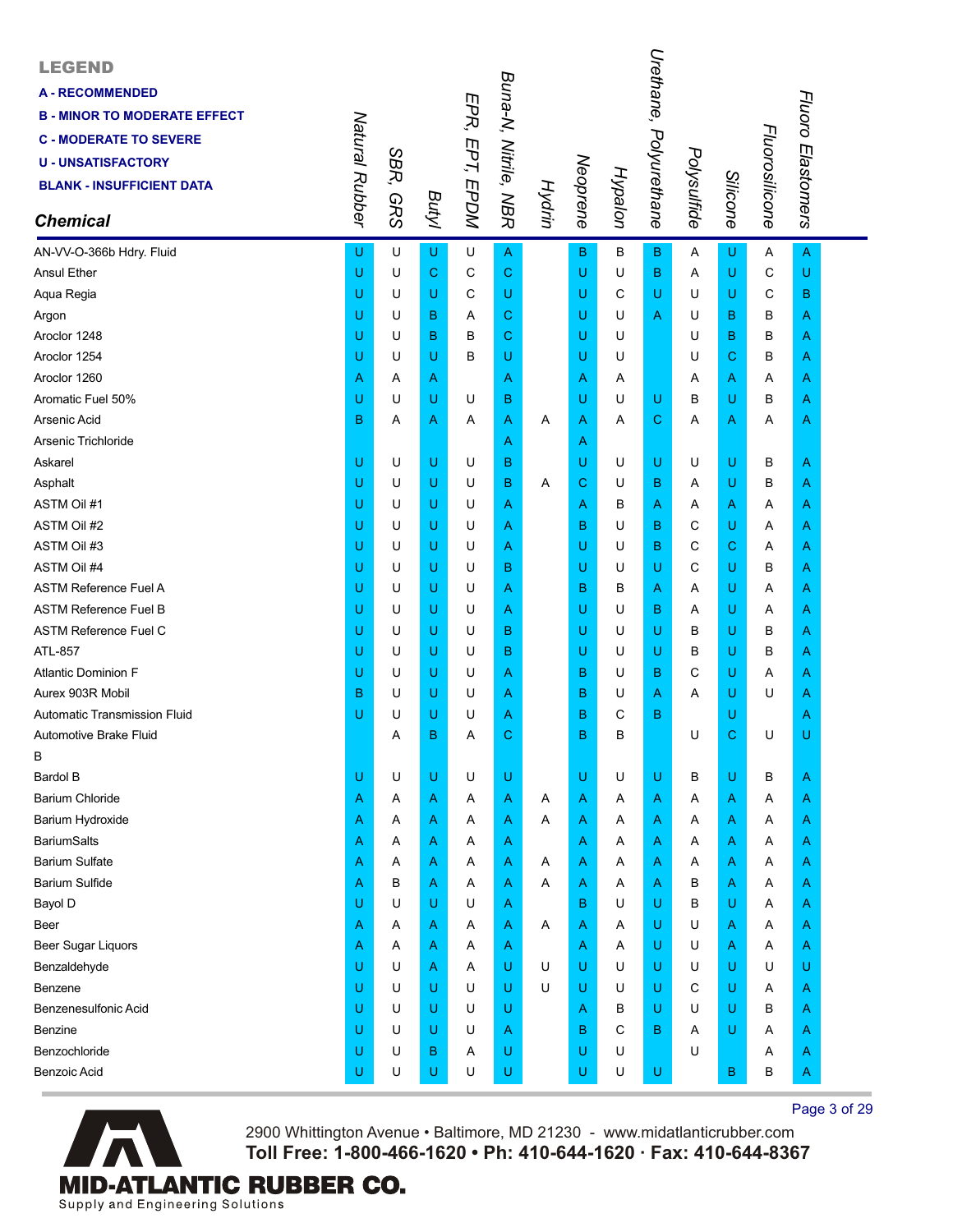| <b>LEGEND</b><br><b>A-RECOMMENDED</b><br><b>B - MINOR TO MODERATE EFFECT</b><br><b>C - MODERATE TO SEVERE</b><br><b>U - UNSATISFACTORY</b><br><b>BLANK - INSUFFICIENT DATA</b><br><b>Chemical</b> | Natural Rubber | SBR,<br><b>GRS</b> | Butyl       | EPR, EPT, EPDM | Buna-N, Nitrile, NBR | Hydrin | Neoprene    | Hypalon | Urethane, Polyurethane | Polysulfide | Silicone | Fluorosilicone | Fluoro Elastomers |  |
|---------------------------------------------------------------------------------------------------------------------------------------------------------------------------------------------------|----------------|--------------------|-------------|----------------|----------------------|--------|-------------|---------|------------------------|-------------|----------|----------------|-------------------|--|
| AN-VV-O-366b Hdry. Fluid                                                                                                                                                                          | U              | U                  | U           | U              | A                    |        | B           | В       | B                      | Α           | U        | Α              | A                 |  |
| <b>Ansul Ether</b>                                                                                                                                                                                | U              | U                  | $\mathbf C$ | C              | C                    |        | U           | U       | в                      | Α           | U        | C              | U                 |  |
| Aqua Regia                                                                                                                                                                                        | U              | U                  | U           | С              | U                    |        | U           | С       | U                      | U           | U        | С              | в                 |  |
| Argon                                                                                                                                                                                             | U              | U                  | B           | Α              | С                    |        | U           | U       | Α                      | U           | B        | B              | Α                 |  |
| Aroclor 1248                                                                                                                                                                                      | U              | U                  | в           | в              | С                    |        | U           | U       |                        | U           | B        | B              | Α                 |  |
| Aroclor 1254                                                                                                                                                                                      | U              | U                  | U           | в              | U                    |        | U           | U       |                        | U           | C        | B              | Α                 |  |
| Aroclor 1260                                                                                                                                                                                      | Α              | A                  | Α           |                | A                    |        | A           | A       |                        | A           | Α        | Α              | Α                 |  |
| Aromatic Fuel 50%                                                                                                                                                                                 | U              | U                  | U           | U              | в                    |        | U           | U       | U                      | в           | U        | B              | A                 |  |
| Arsenic Acid                                                                                                                                                                                      | в              | Α                  | A           | Α              | Α                    | Α      | A           | Α       | С                      | Α           | Α        | Α              | Α                 |  |
| Arsenic Trichloride                                                                                                                                                                               |                |                    |             |                | A                    |        | A           |         |                        |             |          |                |                   |  |
| Askarel                                                                                                                                                                                           | U              | U                  | U           | U              | в                    |        | U           | U       | U                      | U           | U        | В              | Α                 |  |
| Asphalt                                                                                                                                                                                           | U              | U                  | U           | U              | в                    | Α      | $\mathbf C$ | U       | В                      | A           | U        | в              | A                 |  |
| <b>ASTM Oil #1</b>                                                                                                                                                                                | U              | U                  | U           | U              | A                    |        | A           | В       | Α                      | Α           | Α        | Α              | Α                 |  |
| ASTM Oil #2                                                                                                                                                                                       | U              | U                  | U           | U              | Α                    |        | B           | U       | в                      | С           | U        | A              | Α                 |  |
| ASTM Oil #3                                                                                                                                                                                       | U              | U                  | U           | U              | A                    |        | U           | U       | в                      | С           | С        | Α              | Α                 |  |
| ASTM Oil #4                                                                                                                                                                                       | U              | U                  | U           | U              | в                    |        | U           | U       | U                      | С           | U        | B              | A                 |  |
| <b>ASTM Reference Fuel A</b>                                                                                                                                                                      | U              | U                  | U           | U              | A                    |        | в           | в       | Α                      | Α           | U        | Α              | Α                 |  |
| <b>ASTM Reference Fuel B</b>                                                                                                                                                                      | U              | U                  | U           | U              | Α                    |        | U           | U       | в                      | Α           | U        | A              | Α                 |  |
| <b>ASTM Reference Fuel C</b>                                                                                                                                                                      | U              | U                  | U           | U              | в                    |        | U           | U       | U                      | в           | U        | B              | A                 |  |
| ATL-857                                                                                                                                                                                           | U              | U                  | U           | U              | в                    |        | U           | U       | U                      | в           | U        | B              | A                 |  |
| <b>Atlantic Dominion F</b>                                                                                                                                                                        | U              | U                  | U           | U              | A                    |        | B           | U       | В                      | С           | U        | Α              | Α                 |  |
| Aurex 903R Mobil                                                                                                                                                                                  | B              | U                  | U           | U              | A                    |        | B           | U       | Α                      | A           | U        | U              | Α                 |  |
| Automatic Transmission Fluid                                                                                                                                                                      | U              | U                  | U           | U              | Α                    |        | B           | С       | в                      |             | U        |                | Α                 |  |
| Automotive Brake Fluid                                                                                                                                                                            |                | A                  | B           | Α              | С                    |        | B           | В       |                        | U           | C        | U              | U                 |  |
| B                                                                                                                                                                                                 |                |                    |             |                |                      |        |             |         |                        |             |          |                |                   |  |
| <b>Bardol B</b>                                                                                                                                                                                   | U              | U                  | U           | U              | U                    |        | U           | U       | U                      | B           | U        | B              | Α                 |  |
| Barium Chloride                                                                                                                                                                                   | Α              | A                  | Α           | Α              | Α                    | Α      | A           | A       | Α                      | A           | Α        | Α              | A                 |  |
| Barium Hydroxide                                                                                                                                                                                  | A              | A                  | Α           | A              | Α                    | A      | A           | Α       | Α                      | A           | Α        | A              | Α                 |  |
| <b>BariumSalts</b>                                                                                                                                                                                | Α              | Α                  | Α           | Α              | A                    |        | A           | Α       | A                      | Α           | Α        | Α              | Α                 |  |
| <b>Barium Sulfate</b>                                                                                                                                                                             | Α              | Α                  | Α           | Α              | A                    | A      | A           | Α       | Α                      | Α           | Α        | Α              | Α                 |  |
| <b>Barium Sulfide</b>                                                                                                                                                                             | Α              | в                  | Α           | Α              | A                    | A      | A           | Α       | Α                      | в           | Α        | Α              | Α                 |  |
| Bayol D                                                                                                                                                                                           | U              | U                  | U           | U              | Α                    |        | в           | U       | U                      | B           | U        | A              | A                 |  |
| Beer                                                                                                                                                                                              | Α              | A                  | Α           | Α              | A                    | Α      | A           | Α       | U                      | U           | A        | Α              | Α                 |  |
| <b>Beer Sugar Liquors</b>                                                                                                                                                                         | Α              | Α                  | Α           | Α              | A                    |        | A           | Α       | U                      | U           | A        | Α              | Α                 |  |
| Benzaldehyde                                                                                                                                                                                      | U              | U                  | Α           | Α              | U                    | U      | U           | U       | U                      | U           | U        | U              | U                 |  |
| Benzene                                                                                                                                                                                           | U              | U                  | U           | U              | U                    | U      | U           | U       | U                      | С           | U        | A              | Α                 |  |
| Benzenesulfonic Acid                                                                                                                                                                              | U              | U                  | U           | U              | U                    |        | A           | в       | U                      | U           | U        | B              | Α                 |  |
| Benzine                                                                                                                                                                                           | U              | U                  | U           | U              | Α                    |        | B           | С       | в                      | A           | U        | A              | Α                 |  |
| Benzochloride                                                                                                                                                                                     | U              | U                  | В           | Α              | U                    |        | U           | U       |                        | U           |          | Α              | A                 |  |
| <b>Benzoic Acid</b>                                                                                                                                                                               | U              | U                  | U           | U              | U                    |        | U           | U       | U                      |             | B        | В              | A                 |  |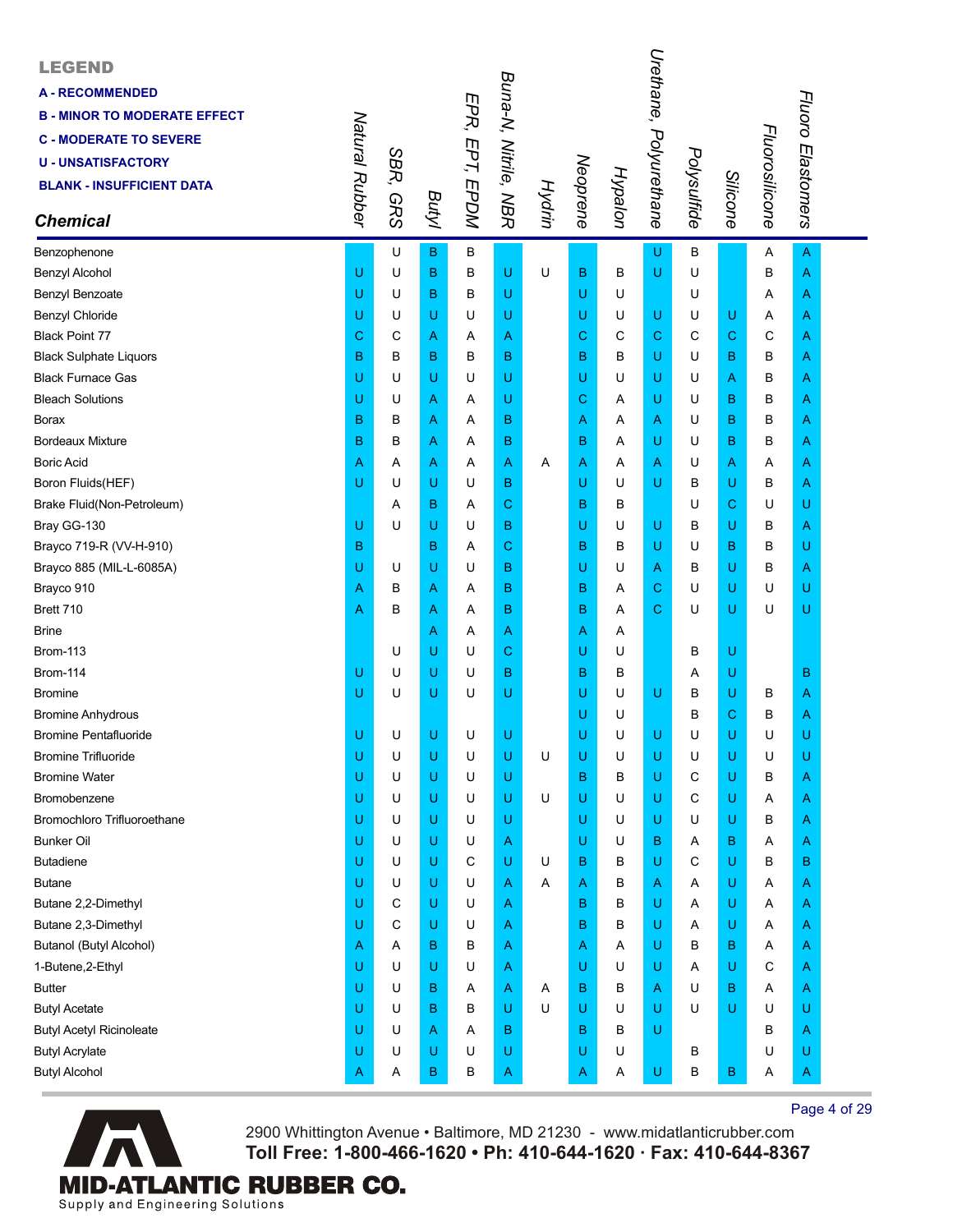| <b>LEGEND</b><br><b>A-RECOMMENDED</b><br><b>B - MINOR TO MODERATE EFFECT</b><br><b>C - MODERATE TO SEVERE</b><br><b>U-UNSATISFACTORY</b><br><b>BLANK - INSUFFICIENT DATA</b><br><b>Chemical</b> | Natural Rubber | SBR,<br><b>GRS</b> | <b>Butyl</b> | EPR, EPT, EPDM | Buna-N, Nitrile, NBR |   |   | Hypalon<br>Neoprene<br>Hydrin | Urethane, Polyurethane | Polysulfide | Silicone    | Fluorosilicone | Fluoro Elastomers |  |
|-------------------------------------------------------------------------------------------------------------------------------------------------------------------------------------------------|----------------|--------------------|--------------|----------------|----------------------|---|---|-------------------------------|------------------------|-------------|-------------|----------------|-------------------|--|
| Benzophenone                                                                                                                                                                                    |                | U                  | B            | В              |                      |   |   |                               | U                      | B           |             | Α              | $\overline{A}$    |  |
| <b>Benzyl Alcohol</b>                                                                                                                                                                           | U              | U                  | в            | B              | U                    | U | в | в                             | U                      | U           |             | B              | A                 |  |
| Benzyl Benzoate                                                                                                                                                                                 | U              | U                  | B            | в              | U                    |   | U | U                             |                        | U           |             | Α              | A                 |  |
| Benzyl Chloride                                                                                                                                                                                 | U              | U                  | U            | U              | U                    |   | U | U                             | U                      | U           | U           | Α              | Α                 |  |
| <b>Black Point 77</b>                                                                                                                                                                           | С              | C                  | Α            | Α              | Α                    |   | С | C                             | С                      | C           | $\mathbf C$ | C              | A                 |  |
| <b>Black Sulphate Liquors</b>                                                                                                                                                                   | B              | B                  | в            | B              | в                    |   | B | в                             | U                      | U           | B           | B              | A                 |  |
| <b>Black Furnace Gas</b>                                                                                                                                                                        | U              | U                  | U            | U              | U                    |   | U | U                             | U                      | U           | A           | в              | A                 |  |
| <b>Bleach Solutions</b>                                                                                                                                                                         | U              | U                  | Α            | Α              | U                    |   | С | Α                             | U                      | U           | в           | в              | Α                 |  |
| <b>Borax</b>                                                                                                                                                                                    | B              | В                  | Α            | Α              | в                    |   | Α | Α                             | Α                      | U           | в           | В              | Α                 |  |
| <b>Bordeaux Mixture</b>                                                                                                                                                                         | B              | B                  | Α            | Α              | в                    |   | в | Α                             | U                      | U           | B           | в              | Α                 |  |
| <b>Boric Acid</b>                                                                                                                                                                               | Α              | Α                  | Α            | Α              | A                    | Α | A | Α                             | Α                      | U           | A           | Α              | Α                 |  |
| Boron Fluids(HEF)                                                                                                                                                                               | U              | U                  | U            | U              | в                    |   | U | U                             | U                      | В           | U           | в              | A                 |  |
| Brake Fluid(Non-Petroleum)                                                                                                                                                                      |                | Α                  | B            | Α              | C                    |   | в | в                             |                        | U           | $\mathbf C$ | U              | U                 |  |
| Bray GG-130                                                                                                                                                                                     | U              | U                  | U            | U              | в                    |   | U | U                             | U                      | в           | U           | в              | A                 |  |
| Brayco 719-R (VV-H-910)                                                                                                                                                                         | B              |                    | B            | Α              | C                    |   | B | B                             | U                      | U           | B           | в              | U                 |  |
| Brayco 885 (MIL-L-6085A)                                                                                                                                                                        | U              | U                  | U            | U              | B                    |   | U | U                             | Α                      | в           | U           | в              | A                 |  |
| Brayco 910                                                                                                                                                                                      | Α              | в                  | Α            | Α              | B                    |   | в | Α                             | С                      | U           | U           | U              | U                 |  |
| Brett 710                                                                                                                                                                                       | Α              | B                  | Α            | Α              | в                    |   | B | Α                             | С                      | U           | U           | U              | U                 |  |
| <b>Brine</b>                                                                                                                                                                                    |                |                    | Α            | Α              | Α                    |   | Α | Α                             |                        |             |             |                |                   |  |
| <b>Brom-113</b>                                                                                                                                                                                 |                | U                  | U            | U              | C                    |   | U | U                             |                        | в           | U           |                |                   |  |
| <b>Brom-114</b>                                                                                                                                                                                 | U              | U                  | U            | U              | B                    |   | в | в                             |                        | Α           | U           |                | в                 |  |
| <b>Bromine</b>                                                                                                                                                                                  | Ü              | U                  | U            | U              | U                    |   | U | U                             | U                      | В           | U           | в              | A                 |  |
| <b>Bromine Anhydrous</b>                                                                                                                                                                        |                |                    |              |                |                      |   | U | U                             |                        | в           | C           | В              | A                 |  |
| <b>Bromine Pentafluoride</b>                                                                                                                                                                    | U              | U                  | U            | U              | U                    |   | U | U                             | U                      | U           | U           | U              | U                 |  |
| <b>Bromine Trifluoride</b>                                                                                                                                                                      | U              | U                  | U            | U              | U                    | U | U | U                             | U                      | U           | U           | U              | U                 |  |
| <b>Bromine Water</b>                                                                                                                                                                            | U              | U                  | U            | U              | U                    |   | B | В                             | U                      | С           | U           | В              | A                 |  |
| Bromobenzene                                                                                                                                                                                    | U              | U                  | U            | U              | U                    | U | U | U                             | U                      | С           | U           | Α              | A                 |  |
| Bromochloro Trifluoroethane                                                                                                                                                                     | U              | U                  | U            | U              | U                    |   | U | U                             | U                      | U           | U           | В              | Α                 |  |
| <b>Bunker Oil</b>                                                                                                                                                                               | U              | U                  | U            | U              | A                    |   | U | U                             | B                      | Α           | в           | Α              | Α                 |  |
| <b>Butadiene</b>                                                                                                                                                                                | U              | U                  | U            | С              | U                    | U | B | в                             | U                      | С           | U           | в              | в                 |  |
| <b>Butane</b>                                                                                                                                                                                   | U              | U                  | U            | U              | Α                    | Α | Α | в                             | Α                      | Α           | U           | Α              | A                 |  |
| Butane 2,2-Dimethyl                                                                                                                                                                             | U              | С                  | U            | U              | Α                    |   | в | в                             | U                      | Α           | U           | Α              | Α                 |  |
| Butane 2,3-Dimethyl                                                                                                                                                                             | U              | C                  | U            | U              | Α                    |   | B | В                             | U                      | Α           | U           | Α              | Α                 |  |
| Butanol (Butyl Alcohol)                                                                                                                                                                         | Α              | Α                  | B            | в              | Α                    |   | Α | Α                             | U                      | в           | в           | Α              | A                 |  |
| 1-Butene, 2-Ethyl                                                                                                                                                                               | U              | U                  | U            | U              | Α                    |   | U | U                             | U                      | Α           | U           | С              | A                 |  |
| <b>Butter</b>                                                                                                                                                                                   | U              | U                  | в            | Α              | A                    | A | В | в                             | Α                      | U           | в           | Α              | A                 |  |
| <b>Butyl Acetate</b>                                                                                                                                                                            | U              | U                  | B            | B              | U                    | U | U | U                             | U                      | U           | U           | U              | U                 |  |
| <b>Butyl Acetyl Ricinoleate</b>                                                                                                                                                                 | U              | U                  | Α            | Α              | в                    |   | B | В                             | U                      |             |             | в              | A                 |  |
| <b>Butyl Acrylate</b>                                                                                                                                                                           | U              | U                  | U            | U              | U                    |   | U | U                             |                        | в           |             | U              | U                 |  |
| <b>Butyl Alcohol</b>                                                                                                                                                                            | Α              | Α                  | В            | В              | A                    |   | Α | Α                             | U                      | В           | B           | Α              | A                 |  |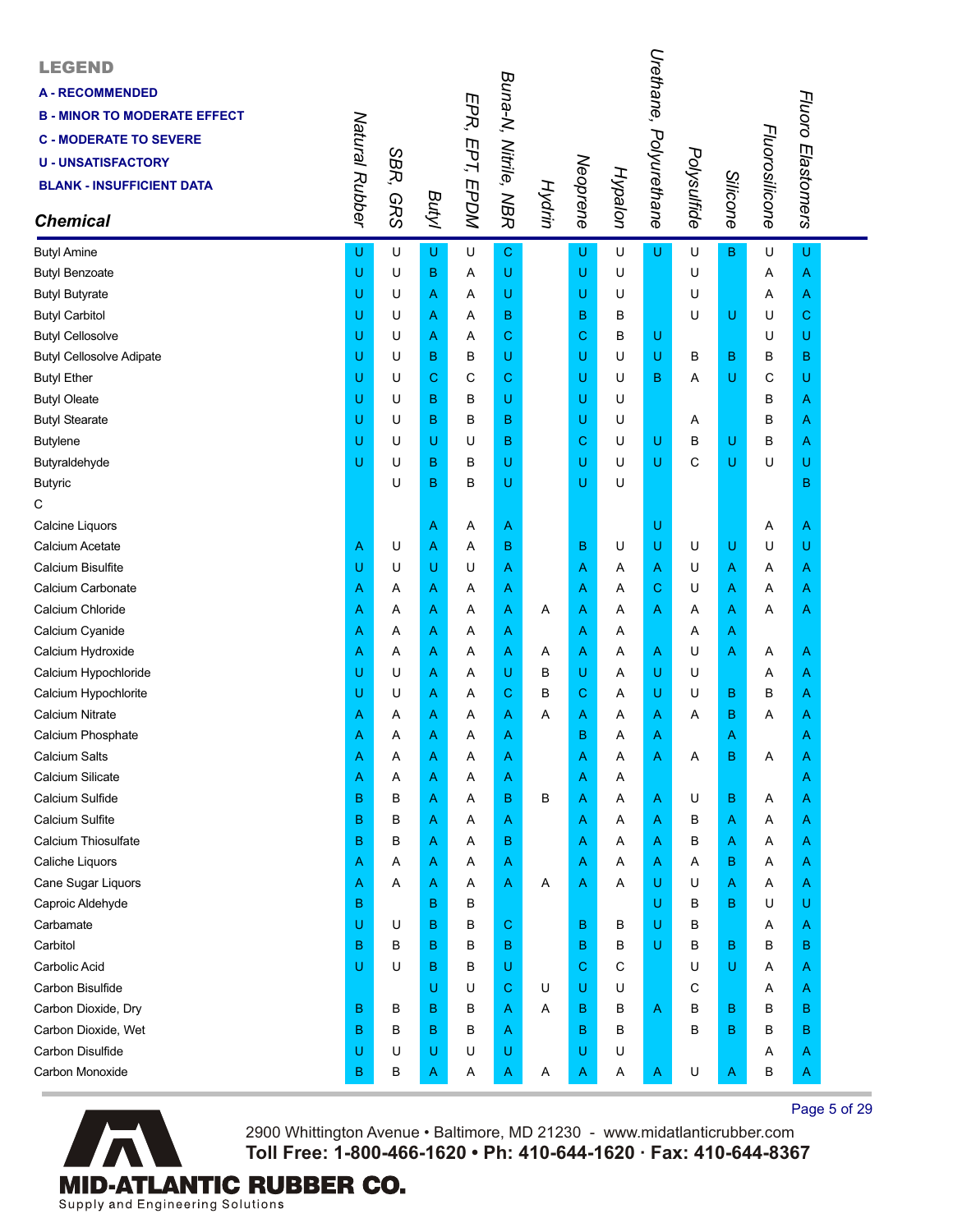| <b>LEGEND</b><br><b>A - RECOMMENDED</b><br><b>B - MINOR TO MODERATE EFFECT</b><br><b>C - MODERATE TO SEVERE</b><br><b>U-UNSATISFACTORY</b><br><b>BLANK - INSUFFICIENT DATA</b><br><b>Chemical</b> | Natural Rubber | SBR,<br><b>GRS</b> | Butyl | EPR, EPT, EPDM | Buna-N, Nitrile, NBR | Hydrin | Neoprene     | Hypalon | Urethane,<br>Polyurethane | Polysulfide | Silicone    | Fluorosilicone | Fluoro Elastomers |  |
|---------------------------------------------------------------------------------------------------------------------------------------------------------------------------------------------------|----------------|--------------------|-------|----------------|----------------------|--------|--------------|---------|---------------------------|-------------|-------------|----------------|-------------------|--|
| <b>Butyl Amine</b>                                                                                                                                                                                | U              | U                  | U     | U              | $\mathbf C$          |        | U            | U       | U                         | U           | $\mathsf B$ | U              | U                 |  |
| <b>Butyl Benzoate</b>                                                                                                                                                                             | U              | U                  | в     | Α              | U                    |        | U            | U       |                           | U           |             | Α              | A                 |  |
| <b>Butyl Butyrate</b>                                                                                                                                                                             | U              | U                  | Α     | Α              | U                    |        | U            | U       |                           | U           |             | Α              | Α                 |  |
| <b>Butyl Carbitol</b>                                                                                                                                                                             | U              | U                  | Α     | Α              | B                    |        | в            | в       |                           | U           | U           | U              | С                 |  |
| <b>Butyl Cellosolve</b>                                                                                                                                                                           | U              | U                  | Α     | Α              | C                    |        | C            | В       | U                         |             |             | U              | U                 |  |
| <b>Butyl Cellosolve Adipate</b>                                                                                                                                                                   | U              | U                  | B     | B              | U                    |        | U            | U       | U                         | в           | $\mathbf B$ | в              | в                 |  |
| <b>Butyl Ether</b>                                                                                                                                                                                | U              | U                  | C     | C              | C                    |        | U            | U       | B                         | Α           | U           | C              | U                 |  |
| <b>Butyl Oleate</b>                                                                                                                                                                               | U              | U                  | в     | B              | U                    |        | U            | U       |                           |             |             | в              | A                 |  |
| <b>Butyl Stearate</b>                                                                                                                                                                             | U              | U                  | B     | В              | B                    |        | U            | U       |                           | Α           |             | в              | Α                 |  |
| <b>Butylene</b>                                                                                                                                                                                   | U              | U                  | U     | U              | в                    |        | C            | U       | U                         | В           | U           | В              | Α                 |  |
| Butyraldehyde                                                                                                                                                                                     | U              | U                  | B     | В              | U                    |        | U            | U       | U                         | C           | U           | U              | U                 |  |
| <b>Butyric</b>                                                                                                                                                                                    |                | U                  | B     | В              | U                    |        | U            | U       |                           |             |             |                | B                 |  |
| C                                                                                                                                                                                                 |                |                    |       |                |                      |        |              |         |                           |             |             |                |                   |  |
| Calcine Liquors                                                                                                                                                                                   |                |                    | Α     | Α              | A                    |        |              |         | U                         |             |             | Α              | Α                 |  |
| Calcium Acetate                                                                                                                                                                                   | Α              | U                  | Α     | Α              | B                    |        | в            | U       | U                         | U           | U           | U              | U                 |  |
| <b>Calcium Bisulfite</b>                                                                                                                                                                          | U              | U                  | U     | U              | Α                    |        | Α            | Α       | Α                         | U           | A           | Α              | Α                 |  |
| Calcium Carbonate                                                                                                                                                                                 | Α              | Α                  | Α     | Α              | Α                    |        | Α            | Α       | С                         | U           | A           | Α              | Α                 |  |
| Calcium Chloride                                                                                                                                                                                  | Α              | Α                  | Α     | Α              | Α                    | Α      | Α            | Α       | Α                         | Α           | A           | Α              | Α                 |  |
| Calcium Cyanide                                                                                                                                                                                   | Α              | Α                  | Α     | Α              | Α                    |        | A            | Α       |                           | Α           | A           |                |                   |  |
| Calcium Hydroxide                                                                                                                                                                                 | Α              | Α                  | Α     | Α              | Α                    | Α      | $\mathsf{A}$ | Α       | Α                         | U           | A           | Α              | Α                 |  |
| Calcium Hypochloride                                                                                                                                                                              | U              | U                  | Α     | Α              | U                    | В      | U            | Α       | U                         | U           |             | Α              | Α                 |  |
| Calcium Hypochlorite                                                                                                                                                                              | U              | U                  | Α     | Α              | C                    | В      | C            | Α       | U                         | U           | B           | в              | A                 |  |
| <b>Calcium Nitrate</b>                                                                                                                                                                            | Α              | Α                  | A     | Α              | Α                    | Α      | A            | A       | Α                         | A           | B           | Α              | A                 |  |
| Calcium Phosphate                                                                                                                                                                                 | Α              | A                  | Α     | Α              | Α                    |        | в            | Α       | Α                         |             | Α           |                | A                 |  |
| <b>Calcium Salts</b>                                                                                                                                                                              | Α              | Α                  | Α     | Α              | A                    |        | Α            | Α       | Α                         | Α           | B           | Α              | Α                 |  |
| <b>Calcium Silicate</b>                                                                                                                                                                           | Α              | Α                  | Α     | A              | Α                    |        | A            | Α       |                           |             |             |                | A                 |  |
| Calcium Sulfide                                                                                                                                                                                   | B              | в                  | Α     | Α              | B                    | В      | A            | Α       | Α                         | U           | B           | Α              | A                 |  |
| Calcium Sulfite                                                                                                                                                                                   | B              | в                  | Α     | Α              | Α                    |        | Α            | Α       | Α                         | в           | A           | Α              | A                 |  |
| Calcium Thiosulfate                                                                                                                                                                               | B              | В                  | Α     | Α              | B                    |        | Α            | Α       | Α                         | в           | A           | Α              | A                 |  |
| Caliche Liquors                                                                                                                                                                                   | Α              | Α                  | Α     | Α              | A                    |        | Α            | Α       | Α                         | Α           | в           | Α              | Α                 |  |
| Cane Sugar Liquors                                                                                                                                                                                | Α              | Α                  | Α     | Α              | Α                    | Α      | A            | Α       | U                         | U           | A           | Α              | Α                 |  |
| Caproic Aldehyde                                                                                                                                                                                  | B              |                    | B     | В              |                      |        |              |         | U                         | в           | B           | U              | U                 |  |
| Carbamate                                                                                                                                                                                         | U              | U                  | B     | B              | C                    |        | в            | В       | U                         | B           |             | Α              | Α                 |  |
| Carbitol                                                                                                                                                                                          | B              | в                  | B     | B              | B                    |        | B            | в       | U                         | В           | $\sf B$     | В              | B                 |  |
| Carbolic Acid                                                                                                                                                                                     | Ū              | U                  | B     | В              | U                    |        | C            | C       |                           | U           | U           | Α              | A                 |  |
| Carbon Bisulfide                                                                                                                                                                                  |                |                    | U     | U              | C                    | U      | U            | U       |                           | С           |             | Α              | A                 |  |
| Carbon Dioxide, Dry                                                                                                                                                                               | B              | в                  | B     | B              | A                    | A      | в            | в       | A                         | B           | в           | в              | в                 |  |
| Carbon Dioxide, Wet                                                                                                                                                                               | B              | в                  | в     | в              | Α                    |        | B            | в       |                           | B           | $\mathbf B$ | B              | B                 |  |
| Carbon Disulfide                                                                                                                                                                                  | U              | U                  | U     | U              | U                    |        | U            | U       |                           |             |             | Α              | A                 |  |
| Carbon Monoxide                                                                                                                                                                                   | B              | В                  | Α     | A              | A                    | Α      | A            | Α       | A                         | U           | A           | в              | A                 |  |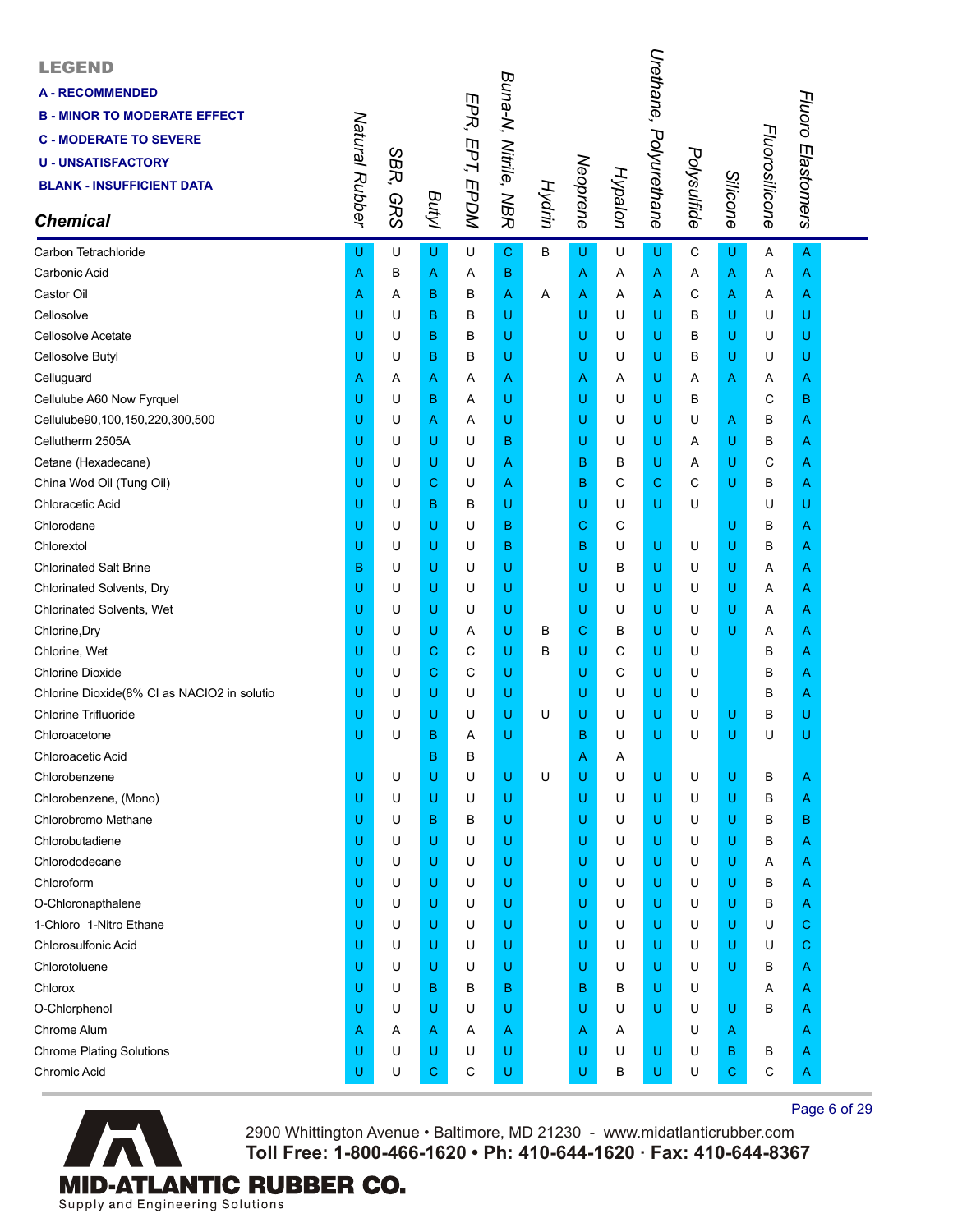| <b>LEGEND</b><br><b>A-RECOMMENDED</b><br><b>B - MINOR TO MODERATE EFFECT</b><br><b>C - MODERATE TO SEVERE</b><br><b>U - UNSATISFACTORY</b><br><b>BLANK - INSUFFICIENT DATA</b><br><b>Chemical</b> | Natural Rubber | SBR,<br><b>GRS</b> | Butyl       | EPR, EPT, EPDM | Buna-N, Nitrile, NBR | Hydrin | Neoprene | Hypalon | Urethane,<br>Polyurethane | Polysulfide | <b>Silicone</b> | Fluorosilicone | Fluoro Elastomers |  |
|---------------------------------------------------------------------------------------------------------------------------------------------------------------------------------------------------|----------------|--------------------|-------------|----------------|----------------------|--------|----------|---------|---------------------------|-------------|-----------------|----------------|-------------------|--|
| Carbon Tetrachloride                                                                                                                                                                              | U              | U                  | U           | U              | $\mathbf C$          | B      | U        | U       | U                         | C           | U               | Α              | A                 |  |
| Carbonic Acid                                                                                                                                                                                     | Α              | В                  | Α           | Α              | в                    |        | Α        | A       | Α                         | Α           | A               | Α              | A                 |  |
| Castor Oil                                                                                                                                                                                        | Α              | A                  | в           | В              | A                    | Α      | Α        | A       | Α                         | C           | A               | Α              | A                 |  |
| Cellosolve                                                                                                                                                                                        | U              | U                  | в           | в              | U                    |        | U        | U       | U                         | B           | U               | U              | U                 |  |
| Cellosolve Acetate                                                                                                                                                                                | U              | U                  | B           | в              | U                    |        | U        | U       | U                         | B           | U               | U              | U                 |  |
| Cellosolve Butyl                                                                                                                                                                                  | U              | U                  | B           | в              | U                    |        | U        | U       | U                         | в           | U               | U              | U                 |  |
| Celluguard                                                                                                                                                                                        | Α              | A                  | Α           | Α              | Α                    |        | Α        | A       | U                         | Α           | A               | Α              | A                 |  |
| Cellulube A60 Now Fyrquel                                                                                                                                                                         | U              | U                  | в           | Α              | U                    |        | U        | U       | U                         | в           |                 | C              | B                 |  |
| Cellulube90,100,150,220,300,500                                                                                                                                                                   | U              | U                  | A           | A              | U                    |        | U        | U       | U                         | U           | A               | в              | A                 |  |
| Cellutherm 2505A                                                                                                                                                                                  | U              | U                  | U           | U              | в                    |        | U        | U       | U                         | Α           | U               | в              | A                 |  |
| Cetane (Hexadecane)                                                                                                                                                                               | U              | U                  | U           | U              | Α                    |        | B        | в       | U                         | Α           | U               | С              | A                 |  |
| China Wod Oil (Tung Oil)                                                                                                                                                                          | U              | U                  | С           | U              | Α                    |        | в        | C       | С                         | C           | U               | В              | A                 |  |
| Chloracetic Acid                                                                                                                                                                                  | U              | U                  | B           | в              | U                    |        | U        | U       | U                         | U           |                 | U              | U                 |  |
| Chlorodane                                                                                                                                                                                        | U              | U                  | U           | U              | в                    |        | С        | С       |                           |             | U               | в              | A                 |  |
| Chlorextol                                                                                                                                                                                        | U              | U                  | U           | U              | в                    |        | B        | U       | U                         | U           | U               | в              | A                 |  |
| <b>Chlorinated Salt Brine</b>                                                                                                                                                                     | B              | U                  | U           | U              | U                    |        | U        | В       | U                         | U           | U               | Α              | A                 |  |
| Chlorinated Solvents, Dry                                                                                                                                                                         | U              | U                  | U           | U              | U                    |        | U        | U       | U                         | U           | U               | Α              | A                 |  |
| Chlorinated Solvents, Wet                                                                                                                                                                         | U              | U                  | U           | U              | U                    |        | U        | U       | U                         | U           | U               | Α              | A                 |  |
| Chlorine, Dry                                                                                                                                                                                     | U              | U                  | U           | Α              | U                    | в      | C        | в       | U                         | U           | U               | Α              | A                 |  |
| Chlorine, Wet                                                                                                                                                                                     | U              | U                  | С           | C              | U                    | в      | U        | С       | U                         | U           |                 | в              | A                 |  |
| <b>Chlorine Dioxide</b>                                                                                                                                                                           | U              | U                  | C           | C              | U                    |        | U        | C       | U                         | U           |                 | в              | A                 |  |
| Chlorine Dioxide(8% CI as NACIO2 in solutio                                                                                                                                                       | U              | U                  | U           | U              | U                    |        | U        | U       | U                         | U           |                 | B              | A                 |  |
| <b>Chlorine Trifluoride</b>                                                                                                                                                                       | U              | U                  | U           | U              | U                    | U      | U        | U       | U                         | U           | U               | в              | U                 |  |
| Chloroacetone                                                                                                                                                                                     | U              | U                  | B           | Α              | U                    |        | B        | U       | U                         | U           | U               | U              | U                 |  |
| Chloroacetic Acid                                                                                                                                                                                 |                |                    | B           | B              |                      |        | A        | A       |                           |             |                 |                |                   |  |
| Chlorobenzene                                                                                                                                                                                     | U              | U                  | U           | U              | U                    | U      | U        | U       | U                         | U           | U               | B              | A                 |  |
| Chlorobenzene, (Mono)                                                                                                                                                                             | U              | U                  | U           | U              | U                    |        | U        | U       | U                         | U           | U               | В              | A                 |  |
| Chlorobromo Methane                                                                                                                                                                               | U              | U                  | B           | в              | U                    |        | U        | U       | U                         | U           | U               | В              | B                 |  |
| Chlorobutadiene                                                                                                                                                                                   | U              | U                  | U           | U              | U                    |        | U        | U       | U                         | U           | U               | В              | A                 |  |
| Chlorododecane                                                                                                                                                                                    | U              | U                  | U           | U              | U                    |        | U        | U       | U                         | U           | U               | Α              | Α                 |  |
| Chloroform                                                                                                                                                                                        | U              | U                  | U           | U              | U                    |        | U        | U       | U                         | U           | U               | В              | A                 |  |
| O-Chloronapthalene                                                                                                                                                                                | U              | U                  | U           | U              | U                    |        | U        | U       | U                         | U           | U               | в              | A                 |  |
| 1-Chloro 1-Nitro Ethane                                                                                                                                                                           | U              | U                  | U           | U              | U                    |        | U        | U       | U                         | U           | U               | U              | С                 |  |
| <b>Chlorosulfonic Acid</b>                                                                                                                                                                        | U              | U                  | U           | U              | U                    |        | U        | U       | U                         | U           | U               | U              | C                 |  |
| Chlorotoluene                                                                                                                                                                                     | U              | U                  | U           | U              | U                    |        | U        | U       | U                         | U           | U               | В              | A                 |  |
| Chlorox                                                                                                                                                                                           | U              | U                  | B           | в              | B                    |        | в        | в       | U                         | U           |                 | Α              | A                 |  |
| O-Chlorphenol                                                                                                                                                                                     | U              | U                  | U           | U              | U                    |        | U        | U       | U                         | U           | U               | В              | A                 |  |
| Chrome Alum                                                                                                                                                                                       | Α              | A                  | A           | Α              | Α                    |        | Α        | A       |                           | U           | A               |                | Α                 |  |
| <b>Chrome Plating Solutions</b>                                                                                                                                                                   | U              | U                  | U           | U              | U                    |        | U        | U       | U                         | U           | B               | В              | A                 |  |
| Chromic Acid                                                                                                                                                                                      | U              | U                  | $\mathbf C$ | $\mathbf C$    | U                    |        | U        | в       | U                         | U           | $\mathbf C$     | $\mathsf C$    | A                 |  |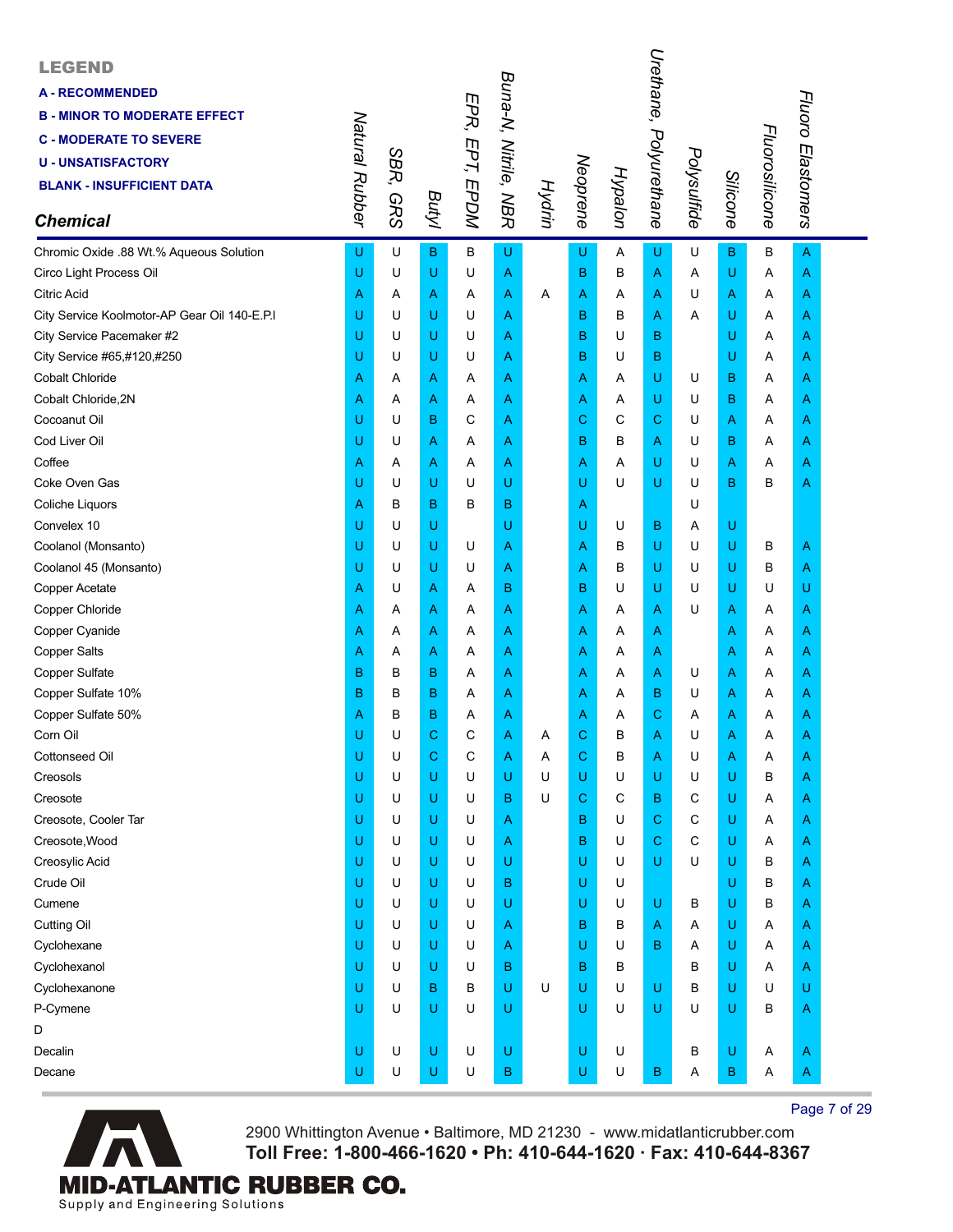| <b>LEGEND</b><br><b>A-RECOMMENDED</b><br><b>B - MINOR TO MODERATE EFFECT</b><br><b>C - MODERATE TO SEVERE</b><br><b>U-UNSATISFACTORY</b><br><b>BLANK - INSUFFICIENT DATA</b><br><b>Chemical</b> | Natural Rubber | SBR,<br><b>GRS</b> | Butyl | EPR, EPT, EPDM | Buna-N, Nitrile, NBR | Hydrin | Neoprene | Hypalon | Urethane,<br>Polyurethane | Polysulfide | Silicone     | Fluorosilicone | Fluoro Elastomers |  |
|-------------------------------------------------------------------------------------------------------------------------------------------------------------------------------------------------|----------------|--------------------|-------|----------------|----------------------|--------|----------|---------|---------------------------|-------------|--------------|----------------|-------------------|--|
| Chromic Oxide .88 Wt.% Aqueous Solution                                                                                                                                                         | U              | U                  | B     | В              | U                    |        | U        | Α       | U                         | U           | $\mathbf{B}$ | B              | $\overline{A}$    |  |
| Circo Light Process Oil                                                                                                                                                                         | U              | U                  | U     | U              | Α                    |        | B        | в       | A                         | Α           | U            | Α              | A                 |  |
| <b>Citric Acid</b>                                                                                                                                                                              | Α              | Α                  | Α     | Α              | A                    | Α      | Α        | Α       | Α                         | U           | A            | Α              | A                 |  |
| City Service Koolmotor-AP Gear Oil 140-E.P.I                                                                                                                                                    | U              | U                  | U     | U              | Α                    |        | в        | в       | Α                         | Α           | U            | Α              | Α                 |  |
| City Service Pacemaker #2                                                                                                                                                                       | U              | U                  | U     | U              | Α                    |        | в        | U       | В                         |             | U            | Α              | Α                 |  |
| City Service #65,#120,#250                                                                                                                                                                      | U              | U                  | U     | U              | Α                    |        | в        | U       | В                         |             | U            | A              | A                 |  |
| <b>Cobalt Chloride</b>                                                                                                                                                                          | Α              | Α                  | Α     | Α              | A                    |        | Α        | Α       | U                         | U           | B            | Α              | A                 |  |
| Cobalt Chloride, 2N                                                                                                                                                                             | Α              | Α                  | Α     | Α              | Α                    |        | Α        | Α       | U                         | U           | в            | Α              | Α                 |  |
| Cocoanut Oil                                                                                                                                                                                    | U              | U                  | B     | C              | Α                    |        | С        | C       | С                         | U           | A            | Α              | Α                 |  |
| Cod Liver Oil                                                                                                                                                                                   | U              | U                  | Α     | Α              | Α                    |        | B        | В       | Α                         | U           | в            | Α              | A                 |  |
| Coffee                                                                                                                                                                                          | Α              | Α                  | Α     | Α              | Α                    |        | Α        | Α       | U                         | U           | A            | Α              | Α                 |  |
| Coke Oven Gas                                                                                                                                                                                   | U              | U                  | U     | U              | U                    |        | U        | U       | U                         | U           | B            | в              | A                 |  |
| Coliche Liquors                                                                                                                                                                                 | Α              | B                  | B     | в              | B                    |        | Α        |         |                           | U           |              |                |                   |  |
| Convelex 10                                                                                                                                                                                     | U              | U                  | U     |                | U                    |        | U        | U       | В                         | Α           | U            |                |                   |  |
| Coolanol (Monsanto)                                                                                                                                                                             | U              | U                  | U     | U              | Α                    |        | A        | в       | U                         | U           | U            | в              | A                 |  |
| Coolanol 45 (Monsanto)                                                                                                                                                                          | U              | U                  | U     | U              | Α                    |        | Α        | в       | U                         | U           | U            | в              | A                 |  |
| Copper Acetate                                                                                                                                                                                  | Α              | U                  | Α     | Α              | B                    |        | в        | U       | U                         | U           | U            | U              | U                 |  |
| Copper Chloride                                                                                                                                                                                 | Α              | Α                  | Α     | Α              | Α                    |        | Α        | Α       | Α                         | U           | A            | A              | A                 |  |
| Copper Cyanide                                                                                                                                                                                  | Α              | Α                  | Α     | Α              | Α                    |        | Α        | Α       | A                         |             | A            | Α              | A                 |  |
| <b>Copper Salts</b>                                                                                                                                                                             | Α              | Α                  | Α     | Α              | Α                    |        | A        | Α       | Α                         |             | A            | Α              | Α                 |  |
| Copper Sulfate                                                                                                                                                                                  | B              | B                  | B     | Α              | Α                    |        | A        | Α       | Α                         | U           | A            | Α              | Α                 |  |
| Copper Sulfate 10%                                                                                                                                                                              | B              | B                  | в     | Α              | Α                    |        | A        | Α       | B                         | U           | A            | A              | A                 |  |
| Copper Sulfate 50%                                                                                                                                                                              | А              | B                  | B     | Α              | Α                    |        | A        | Α       | С                         | A           | Α            | Α              | A                 |  |
| Corn Oil                                                                                                                                                                                        | U              | U                  | С     | С              | Α                    | Α      | С        | B       | Α                         | U           | Α            | Α              | A                 |  |
| <b>Cottonseed Oil</b>                                                                                                                                                                           | U              | U                  | C     | С              | Α                    | Α      | С        | B       | Α                         | U           | A            | Α              | A                 |  |
| Creosols                                                                                                                                                                                        | U              | U                  | U     | U              | U                    | U      | U        | U       | U                         | U           | U            | В              | A                 |  |
| Creosote                                                                                                                                                                                        | U              | U                  | U     | U              | B                    | U      | C        | C       | В                         | С           | U            | Α              | A                 |  |
| Creosote, Cooler Tar                                                                                                                                                                            | U              | U                  | U     | U              | Α                    |        | в        | U       | С                         | С           | U            | Α              | A                 |  |
| Creosote, Wood                                                                                                                                                                                  | U              | U                  | U     | U              | Α                    |        | в        | U       | С                         | C           | U            | Α              | A                 |  |
| Creosylic Acid                                                                                                                                                                                  | U              | U                  | U     | U              | U                    |        | U        | U       | U                         | U           | U            | в              | A                 |  |
| Crude Oil                                                                                                                                                                                       | U              | U                  | U     | U              | B                    |        | U        | U       |                           |             | U            | в              | A                 |  |
| Cumene                                                                                                                                                                                          | U              | U                  | U     | U              | U                    |        | U        | U       | U                         | В           | U            | В              | A                 |  |
| <b>Cutting Oil</b>                                                                                                                                                                              | U              | U                  | U     | U              | Α                    |        | B        | В       | A                         | Α           | U            | Α              | A                 |  |
| Cyclohexane                                                                                                                                                                                     | U              | U                  | U     | U              | Α                    |        | U        | U       | B                         | Α           | U            | Α              | A                 |  |
| Cyclohexanol                                                                                                                                                                                    | U              | U                  | U     | U              | B                    |        | B        | в       |                           | B           | U            | Α              | A                 |  |
| Cyclohexanone                                                                                                                                                                                   | U              | U                  | в     | В              | U                    | U      | U        | U       | U                         | B           | U            | U              | U                 |  |
| P-Cymene                                                                                                                                                                                        | Ü              | U                  | U     | U              | U                    |        | U        | U       | U                         | U           | U            | в              | A                 |  |
| D                                                                                                                                                                                               |                |                    |       |                |                      |        |          |         |                           |             |              |                |                   |  |
| Decalin                                                                                                                                                                                         | U              | U                  | U     | U              | U                    |        | U        | U       |                           | В           | U            | Α              | A                 |  |
| Decane                                                                                                                                                                                          | U              | U                  | U     | U              | B                    |        | U        | U       | B                         | A           | B            | Α              | A                 |  |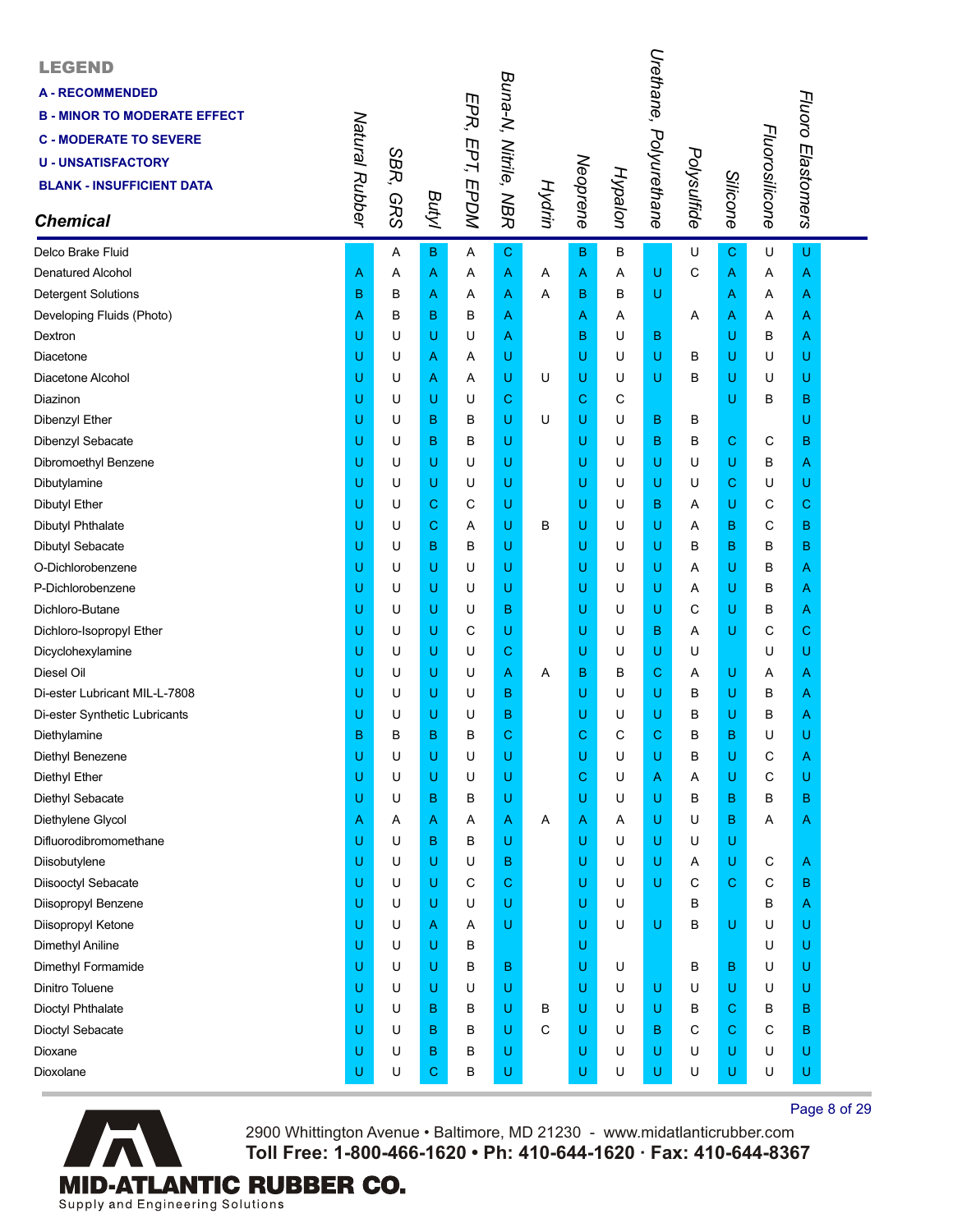| <b>LEGEND</b><br><b>A-RECOMMENDED</b><br><b>B - MINOR TO MODERATE EFFECT</b><br><b>C - MODERATE TO SEVERE</b><br><b>U - UNSATISFACTORY</b><br><b>BLANK - INSUFFICIENT DATA</b><br><b>Chemical</b> | Natural Rubber | SBR,<br><b>GRS</b> | Butyl | EPR, EPT, EPDM | Buna-N, Nitrile, NBR | Hydrin | Neoprene    | Hypalon | Urethane,<br>Polyurethane | Polysulfide | Silicone    | Fluorosilicone | Fluoro Elastomers |  |
|---------------------------------------------------------------------------------------------------------------------------------------------------------------------------------------------------|----------------|--------------------|-------|----------------|----------------------|--------|-------------|---------|---------------------------|-------------|-------------|----------------|-------------------|--|
| Delco Brake Fluid                                                                                                                                                                                 |                | Α                  | в     | Α              | C                    |        | $\mathbf B$ | в       |                           | U           | $\mathbf C$ | U              | U                 |  |
| <b>Denatured Alcohol</b>                                                                                                                                                                          | Α              | Α                  | Α     | Α              | A                    | A      | A           | Α       | U                         | C           | Α           | Α              | A                 |  |
| <b>Detergent Solutions</b>                                                                                                                                                                        | B              | B                  | Α     | Α              | A                    | A      | в           | B       | U                         |             | Α           | Α              | A                 |  |
| Developing Fluids (Photo)                                                                                                                                                                         | Α              | B                  | в     | в              | Α                    |        | A           | Α       |                           | Α           | Α           | Α              | A                 |  |
| Dextron                                                                                                                                                                                           | U              | U                  | U     | U              | Α                    |        | в           | U       | В                         |             | U           | в              | A                 |  |
| Diacetone                                                                                                                                                                                         | U              | U                  | A     | Α              | U                    |        | U           | U       | U                         | B           | U           | U              | U                 |  |
| Diacetone Alcohol                                                                                                                                                                                 | U              | U                  | Α     | Α              | U                    | U      | U           | U       | U                         | B           | U           | U              | U                 |  |
| Diazinon                                                                                                                                                                                          | U              | U                  | U     | U              | С                    |        | C           | C       |                           |             | U           | в              | в                 |  |
| Dibenzyl Ether                                                                                                                                                                                    | U              | U                  | B     | B              | U                    | U      | U           | U       | в                         | B           |             |                | U                 |  |
| Dibenzyl Sebacate                                                                                                                                                                                 | U              | U                  | B     | в              | U                    |        | U           | U       | в                         | В           | $\mathbf C$ | С              | B                 |  |
| Dibromoethyl Benzene                                                                                                                                                                              | U              | U                  | U     | U              | U                    |        | U           | U       | U                         | U           | U           | в              | A                 |  |
| Dibutylamine                                                                                                                                                                                      | U              | U                  | U     | U              | U                    |        | U           | U       | U                         | U           | С           | U              | U                 |  |
| <b>Dibutyl Ether</b>                                                                                                                                                                              | U              | U                  | С     | C              | U                    |        | U           | U       | В                         | Α           | U           | С              | C                 |  |
| <b>Dibutyl Phthalate</b>                                                                                                                                                                          | U              | U                  | С     | Α              | U                    | в      | U           | U       | U                         | Α           | B           | C              | B                 |  |
| Dibutyl Sebacate                                                                                                                                                                                  | U              | U                  | B     | B              | U                    |        | U           | U       | U                         | B           | B           | в              | B                 |  |
| O-Dichlorobenzene                                                                                                                                                                                 | U              | U                  | U     | U              | U                    |        | U           | U       | U                         | Α           | U           | в              | A                 |  |
| P-Dichlorobenzene                                                                                                                                                                                 | U              | U                  | U     | U              | U                    |        | U           | U       | U                         | Α           | U           | В              | A                 |  |
| Dichloro-Butane                                                                                                                                                                                   | U              | U                  | U     | U              | B                    |        | U           | U       | U                         | C           | U           | в              | A                 |  |
| Dichloro-Isopropyl Ether                                                                                                                                                                          | U              | U                  | U     | C              | U                    |        | U           | U       | В                         | A           | U           | С              | C                 |  |
| Dicyclohexylamine                                                                                                                                                                                 | U              | U                  | U     | U              | С                    |        | U           | U       | U                         | U           |             | U              | U                 |  |
| Diesel Oil                                                                                                                                                                                        | U              | U                  | U     | U              | Α                    | Α      | в           | B       | $\overline{C}$            | Α           | U           | Α              | A                 |  |
| Di-ester Lubricant MIL-L-7808                                                                                                                                                                     | U              | U                  | U     | U              | в                    |        | U           | U       | U                         | B           | U           | в              | A                 |  |
| Di-ester Synthetic Lubricants                                                                                                                                                                     | U              | U                  | U     | U              | в                    |        | U           | U       | U                         | B           | U           | в              | A                 |  |
| Diethylamine                                                                                                                                                                                      | B              | B                  | B     | в              | C                    |        | С           | C       | C                         | в           | B           | U              | U                 |  |
| Diethyl Benezene                                                                                                                                                                                  | U              | U                  | U     | U              | U                    |        | U           | U       | U                         | в           | U           | С              | A                 |  |
| Diethyl Ether                                                                                                                                                                                     | U              | U                  | U     | U              | U                    |        | C           | U       | Α                         | Α           | U           | C              | U                 |  |
| Diethyl Sebacate                                                                                                                                                                                  | U              | U                  | B     | В              | U                    |        | U           | U       | U                         | B           | B           | В              | в                 |  |
| Diethylene Glycol                                                                                                                                                                                 | A              | Α                  | Α     | Α              | Α                    | Α      | A           | Α       | U                         | U           | B           | Α              | A                 |  |
| Difluorodibromomethane                                                                                                                                                                            | U              | U                  | В     | B              | U                    |        | U           | U       | U                         | U           | U           |                |                   |  |
| Diisobutylene                                                                                                                                                                                     | U              | U                  | U     | U              | в                    |        | U           | U       | U                         | A           | U           | С              | A                 |  |
| Diisooctyl Sebacate                                                                                                                                                                               | U              | U                  | U     | С              | С                    |        | U           | U       | U                         | С           | С           | С              | в                 |  |
| Diisopropyl Benzene                                                                                                                                                                               | U              | U                  | U     | U              | U                    |        | U           | U       |                           | В           |             | В              | A                 |  |
| Diisopropyl Ketone                                                                                                                                                                                | U              | U                  | Α     | Α              | U                    |        | U           | U       | U                         | В           | U           | U              | U                 |  |
| Dimethyl Aniline                                                                                                                                                                                  | U              | U                  | U     | В              |                      |        | U           |         |                           |             |             | U              | U                 |  |
| Dimethyl Formamide                                                                                                                                                                                | U              | U                  | U     | В              | в                    |        | U           | U       |                           | В           | B           | U              | U                 |  |
| Dinitro Toluene                                                                                                                                                                                   | U              | U                  | U     | U              | U                    |        | U           | U       | U                         | U           | U           | U              | U                 |  |
| Dioctyl Phthalate                                                                                                                                                                                 | U              | U                  | В     | в              | U                    | в      | U           | U       | U                         | в           | C           | в              | в                 |  |
| Dioctyl Sebacate                                                                                                                                                                                  | U              | U                  | B     | в              | U                    | C      | U           | U       | В                         | С           | $\mathbf C$ | С              | в                 |  |
| Dioxane                                                                                                                                                                                           | U              | U                  | В     | в              | U                    |        | U           | U       | U                         | U           | U           | U              | U                 |  |
| Dioxolane                                                                                                                                                                                         | U              | U                  | С     | В              | U                    |        | U           | U       | U                         | U           | U           | U              | U                 |  |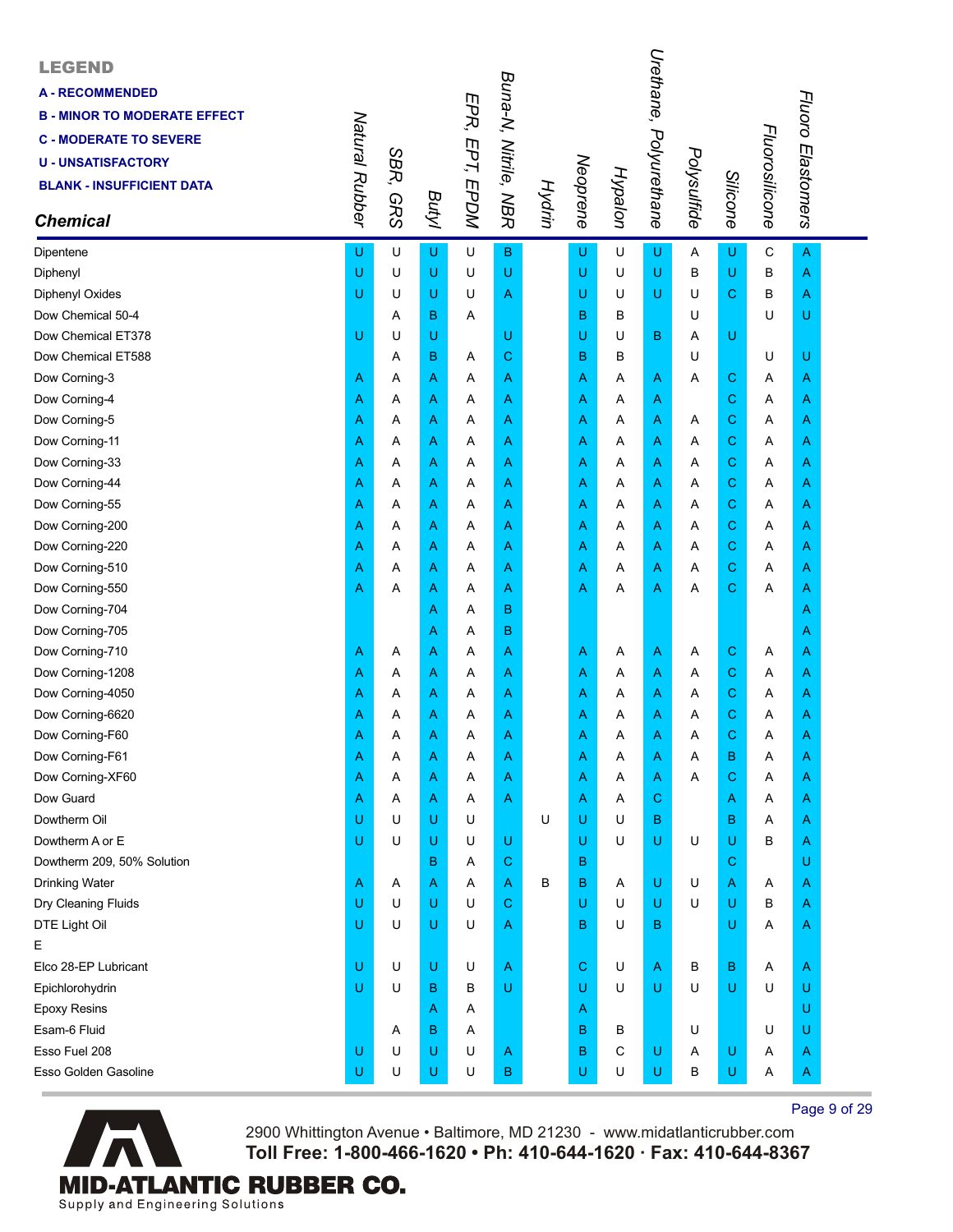| <b>LEGEND</b><br><b>A - RECOMMENDED</b><br><b>B - MINOR TO MODERATE EFFECT</b><br><b>C - MODERATE TO SEVERE</b><br><b>U - UNSATISFACTORY</b><br><b>BLANK - INSUFFICIENT DATA</b><br><b>Chemical</b> | Natural Rubber | SBR,<br><b>GRS</b> | Butyl | EPR, EPT, EPDM | Buna-N, Nitrile, NBR | Hydrin | Neoprene | Hypalon | Urethane,<br>Polyurethane | Polysulfide | Silicone    | Fluorosilicone | Fluoro Elastomers |  |
|-----------------------------------------------------------------------------------------------------------------------------------------------------------------------------------------------------|----------------|--------------------|-------|----------------|----------------------|--------|----------|---------|---------------------------|-------------|-------------|----------------|-------------------|--|
| Dipentene                                                                                                                                                                                           | U              | U                  | U     | U              | $\overline{B}$       |        | U        | U       | U                         | Α           | U           | C              | $\overline{A}$    |  |
| Diphenyl                                                                                                                                                                                            | $\cup$         | U                  | U     | U              | U                    |        | U        | U       | U                         | в           | U           | B              | A                 |  |
| Diphenyl Oxides                                                                                                                                                                                     | Ü              | U                  | U     | U              | Α                    |        | U        | U       | U                         | U           | $\mathbf C$ | В              | Α                 |  |
| Dow Chemical 50-4                                                                                                                                                                                   |                | Α                  | B     | A              |                      |        | в        | в       |                           | U           |             | U              | U                 |  |
| Dow Chemical ET378                                                                                                                                                                                  | U              | U                  | U     |                | U                    |        | U        | U       | B                         | Α           | U           |                |                   |  |
| Dow Chemical ET588                                                                                                                                                                                  |                | A                  | B     | Α              | C                    |        | B        | в       |                           | U           |             | U              | U                 |  |
| Dow Corning-3                                                                                                                                                                                       | Α              | Α                  | Α     | Α              | Α                    |        | A        | Α       | Α                         | Α           | $\mathbf C$ | Α              | A                 |  |
| Dow Corning-4                                                                                                                                                                                       | Α              | Α                  | Α     | Α              | Α                    |        | Α        | Α       | Α                         |             | $\mathbf C$ | Α              | Α                 |  |
| Dow Corning-5                                                                                                                                                                                       | Α              | A                  | Α     | Α              | Α                    |        | Α        | Α       | Α                         | Α           | $\mathbf C$ | Α              | Α                 |  |
| Dow Corning-11                                                                                                                                                                                      | Α              | Α                  | Α     | Α              | Α                    |        | Α        | Α       | Α                         | Α           | $\mathbf C$ | A              | Α                 |  |
| Dow Corning-33                                                                                                                                                                                      | Α              | Α                  | Α     | Α              | Α                    |        | Α        | Α       | Α                         | Α           | $\mathbf C$ | Α              | A                 |  |
| Dow Corning-44                                                                                                                                                                                      | Α              | Α                  | Α     | Α              | Α                    |        | A        | Α       | Α                         | Α           | $\mathbf C$ | Α              | Α                 |  |
| Dow Corning-55                                                                                                                                                                                      | Α              | Α                  | Α     | Α              | Α                    |        | Α        | Α       | Α                         | Α           | $\mathbf C$ | Α              | A                 |  |
| Dow Corning-200                                                                                                                                                                                     | Α              | Α                  | Α     | Α              | Α                    |        | Α        | Α       | Α                         | Α           | $\mathbf C$ | A              | A                 |  |
| Dow Corning-220                                                                                                                                                                                     | Α              | Α                  | Α     | Α              | A                    |        | A        | Α       | Α                         | Α           | $\mathbf C$ | Α              | A                 |  |
| Dow Corning-510                                                                                                                                                                                     | Α              | Α                  | Α     | Α              | Α                    |        | Α        | Α       | Α                         | Α           | $\mathbf C$ | Α              | Α                 |  |
| Dow Corning-550                                                                                                                                                                                     | Α              | Α                  | Α     | Α              | Α                    |        | Α        | Α       | Α                         | Α           | $\mathbf C$ | Α              | Α                 |  |
| Dow Corning-704                                                                                                                                                                                     |                |                    | Α     | Α              | B                    |        |          |         |                           |             |             |                | A                 |  |
| Dow Corning-705                                                                                                                                                                                     |                |                    | Α     | Α              | B                    |        |          |         |                           |             |             |                | Α                 |  |
| Dow Corning-710                                                                                                                                                                                     | Α              | Α                  | Α     | Α              | Α                    |        | A        | Α       | A                         | Α           | $\mathbf C$ | Α              | Α                 |  |
| Dow Corning-1208                                                                                                                                                                                    | Α              | Α                  | Α     | Α              | Α                    |        | Α        | Α       | Α                         | Α           | $\mathbf C$ | Α              | A                 |  |
| Dow Corning-4050                                                                                                                                                                                    | Α              | Α                  | Α     | Α              | Α                    |        | Α        | Α       | Α                         | Α           | $\mathbf C$ | Α              | A                 |  |
| Dow Corning-6620                                                                                                                                                                                    | Α              | Α                  | Α     | Α              | Α                    |        | Α        | Α       | Α                         | Α           | C           | Α              | A                 |  |
| Dow Corning-F60                                                                                                                                                                                     | Α              | Α                  | Α     | Α              | Α                    |        | Α        | Α       | Α                         | Α           | C           | Α              | A                 |  |
| Dow Corning-F61                                                                                                                                                                                     | A              | Α                  | Α     | Α              | Α                    |        | Α        | Α       | A                         | Α           | в           | Α              | A                 |  |
| Dow Corning-XF60                                                                                                                                                                                    | Α              | Α                  | Α     | Α              | A                    |        | Α        | Α       | Α                         | A           | $\mathbf C$ | Α              | A                 |  |
| Dow Guard                                                                                                                                                                                           | Α              | A                  | Α     | Α              | Α                    |        | Α        | A       | $\mathbf C$               |             | A           | Α              | A                 |  |
| Dowtherm Oil                                                                                                                                                                                        | U              | U                  | U     | U              |                      | U      | U        | U       | В                         |             | в           | Α              | A                 |  |
| Dowtherm A or E                                                                                                                                                                                     | U              | U                  | U     | U              | U                    |        | U        | U       | U                         | U           | U           | B              | A                 |  |
| Dowtherm 209, 50% Solution                                                                                                                                                                          |                |                    | B     | Α              | C                    |        | в        |         |                           |             | $\mathbf C$ |                | U                 |  |
| Drinking Water                                                                                                                                                                                      | Α              | A                  | Α     | Α              | Α                    | В      | B        | A       | U                         | U           | A           | A              | Α                 |  |
| Dry Cleaning Fluids                                                                                                                                                                                 | U              | U                  | U     | U              | C                    |        | U        | U       | U                         | U           | U           | B              | A                 |  |
| DTE Light Oil                                                                                                                                                                                       | U              | U                  | U     | U              | A                    |        | в        | U       | В                         |             | U           | Α              | A                 |  |
| Е                                                                                                                                                                                                   |                |                    |       |                |                      |        |          |         |                           |             |             |                |                   |  |
| Elco 28-EP Lubricant                                                                                                                                                                                | U              | U                  | U     | U              | A                    |        | С        | U       | Α                         | в           | $\sf B$     | A              | A                 |  |
| Epichlorohydrin                                                                                                                                                                                     | U              | U                  | в     | В              | U                    |        | U        | U       | U                         | U           | U           | U              | U                 |  |
| <b>Epoxy Resins</b>                                                                                                                                                                                 |                |                    | Α     | Α              |                      |        | A        |         |                           |             |             |                | U                 |  |
| Esam-6 Fluid                                                                                                                                                                                        |                | Α                  | B     | Α              |                      |        | в        | В       |                           | U           |             | U              | U                 |  |
| Esso Fuel 208                                                                                                                                                                                       | U              | U                  | U     | U              | A                    |        | В        | С       | U                         | A           | U           | Α              | A                 |  |
| Esso Golden Gasoline                                                                                                                                                                                | U              | U                  | U     | U              | B                    |        | U        | U       | U                         | в           | U           | A              | A                 |  |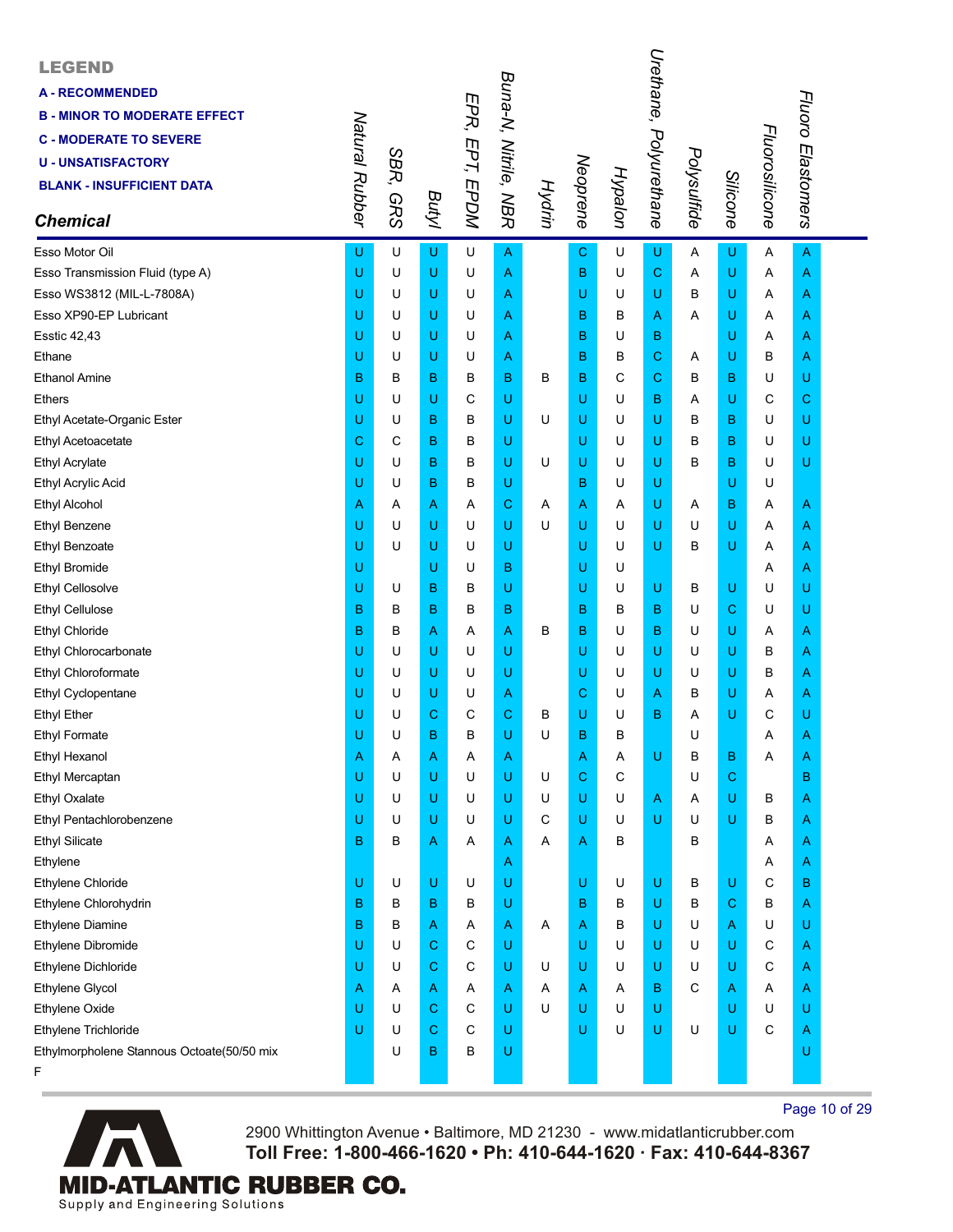| <b>LEGEND</b><br><b>A-RECOMMENDED</b><br><b>B - MINOR TO MODERATE EFFECT</b><br><b>C - MODERATE TO SEVERE</b><br><b>U - UNSATISFACTORY</b><br><b>BLANK - INSUFFICIENT DATA</b><br><b>Chemical</b> | Natural Rubber | SBR,<br><b>GRS</b> | <b>Butyl</b> | EPR, EPT, EPDM | Buna-N, Nitrile, NBR | Hydrin | Neoprene    | Hypalon | Urethane,<br>Polyurethane | Polysulfide | Silicone    | Fluorosilicone | Fluoro Elastomers |  |
|---------------------------------------------------------------------------------------------------------------------------------------------------------------------------------------------------|----------------|--------------------|--------------|----------------|----------------------|--------|-------------|---------|---------------------------|-------------|-------------|----------------|-------------------|--|
| Esso Motor Oil                                                                                                                                                                                    | U              | U                  | U            | U              | A                    |        | $\mathbf C$ | U       | U                         | Α           | U           | Α              | $\overline{A}$    |  |
| Esso Transmission Fluid (type A)                                                                                                                                                                  | U              | U                  | U            | U              | A                    |        | B           | U       | $\mathbf C$               | Α           | U           | Α              | A                 |  |
| Esso WS3812 (MIL-L-7808A)                                                                                                                                                                         | U              | U                  | U            | U              | Α                    |        | U           | U       | U                         | B           | U           | Α              | A                 |  |
| Esso XP90-EP Lubricant                                                                                                                                                                            | U              | U                  | U            | U              | A                    |        | B           | в       | Α                         | Α           | U           | Α              | Α                 |  |
| <b>Esstic 42,43</b>                                                                                                                                                                               | U              | U                  | U            | U              | Α                    |        | B           | U       | в                         |             | U           | A              | A                 |  |
| Ethane                                                                                                                                                                                            | U              | U                  | U            | U              | Α                    |        | B           | B       | $\mathbf C$               | A           | U           | в              | A                 |  |
| <b>Ethanol Amine</b>                                                                                                                                                                              | B              | в                  | B            | в              | B                    | в      | B           | C       | С                         | в           | $\mathbf B$ | U              | U                 |  |
| <b>Ethers</b>                                                                                                                                                                                     | U              | U                  | U            | C              | U                    |        | U           | U       | в                         | Α           | U           | C              | С                 |  |
| Ethyl Acetate-Organic Ester                                                                                                                                                                       | U              | U                  | в            | в              | U                    | U      | U           | U       | U                         | B           | в           | U              | U                 |  |
| Ethyl Acetoacetate                                                                                                                                                                                | С              | C                  | B            | в              | U                    |        | U           | U       | U                         | B           | в           | U              | U                 |  |
| <b>Ethyl Acrylate</b>                                                                                                                                                                             | U              | U                  | B            | В              | U                    | U      | U           | U       | U                         | в           | $\mathbf B$ | U              | U                 |  |
| Ethyl Acrylic Acid                                                                                                                                                                                | U              | U                  | в            | в              | U                    |        | B           | U       | U                         |             | U           | U              |                   |  |
| <b>Ethyl Alcohol</b>                                                                                                                                                                              | Α              | Α                  | Α            | Α              | C                    | A      | Α           | Α       | U                         | Α           | $\mathbf B$ | Α              | A                 |  |
| <b>Ethyl Benzene</b>                                                                                                                                                                              | U              | U                  | U            | U              | U                    | U      | U           | U       | U                         | U           | U           | A              | Α                 |  |
| <b>Ethyl Benzoate</b>                                                                                                                                                                             | U              | U                  | U            | U              | U                    |        | U           | U       | U                         | в           | U           | Α              | A                 |  |
| <b>Ethyl Bromide</b>                                                                                                                                                                              | U              |                    | U            | U              | B                    |        | U           | U       |                           |             |             | Α              | Α                 |  |
| Ethyl Cellosolve                                                                                                                                                                                  | U              | U                  | B            | в              | U                    |        | U           | U       | U                         | В           | U           | U              | U                 |  |
| <b>Ethyl Cellulose</b>                                                                                                                                                                            | B              | B                  | B            | в              | B                    |        | B           | B       | B                         | U           | $\mathbf C$ | U              | U                 |  |
| <b>Ethyl Chloride</b>                                                                                                                                                                             | B              | в                  | Α            | Α              | Α                    | в      | B           | U       | в                         | U           | U           | Α              | A                 |  |
| Ethyl Chlorocarbonate                                                                                                                                                                             | U              | U                  | U            | U              | U                    |        | U           | U       | U                         | U           | U           | в              | Α                 |  |
| Ethyl Chloroformate                                                                                                                                                                               | U              | U                  | U            | U              | U                    |        | U           | U       | U                         | U           | U           | в              | Α                 |  |
| Ethyl Cyclopentane                                                                                                                                                                                | U              | U                  | U            | U              | Α                    |        | С           | U       | Α                         | в           | U           | Α              | A                 |  |
| <b>Ethyl Ether</b>                                                                                                                                                                                | U              | U                  | С            | С              | C                    | в      | U           | U       | в                         | Α           | U           | С              | U                 |  |
| <b>Ethyl Formate</b>                                                                                                                                                                              | U              | U                  | B            | B              | U                    | U      | B           | в       |                           | U           |             | Α              | A                 |  |
| Ethyl Hexanol                                                                                                                                                                                     | Α              | Α                  | Α            | Α              | A                    |        | Α           | Α       | U                         | В           | В           | Α              | Α                 |  |
| Ethyl Mercaptan                                                                                                                                                                                   | U              | U                  | U            | U              | U                    | U      | С           | С       |                           | U           | $\mathbf C$ |                | B                 |  |
| Ethyl Oxalate                                                                                                                                                                                     | U              | U                  | U            | U              | U                    | U      | U           | U       | A                         | A           | U           | в              | A                 |  |
| Ethyl Pentachlorobenzene                                                                                                                                                                          | U              | U                  | U            | U              | U                    | С      | U           | U       | U                         | U           | U           | В              | A                 |  |
| <b>Ethyl Silicate</b>                                                                                                                                                                             | B              | в                  | Α            | Α              | Α                    | Α      | Α           | в       |                           | В           |             | Α              | A                 |  |
| Ethylene                                                                                                                                                                                          |                |                    |              |                | Α                    |        |             |         |                           |             |             | Α              | A                 |  |
| Ethylene Chloride                                                                                                                                                                                 | U              | U                  | U            | U              | U                    |        | U           | U       | U                         | В           | U           | С              | в                 |  |
| Ethylene Chlorohydrin                                                                                                                                                                             | в              | в                  | B            | в              | U                    |        | B           | в       | U                         | В           | $\mathbf C$ | В              | A                 |  |
| Ethylene Diamine                                                                                                                                                                                  | в              | в                  | Α            | Α              | A                    | A      | Α           | в       | U                         | U           | A           | U              | U                 |  |
| Ethylene Dibromide                                                                                                                                                                                | U              | U                  | С            | С              | U                    |        | U           | U       | U                         | U           | U           | С              | A                 |  |
| Ethylene Dichloride                                                                                                                                                                               | U              | U                  | С            | C              | U                    | U      | U           | U       | U                         | U           | U           | С              | A                 |  |
| Ethylene Glycol                                                                                                                                                                                   | A              | A                  | A            | Α              | Α                    | Α      | Α           | A       | в                         | C           | A           | Α              | A                 |  |
| Ethylene Oxide                                                                                                                                                                                    | U              | U                  | С            | С              | U                    | U      | U           | U       | U                         |             | U           | U              | U                 |  |
| Ethylene Trichloride                                                                                                                                                                              | U              | U                  | C            | С              | U                    |        | U           | U       | U                         | U           | U           | C              | Α                 |  |
| Ethylmorpholene Stannous Octoate(50/50 mix                                                                                                                                                        |                | U                  | В            | В              | U                    |        |             |         |                           |             |             |                | U                 |  |
| F                                                                                                                                                                                                 |                |                    |              |                |                      |        |             |         |                           |             |             |                |                   |  |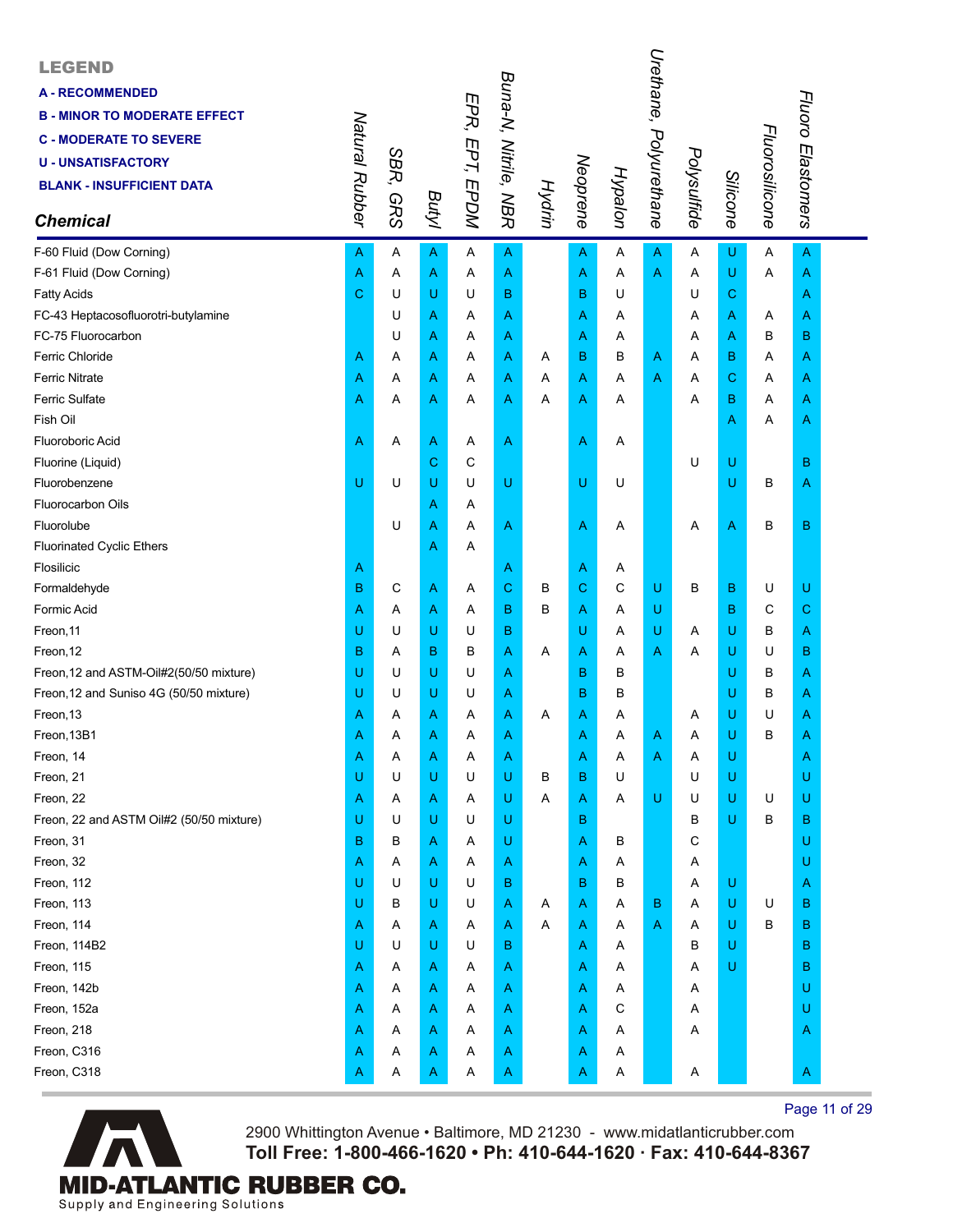| <b>LEGEND</b><br><b>A-RECOMMENDED</b><br><b>B - MINOR TO MODERATE EFFECT</b><br><b>C - MODERATE TO SEVERE</b><br><b>U - UNSATISFACTORY</b><br><b>BLANK - INSUFFICIENT DATA</b><br><b>Chemical</b> | Natural Rubber | SBR,<br><b>GRS</b> | Butyl | EPR, EPT, EPDM | Buna-N, Nitrile, NBR | Hydrin | Neoprene | Hypalon | Urethane, Polyurethane | Polysulfide | Silicone       | Fluorosilicone | Fluoro Elastomers |  |
|---------------------------------------------------------------------------------------------------------------------------------------------------------------------------------------------------|----------------|--------------------|-------|----------------|----------------------|--------|----------|---------|------------------------|-------------|----------------|----------------|-------------------|--|
| F-60 Fluid (Dow Corning)                                                                                                                                                                          | Α              | Α                  | A     | A              | A                    |        | A        | Α       | A                      | Α           | U              | Α              | A                 |  |
| F-61 Fluid (Dow Corning)                                                                                                                                                                          | Α              | Α                  | Α     | Α              | Α                    |        | Α        | Α       | A                      | Α           | $\sf U$        | Α              | Α                 |  |
| <b>Fatty Acids</b>                                                                                                                                                                                | C              | U                  | U     | U              | B                    |        | B        | U       |                        | U           | $\mathbf C$    |                | Α                 |  |
| FC-43 Heptacosofluorotri-butylamine                                                                                                                                                               |                | U                  | Α     | Α              | Α                    |        | Α        | A       |                        | Α           | A              | Α              | A                 |  |
| FC-75 Fluorocarbon                                                                                                                                                                                |                | U                  | Α     | Α              | Α                    |        | Α        | Α       |                        | Α           | A              | в              | B                 |  |
| Ferric Chloride                                                                                                                                                                                   | Α              | Α                  | Α     | Α              | Α                    | A      | B        | в       | Α                      | Α           | B              | Α              | A                 |  |
| <b>Ferric Nitrate</b>                                                                                                                                                                             | Α              | Α                  | Α     | Α              | Α                    | Α      | Α        | Α       | A                      | Α           | $\mathbf C$    | Α              | A                 |  |
| <b>Ferric Sulfate</b>                                                                                                                                                                             | Α              | Α                  | Α     | Α              | Α                    | Α      | Α        | Α       |                        | Α           | в              | Α              | A                 |  |
| Fish Oil                                                                                                                                                                                          |                |                    |       |                |                      |        |          |         |                        |             | A              | Α              | A                 |  |
| <b>Fluoroboric Acid</b>                                                                                                                                                                           | Α              | Α                  | Α     | Α              | A                    |        | Α        | A       |                        |             |                |                |                   |  |
| Fluorine (Liquid)                                                                                                                                                                                 |                |                    | C     | С              |                      |        |          |         |                        | U           | U              |                | в                 |  |
| Fluorobenzene                                                                                                                                                                                     | U              | U                  | U     | U              | U                    |        | U        | U       |                        |             | U              | B              | A                 |  |
| <b>Fluorocarbon Oils</b>                                                                                                                                                                          |                |                    | Α     | Α              |                      |        |          |         |                        |             |                |                |                   |  |
| Fluorolube                                                                                                                                                                                        |                | U                  | Α     | Α              | A                    |        | Α        | A       |                        | Α           | $\overline{A}$ | B              | в                 |  |
| <b>Fluorinated Cyclic Ethers</b>                                                                                                                                                                  |                |                    | A     | Α              |                      |        |          |         |                        |             |                |                |                   |  |
| Flosilicic                                                                                                                                                                                        | Α              |                    |       |                | Α                    |        | Α        | A       |                        |             |                |                |                   |  |
| Formaldehyde                                                                                                                                                                                      | B              | С                  | Α     | Α              | C                    | в      | С        | C       | U                      | В           | B              | U              | U                 |  |
| Formic Acid                                                                                                                                                                                       | Α              | Α                  | Α     | Α              | в                    | в      | Α        | Α       | U                      |             | B              | C              | C                 |  |
| Freon, 11                                                                                                                                                                                         | U              | U                  | U     | U              | в                    |        | U        | Α       | U                      | Α           | U              | В              | Α                 |  |
| Freon, 12                                                                                                                                                                                         | B              | Α                  | в     | В              | Α                    | Α      | Α        | Α       | Α                      | Α           | U              | U              | в                 |  |
| Freon, 12 and ASTM-Oil#2(50/50 mixture)                                                                                                                                                           | U              | U                  | U     | U              | Α                    |        | B        | B       |                        |             | U              | В              | Α                 |  |
| Freon, 12 and Suniso 4G (50/50 mixture)                                                                                                                                                           | U              | U                  | U     | U              | Α                    |        | B        | B       |                        |             | U              | В              | A                 |  |
| Freon, 13                                                                                                                                                                                         | Α              | A                  | Α     | Α              | Α                    | A      | Α        | Α       |                        | A           | U              | U              | A                 |  |
| Freon, 13B1                                                                                                                                                                                       | Α              | Α                  | Α     | Α              | Α                    |        | Α        | Α       | Α                      | Α           | U              | B              | A                 |  |
| Freon, 14                                                                                                                                                                                         | Α              | Α                  | A     | Α              | A                    |        | A        | Α       | A                      | Α           | U              |                | Α                 |  |
| Freon, 21                                                                                                                                                                                         | U              | U                  | U     | U              | U                    | В      | B        | U       |                        | U           | $\sf U$        |                | U                 |  |
| Freon, 22                                                                                                                                                                                         | Α              | A                  | Α     | Α              | U                    | Α      | Α        | Α       | U                      | U           | U              | U              | U                 |  |
| Freon, 22 and ASTM Oil#2 (50/50 mixture)                                                                                                                                                          | U              | U                  | U     | U              | U                    |        | в        |         |                        | в           | U              | В              | в                 |  |
| Freon, 31                                                                                                                                                                                         | B              | в                  | A     | Α              | U                    |        | Α        | В       |                        | С           |                |                | U                 |  |
| Freon, 32                                                                                                                                                                                         | Α              | Α                  | A     | Α              | A                    |        | Α        | Α       |                        | Α           |                |                | U                 |  |
| Freon, 112                                                                                                                                                                                        | U              | U                  | U     | U              | в                    |        | В        | в       |                        | A           | U              |                | Α                 |  |
| Freon, 113                                                                                                                                                                                        | U              | в                  | U     | U              | Α                    | A      | Α        | Α       | в                      | Α           | $\sf U$        | U              | B                 |  |
| Freon, 114                                                                                                                                                                                        | Α              | Α                  | A     | Α              | A                    | Α      | Α        | Α       | Α                      | Α           | U              | B              | B                 |  |
| Freon, 114B2                                                                                                                                                                                      | U              | U                  | U     | U              | в                    |        | Α        | Α       |                        | в           | $\mathsf U$    |                | B                 |  |
| Freon, 115                                                                                                                                                                                        | Α              | A                  | Α     | Α              | A                    |        | Α        | Α       |                        | Α           | U              |                | в                 |  |
| Freon, 142b                                                                                                                                                                                       | Α              | A                  | Α     | Α              | A                    |        | Α        | Α       |                        | Α           |                |                | U                 |  |
| Freon, 152a                                                                                                                                                                                       | Α              | A                  | A     | Α              | A                    |        | Α        | С       |                        | A           |                |                | U                 |  |
| Freon, 218                                                                                                                                                                                        | Α              | Α                  | A     | Α              | A                    |        | Α        | Α       |                        | Α           |                |                | A                 |  |
| Freon, C316                                                                                                                                                                                       | Α              | Α                  | A     | Α              | A                    |        | Α        | Α       |                        |             |                |                |                   |  |
| Freon, C318                                                                                                                                                                                       | A              | Α                  | Α     | Α              | Α                    |        | Α        | Α       |                        | Α           |                |                | А                 |  |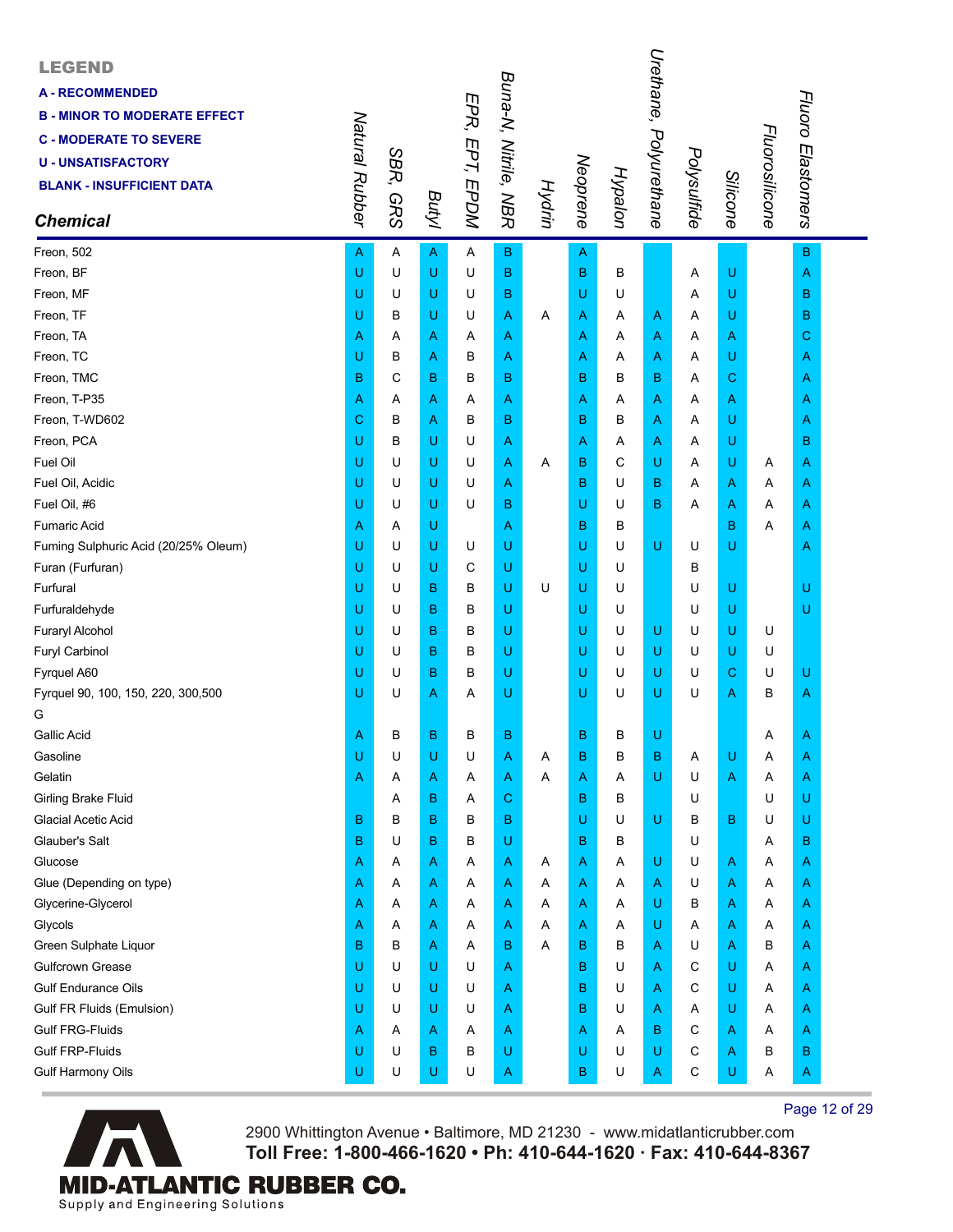| <b>LEGEND</b><br><b>A-RECOMMENDED</b><br><b>B - MINOR TO MODERATE EFFECT</b><br><b>C - MODERATE TO SEVERE</b><br><b>U-UNSATISFACTORY</b><br><b>BLANK - INSUFFICIENT DATA</b><br><b>Chemical</b> | Natural Rubber | SBR,<br><b>GRS</b> | Butyl        | EPR, EPT, EPDM | Buna-N, Nitrile, NBR |   |   | Hypalon<br>Neoprene<br>Hydrin | Urethane, Polyurethane | Polysulfide | <b>Silicone</b> | Fluorosilicone | Fluoro Elastomers |  |
|-------------------------------------------------------------------------------------------------------------------------------------------------------------------------------------------------|----------------|--------------------|--------------|----------------|----------------------|---|---|-------------------------------|------------------------|-------------|-----------------|----------------|-------------------|--|
| Freon, 502                                                                                                                                                                                      | Α              | Α                  | $\mathsf{A}$ | A              | $\mathbf B$          |   | A |                               |                        |             |                 |                | $\mathbf B$       |  |
| Freon, BF                                                                                                                                                                                       | U              | U                  | U            | U              | B                    |   | B | B                             |                        | Α           | U               |                | A                 |  |
| Freon, MF                                                                                                                                                                                       | U              | U                  | U            | U              | в                    |   | U | U                             |                        | Α           | U               |                | в                 |  |
| Freon, TF                                                                                                                                                                                       | U              | в                  | U            | U              | Α                    | Α | A | Α                             | A                      | Α           | U               |                | в                 |  |
| Freon, TA                                                                                                                                                                                       | Α              | Α                  | Α            | Α              | Α                    |   | Α | Α                             | A                      | Α           | A               |                | С                 |  |
| Freon, TC                                                                                                                                                                                       | U              | В                  | Α            | B              | Α                    |   | Α | Α                             | Α                      | Α           | U               |                | Α                 |  |
| Freon, TMC                                                                                                                                                                                      | B              | C                  | в            | B              | в                    |   | B | в                             | B                      | Α           | $\mathbf C$     |                | A                 |  |
| Freon, T-P35                                                                                                                                                                                    | Α              | Α                  | Α            | Α              | Α                    |   | Α | Α                             | Α                      | A           | A               |                | A                 |  |
| Freon, T-WD602                                                                                                                                                                                  | С              | B                  | Α            | В              | в                    |   | B | В                             | Α                      | Α           | U               |                | A                 |  |
| Freon, PCA                                                                                                                                                                                      | U              | В                  | U            | U              | A                    |   | Α | A                             | Α                      | Α           | U               |                | B                 |  |
| Fuel Oil                                                                                                                                                                                        | U              | U                  | U            | U              | Α                    | Α | в | C                             | U                      | Α           | U               | Α              | A                 |  |
| Fuel Oil, Acidic                                                                                                                                                                                | U              | U                  | U            | U              | Α                    |   | в | U                             | в                      | Α           | A               | Α              | A                 |  |
| Fuel Oil, #6                                                                                                                                                                                    | U              | U                  | U            | U              | в                    |   | U | U                             | в                      | Α           | A               | Α              | A                 |  |
| <b>Fumaric Acid</b>                                                                                                                                                                             | Α              | Α                  | U            |                | Α                    |   | B | В                             |                        |             | в               | Α              | A                 |  |
| Fuming Sulphuric Acid (20/25% Oleum)                                                                                                                                                            | U              | U                  | U            | U              | U                    |   | U | U                             | U                      | U           | U               |                | A                 |  |
| Furan (Furfuran)                                                                                                                                                                                | U              | U                  | U            | С              | U                    |   | U | U                             |                        | в           |                 |                |                   |  |
| Furfural                                                                                                                                                                                        | U              | U                  | в            | В              | U                    | U | U | U                             |                        | U           | U               |                | U                 |  |
| Furfuraldehyde                                                                                                                                                                                  | U              | U                  | в            | В              | U                    |   | U | U                             |                        | U           | U               |                | U                 |  |
| Furaryl Alcohol                                                                                                                                                                                 | U              | U                  | B            | в              | U                    |   | U | U                             | U                      | U           | U               | U              |                   |  |
| Furyl Carbinol                                                                                                                                                                                  | U              | U                  | в            | в              | U                    |   | U | U                             | U                      | U           | U               | U              |                   |  |
| Fyrquel A60                                                                                                                                                                                     | U              | U                  | B            | в              | U                    |   | U | U                             | U                      | U           | $\mathbf C$     | U              | U                 |  |
| Fyrquel 90, 100, 150, 220, 300,500                                                                                                                                                              | U              | U                  | Α            | Α              | U                    |   | U | U                             | U                      | U           | A               | в              | A                 |  |
| G                                                                                                                                                                                               |                |                    |              |                |                      |   |   |                               |                        |             |                 |                |                   |  |
| <b>Gallic Acid</b>                                                                                                                                                                              | Α              | B                  | в            | в              | B                    |   | в | В                             | Ù                      |             |                 | Α              | A                 |  |
| Gasoline                                                                                                                                                                                        | U              | U                  | U            | U              | Α                    | Α | в | B                             | B                      | Α           | U               | Α              | A                 |  |
| Gelatin                                                                                                                                                                                         | Α              | Α                  | Α            | Α              | Α                    | Α | Α | Α                             | U                      | U           | A               | Α              | A                 |  |
| <b>Girling Brake Fluid</b>                                                                                                                                                                      |                | A                  | B            | Α              | C                    |   | B | в                             |                        | U           |                 | U              | U                 |  |
| <b>Glacial Acetic Acid</b>                                                                                                                                                                      | в              | в                  | в            | в              | B                    |   | U | U                             | U                      | В           | $\mathbf B$     | U              | U                 |  |
| Glauber's Salt                                                                                                                                                                                  | B              | U                  | B            | В              | U                    |   | в | в                             |                        | U           |                 | Α              | в                 |  |
| Glucose                                                                                                                                                                                         | Α              | Α                  | Α            | Α              | Α                    | A | Α | Α                             | U                      | U           | A               | Α              | Α                 |  |
| Glue (Depending on type)                                                                                                                                                                        | Α              | Α                  | Α            | Α              | Α                    | A | Α | Α                             | А                      | U           | A               | Α              | A                 |  |
| Glycerine-Glycerol                                                                                                                                                                              | Α              | Α                  | Α            | Α              | Α                    | Α | A | Α                             | U                      | В           | A               | Α              | A                 |  |
| Glycols                                                                                                                                                                                         | Α              | A                  | Α            | Α              | Α                    | A | Α | Α                             | U                      | Α           | A               | Α              | A                 |  |
| Green Sulphate Liquor                                                                                                                                                                           | B              | B                  | Α            | Α              | в                    | A | в | B                             | Α                      | U           | A               | В              | A                 |  |
| <b>Gulfcrown Grease</b>                                                                                                                                                                         | U              | U                  | U            | U              | A                    |   | B | U                             | Α                      | С           | U               | Α              | Α                 |  |
| <b>Gulf Endurance Oils</b>                                                                                                                                                                      | U              | U                  | U            | U              | Α                    |   | в | U                             | Α                      | С           | U               | Α              | A                 |  |
| Gulf FR Fluids (Emulsion)                                                                                                                                                                       | U              | U                  | U            | U              | Α                    |   | в | U                             | Α                      | Α           | U               | Α              | A                 |  |
| <b>Gulf FRG-Fluids</b>                                                                                                                                                                          | Α              | A                  | Α            | Α              | Α                    |   | Α | Α                             | B                      | С           | A               | A              | A                 |  |
| <b>Gulf FRP-Fluids</b>                                                                                                                                                                          | U              | U                  | В            | В              | U                    |   | U | U                             | U                      | С           | A               | В              | в                 |  |
| <b>Gulf Harmony Oils</b>                                                                                                                                                                        | U              | U                  | U            | U              | Α                    |   | В | U                             | A                      | С           | U               | Α              | A                 |  |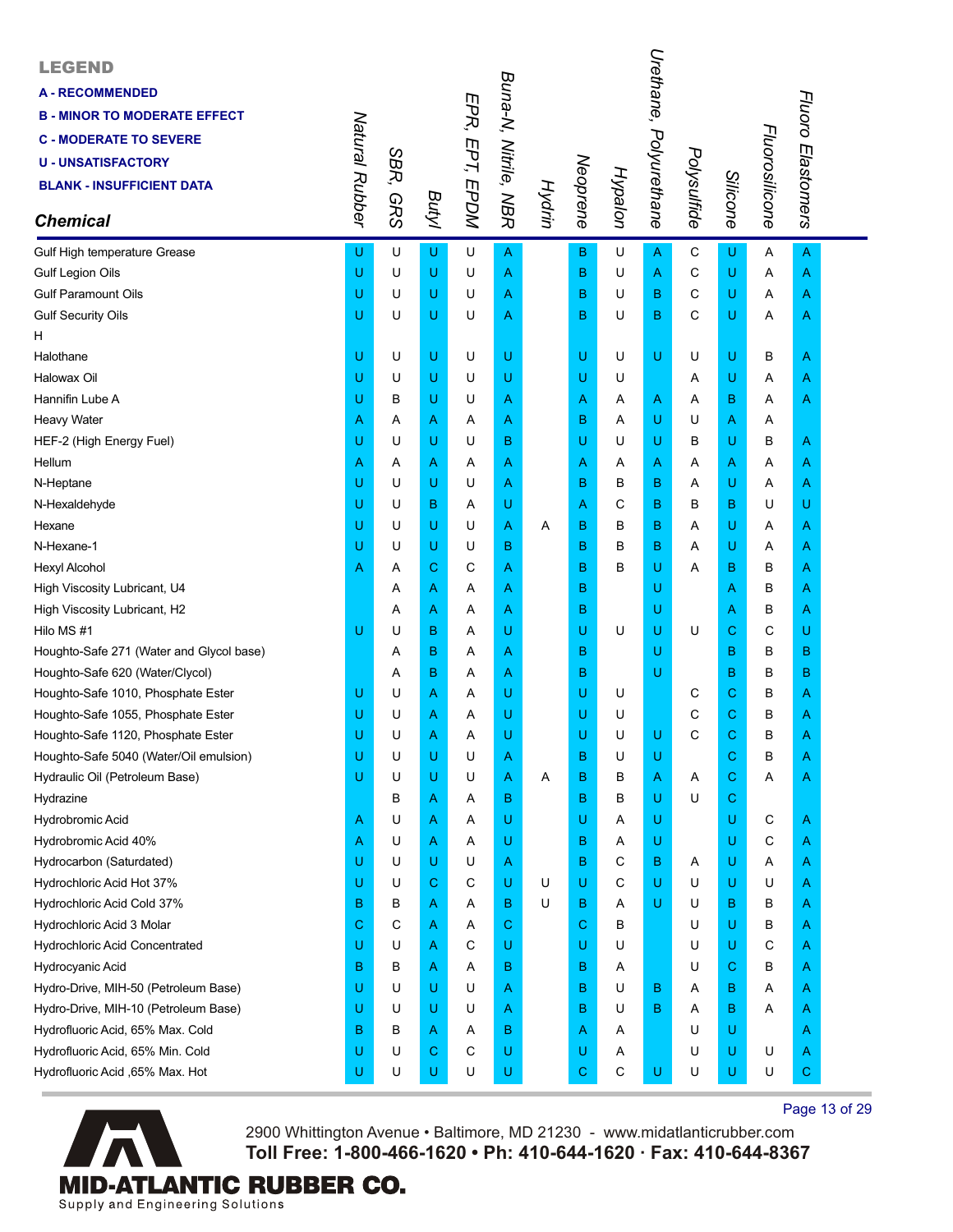| <b>LEGEND</b><br><b>A - RECOMMENDED</b><br><b>B - MINOR TO MODERATE EFFECT</b><br><b>C - MODERATE TO SEVERE</b><br><b>U - UNSATISFACTORY</b><br><b>BLANK - INSUFFICIENT DATA</b><br><b>Chemical</b> | Natural Rubber | SBR,<br><b>GRS</b> | Butyl | EPR, EPT, EPDM | Buna-N, Nitrile, NBR | Hydrin | Neoprene | Hypalon     | Urethane,<br>Polyurethane | Polysulfide | Silicone    | Fluorosilicone | Fluoro Elastomers |  |
|-----------------------------------------------------------------------------------------------------------------------------------------------------------------------------------------------------|----------------|--------------------|-------|----------------|----------------------|--------|----------|-------------|---------------------------|-------------|-------------|----------------|-------------------|--|
| Gulf High temperature Grease                                                                                                                                                                        | U              | U                  | U     | U              | $\overline{A}$       |        | B        | U           | A                         | C           | U           | A              | $\overline{A}$    |  |
| Gulf Legion Oils                                                                                                                                                                                    | U              | U                  | U     | U              | Α                    |        | B        | U           | A                         | C           | U           | Α              | A                 |  |
| <b>Gulf Paramount Oils</b>                                                                                                                                                                          | U              | U                  | U     | U              | Α                    |        | B        | U           | B                         | С           | U           | Α              | A                 |  |
| <b>Gulf Security Oils</b>                                                                                                                                                                           | U              | U                  | U     | U              | Α                    |        | B        | U           | B                         | С           | U           | Α              | A                 |  |
| н                                                                                                                                                                                                   |                |                    |       |                |                      |        |          |             |                           |             |             |                |                   |  |
| Halothane                                                                                                                                                                                           | U              | U                  | U     | U              | U                    |        | U        | U           | U                         | U           | U           | в              | A                 |  |
| Halowax Oil                                                                                                                                                                                         | U              | U                  | U     | U              | U                    |        | U        | U           |                           | Α           | U           | Α              | A                 |  |
| Hannifin Lube A                                                                                                                                                                                     | U              | В                  | U     | U              | Α                    |        | Α        | A           | Α                         | Α           | в           | Α              | A                 |  |
| <b>Heavy Water</b>                                                                                                                                                                                  | Α              | Α                  | Α     | Α              | Α                    |        | в        | Α           | U                         | U           | A           | Α              |                   |  |
| HEF-2 (High Energy Fuel)                                                                                                                                                                            | U              | U                  | U     | U              | в                    |        | U        | U           | U                         | в           | U           | В              | A                 |  |
| Hellum                                                                                                                                                                                              | Α              | Α                  | Α     | Α              | Α                    |        | Α        | Α           | Α                         | Α           | A           | Α              | A                 |  |
| N-Heptane                                                                                                                                                                                           | U              | U                  | U     | U              | Α                    |        | в        | в           | в                         | Α           | U           | Α              | A                 |  |
| N-Hexaldehyde                                                                                                                                                                                       | U              | U                  | B     | Α              | U                    |        | A        | С           | B                         | в           | в           | U              | U                 |  |
| Hexane                                                                                                                                                                                              | U              | U                  | U     | U              | Α                    | A      | B        | B           | B                         | A           | U           | A              | A                 |  |
| N-Hexane-1                                                                                                                                                                                          | U              | U                  | U     | U              | в                    |        | B        | B           | B                         | A           | U           | Α              | Α                 |  |
| <b>Hexyl Alcohol</b>                                                                                                                                                                                | Α              | Α                  | С     | С              | Α                    |        | B        | в           | U                         | Α           | в           | в              | Α                 |  |
| High Viscosity Lubricant, U4                                                                                                                                                                        |                | Α                  | Α     | Α              | Α                    |        | в        |             | U                         |             | A           | В              | Α                 |  |
| High Viscosity Lubricant, H2                                                                                                                                                                        |                | Α                  | Α     | Α              | Α                    |        | B        |             | U                         |             | A           | в              | Α                 |  |
| Hilo MS #1                                                                                                                                                                                          | U              | U                  | B     | Α              | U                    |        | U        | U           | U                         | U           | C           | С              | U                 |  |
| Houghto-Safe 271 (Water and Glycol base)                                                                                                                                                            |                | Α                  | B     | Α              | Α                    |        | B        |             | U                         |             | в           | в              | B                 |  |
| Houghto-Safe 620 (Water/Clycol)                                                                                                                                                                     |                | Α                  | B     | Α              | Α                    |        | В        |             | U                         |             | B           | в              | в                 |  |
| Houghto-Safe 1010, Phosphate Ester                                                                                                                                                                  | U              | U                  | Α     | Α              | U                    |        | U        | U           |                           | С           | $\mathbf C$ | в              | A                 |  |
| Houghto-Safe 1055, Phosphate Ester                                                                                                                                                                  | U              | U                  | Α     | Α              | U                    |        | U        | U           |                           | С           | C           | В              | A                 |  |
| Houghto-Safe 1120, Phosphate Ester                                                                                                                                                                  | U              | U                  | Α     | Α              | U                    |        | U        | U           | U                         | С           | C           | в              | A                 |  |
| Houghto-Safe 5040 (Water/Oil emulsion)                                                                                                                                                              | U              | U                  | U     | U              | Α                    |        | В        | U           | U                         |             | C           | В              |                   |  |
| Hydraulic Oil (Petroleum Base)                                                                                                                                                                      | U              | U                  | U     | U              | Α                    | A      | B        | В           | Α                         | A           | $\mathbf C$ | Α              | A                 |  |
| Hydrazine                                                                                                                                                                                           |                | В                  | Α     | Α              | в                    |        | B        | в           | U                         | U           | C           |                |                   |  |
| Hydrobromic Acid                                                                                                                                                                                    | A              | U                  | Α     | Α              | U                    |        | U        | Α           | U                         |             | U           | С              | A                 |  |
| Hydrobromic Acid 40%                                                                                                                                                                                | Α              | U                  | Α     | Α              | U                    |        | в        | A           | U                         |             | U           | С              | A                 |  |
| Hydrocarbon (Saturdated)                                                                                                                                                                            | U              | U                  | U     | U              | A                    |        | B        | С           | В                         | A           | U           | Α              | A                 |  |
| Hydrochloric Acid Hot 37%                                                                                                                                                                           | U              | U                  | С     | С              | U                    | U      | U        | C           | U                         | U           | U           | U              | A                 |  |
| Hydrochloric Acid Cold 37%                                                                                                                                                                          | в              | в                  | Α     | Α              | в                    | U      | В        | Α           | U                         | U           | в           | в              | A                 |  |
| Hydrochloric Acid 3 Molar                                                                                                                                                                           | С              | С                  | Α     | Α              | C                    |        | С        | в           |                           | U           | U           | В              | A                 |  |
| Hydrochloric Acid Concentrated                                                                                                                                                                      | U              | U                  | Α     | С              | U                    |        | U        | U           |                           | U           | U           | С              | A                 |  |
| Hydrocyanic Acid                                                                                                                                                                                    | В              | в                  | Α     | Α              | в                    |        | B        | A           |                           | U           | C           | В              | A                 |  |
| Hydro-Drive, MIH-50 (Petroleum Base)                                                                                                                                                                | U              | U                  | U     | U              | Α                    |        | в        | U           | В                         | Α           | в           | Α              | A                 |  |
| Hydro-Drive, MIH-10 (Petroleum Base)                                                                                                                                                                | U              | U                  | U     | U              | Α                    |        | в        | U           | B                         | Α           | в           | Α              | A                 |  |
| Hydrofluoric Acid, 65% Max. Cold                                                                                                                                                                    | в              | В                  | Α     | Α              | в                    |        | Α        | A           |                           | U           | U           |                | A                 |  |
| Hydrofluoric Acid, 65% Min. Cold                                                                                                                                                                    | U              | U                  | С     | С              | U                    |        | U        | A           |                           | U           | U           | U              | Α                 |  |
| Hydrofluoric Acid ,65% Max. Hot                                                                                                                                                                     | U              | U                  | U     | U              | U                    |        | С        | $\mathsf C$ | U                         | U           | U           | U              | C.                |  |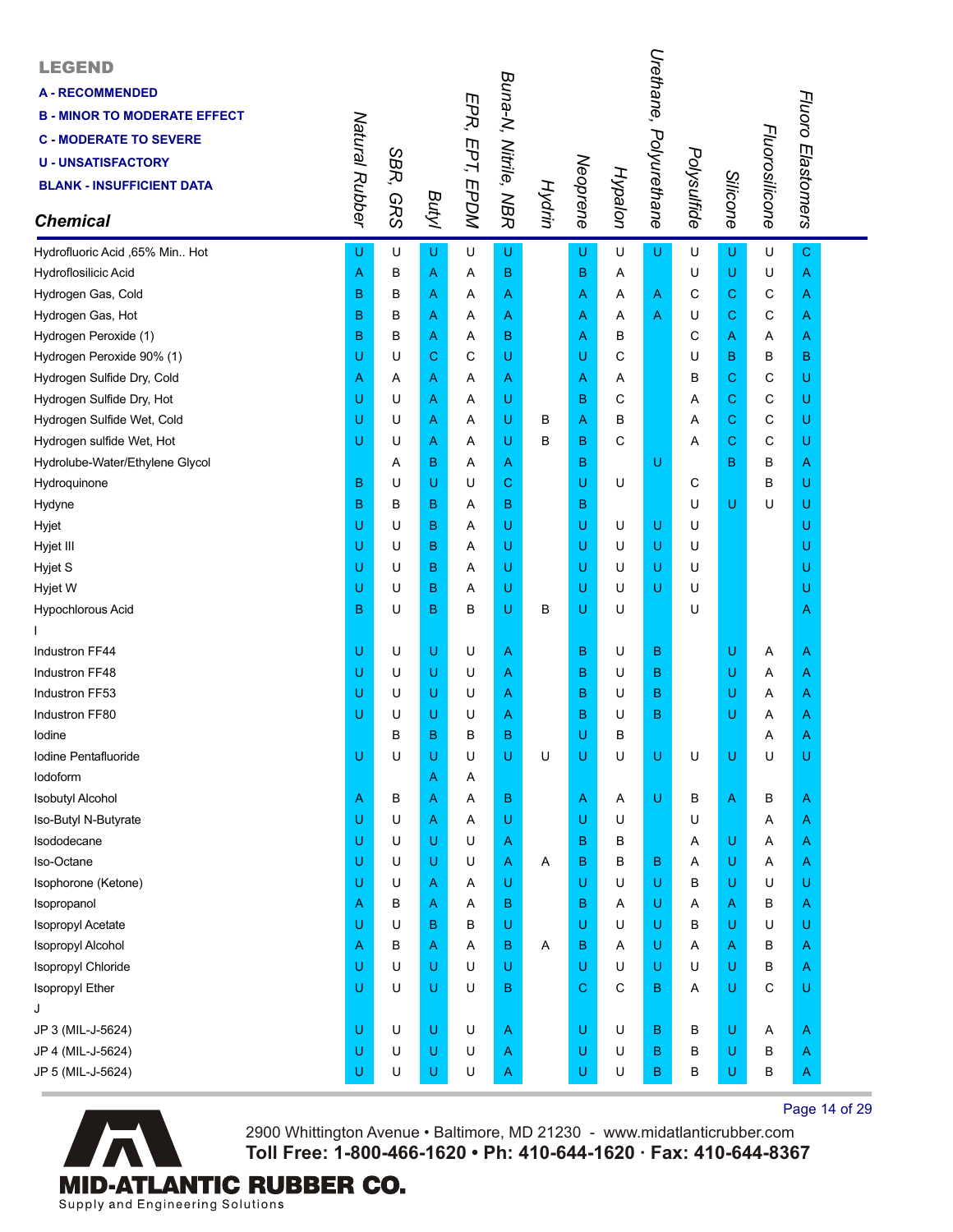| <b>LEGEND</b><br><b>A - RECOMMENDED</b><br><b>B - MINOR TO MODERATE EFFECT</b><br><b>C - MODERATE TO SEVERE</b><br><b>U - UNSATISFACTORY</b><br><b>BLANK - INSUFFICIENT DATA</b><br><b>Chemical</b> | Natural Rubber | SBR,<br><b>GRS</b> | Butyl | EPR, EPT, EPDM | Buna-N, Nitrile, NBR | Hydrin | Neoprene | Hypalon      | Urethane, Polyurethane | Polysulfide | Silicone | Fluorosilicone | Fluoro Elastomers |  |
|-----------------------------------------------------------------------------------------------------------------------------------------------------------------------------------------------------|----------------|--------------------|-------|----------------|----------------------|--------|----------|--------------|------------------------|-------------|----------|----------------|-------------------|--|
| Hydrofluoric Acid ,65% Min Hot                                                                                                                                                                      | U              | U                  | U     | U              | U                    |        | U        | U            | U                      | U           | U        | U              | $\mathbf C$       |  |
| Hydroflosilicic Acid                                                                                                                                                                                | Α              | B                  | Α     | Α              | B                    |        | B        | Α            |                        | U           | U        | U              | A                 |  |
| Hydrogen Gas, Cold                                                                                                                                                                                  | B              | B                  | Α     | Α              | Α                    |        | A        | Α            | A                      | C           | C        | С              | A                 |  |
| Hydrogen Gas, Hot                                                                                                                                                                                   | B              | B                  | Α     | Α              | Α                    |        | A        | Α            | A                      | U           | С        | C              | A                 |  |
| Hydrogen Peroxide (1)                                                                                                                                                                               | B              | в                  | Α     | Α              | B                    |        | A        | в            |                        | C           | Α        | Α              | A                 |  |
| Hydrogen Peroxide 90% (1)                                                                                                                                                                           | U              | U                  | C     | C              | U                    |        | U        | C            |                        | U           | B        | В              | B                 |  |
| Hydrogen Sulfide Dry, Cold                                                                                                                                                                          | Α              | Α                  | Α     | Α              | Α                    |        | A        | A            |                        | B           | C        | С              | U                 |  |
| Hydrogen Sulfide Dry, Hot                                                                                                                                                                           | U              | U                  | Α     | Α              | U                    |        | B        | C            |                        | Α           | С        | С              | U                 |  |
| Hydrogen Sulfide Wet, Cold                                                                                                                                                                          | U              | U                  | Α     | Α              | U                    | в      | A        | B            |                        | Α           | C        | С              | U                 |  |
| Hydrogen sulfide Wet, Hot                                                                                                                                                                           | U              | U                  | Α     | Α              | U                    | в      | в        | $\mathsf{C}$ |                        | Α           | C        | C              | U                 |  |
| Hydrolube-Water/Ethylene Glycol                                                                                                                                                                     |                | Α                  | B     | Α              | Α                    |        | B        |              | U                      |             | B        | в              | A                 |  |
| Hydroquinone                                                                                                                                                                                        | B              | U                  | U     | U              | С                    |        | U        | U            |                        | C           |          | В              | U                 |  |
| Hydyne                                                                                                                                                                                              | B              | В                  | B     | Α              | B                    |        | в        |              |                        | U           | U        | U              | U                 |  |
| Hyjet                                                                                                                                                                                               | U              | U                  | в     | Α              | U                    |        | U        | U            | U                      | U           |          |                | U                 |  |
| Hyjet III                                                                                                                                                                                           | U              | U                  | B     | Α              | U                    |        | U        | U            | U                      | U           |          |                | U                 |  |
| Hyjet S                                                                                                                                                                                             | U              | U                  | B     | Α              | U                    |        | U        | U            | U                      | U           |          |                | U                 |  |
| Hyjet W                                                                                                                                                                                             | U              | U                  | B     | Α              | U                    |        | U        | U            | U                      | U           |          |                | U                 |  |
| Hypochlorous Acid                                                                                                                                                                                   | B              | U                  | в     | В              | U                    | в      | U        | U            |                        | U           |          |                | A                 |  |
|                                                                                                                                                                                                     |                |                    |       |                |                      |        |          |              |                        |             |          |                |                   |  |
| Industron FF44                                                                                                                                                                                      | U              | U                  | U     | U              | Α                    |        | в        | U            | В                      |             | U        | Α              | A                 |  |
| Industron FF48                                                                                                                                                                                      | U              | U                  | U     | U              | Α                    |        | в        | U            | в                      |             | U        | Α              | Α                 |  |
| Industron FF53                                                                                                                                                                                      | U              | U                  | U     | U              | Α                    |        | B        | U            | в                      |             | U        | Α              | A                 |  |
| Industron FF80                                                                                                                                                                                      | U              | U                  | U     | U              | Α                    |        | B        | U            | В                      |             | U        | Α              | A                 |  |
| lodine                                                                                                                                                                                              |                | B                  | B     | в              | B                    |        | U        | B            |                        |             |          | Α              | Α                 |  |
| Iodine Pentafluoride                                                                                                                                                                                | U              | U                  | U     | U              | U                    | U      | U        | U            | U                      | U           | U        | U              | U                 |  |
| lodoform                                                                                                                                                                                            |                |                    | Α     | Α              |                      |        |          |              |                        |             |          |                |                   |  |
| <b>Isobutyl Alcohol</b>                                                                                                                                                                             | Α              | В                  | Α     | Α              | B                    |        | A        | Α            | U                      | B           | Α        | в              | A                 |  |
| Iso-Butyl N-Butyrate                                                                                                                                                                                | U              | U                  | Α     | Α              | U                    |        | U        | U            |                        | U           |          | Α              | A                 |  |
| Isododecane                                                                                                                                                                                         | U              | U                  | U     | U              | Α                    |        | в        | В            |                        | A           | U        | Α              | A                 |  |
| Iso-Octane                                                                                                                                                                                          | U              | U                  | U     | U              | Α                    | Α      | B        | B            | В                      | Α           | U        | Α              | A                 |  |
| Isophorone (Ketone)                                                                                                                                                                                 | U              | U                  | Α     | Α              | U                    |        | U        | U            | U                      | В           | U        | U              | U                 |  |
| Isopropanol                                                                                                                                                                                         | Α              | В                  | Α     | Α              | B                    |        | в        | Α            | U                      | Α           | Α        | В              | A                 |  |
| Isopropyl Acetate                                                                                                                                                                                   | U              | U                  | B     | B              | U                    |        | U        | U            | U                      | В           | U        | U              | U                 |  |
| Isopropyl Alcohol                                                                                                                                                                                   | Α              | B                  | Α     | Α              | в                    | Α      | B        | Α            | U                      | Α           | Α        | В              | A                 |  |
| Isopropyl Chloride                                                                                                                                                                                  | U              | U                  | U     | U              | U                    |        | U        | U            | U                      | U           | U        | в              | A                 |  |
| Isopropyl Ether                                                                                                                                                                                     | U              | U                  | U     | U              | B                    |        | C        | C            | В                      | Α           | U        | С              | U                 |  |
| J                                                                                                                                                                                                   |                |                    |       |                |                      |        |          |              |                        |             |          |                |                   |  |
| JP 3 (MIL-J-5624)                                                                                                                                                                                   | U              | U                  | U     | U              | A                    |        | U        | U            | B                      | В           | U        | Α              | A                 |  |
| JP 4 (MIL-J-5624)                                                                                                                                                                                   | U              | U                  | U     | U              | Α                    |        | U        | U            | В                      | В           | U        | В              | A                 |  |
| JP 5 (MIL-J-5624)                                                                                                                                                                                   | U              | U                  | U     | U              | Α                    |        | U        | U            | В                      | В           | U        | В              | A                 |  |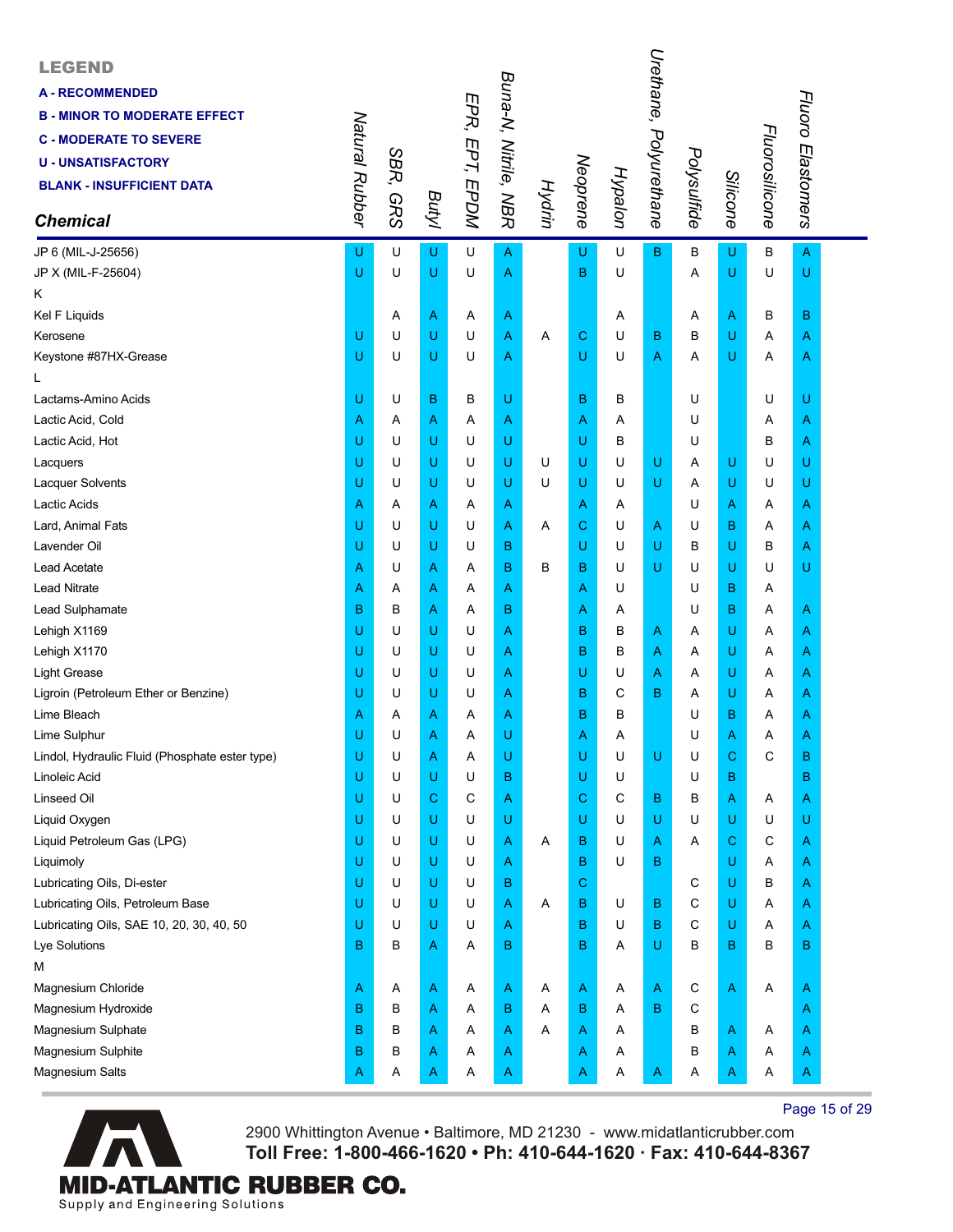| <b>LEGEND</b><br><b>A - RECOMMENDED</b><br><b>B - MINOR TO MODERATE EFFECT</b><br><b>C - MODERATE TO SEVERE</b><br><b>U-UNSATISFACTORY</b><br><b>BLANK - INSUFFICIENT DATA</b><br><b>Chemical</b> | Natural Rubber | SBR,<br><b>GRS</b> | <b>Butyl</b> | EPR, EPT, EPDM | Buna-N, Nitrile, NBR | Hydrin | Neoprene | Hypalon | Urethane,<br>Polyurethane | Polysulfide | Silicone    | Fluorosilicone | Fluoro Elastomers |  |
|---------------------------------------------------------------------------------------------------------------------------------------------------------------------------------------------------|----------------|--------------------|--------------|----------------|----------------------|--------|----------|---------|---------------------------|-------------|-------------|----------------|-------------------|--|
| JP 6 (MIL-J-25656)                                                                                                                                                                                | U              | U                  | U            | U              | $\overline{A}$       |        | U        | U       | B                         | В           | U           | B              | $\overline{A}$    |  |
| JP X (MIL-F-25604)                                                                                                                                                                                | U              | U                  | U            | U              | Α                    |        | B        | U       |                           | Α           | U           | U              | U                 |  |
| Κ                                                                                                                                                                                                 |                |                    |              |                |                      |        |          |         |                           |             |             |                |                   |  |
| Kel F Liquids                                                                                                                                                                                     |                | Α                  | Α            | Α              | Α                    |        |          | Α       |                           | Α           | A           | в              | в                 |  |
| Kerosene                                                                                                                                                                                          | U              | U                  | U            | U              | Α                    | Α      | С        | U       | B                         | В           | U           | Α              | A                 |  |
| Keystone #87HX-Grease                                                                                                                                                                             | U              | U                  | U            | U              | Α                    |        | U        | U       | Α                         | A           | U           | Α              | A                 |  |
| L                                                                                                                                                                                                 |                |                    |              |                |                      |        |          |         |                           |             |             |                |                   |  |
| Lactams-Amino Acids                                                                                                                                                                               | U              | U                  | в            | В              | U                    |        | в        | B       |                           | U           |             | U              | U                 |  |
| Lactic Acid, Cold                                                                                                                                                                                 | Α              | Α                  | Α            | Α              | Α                    |        | Α        | Α       |                           | U           |             | Α              | A                 |  |
| Lactic Acid, Hot                                                                                                                                                                                  | U              | U                  | U            | U              | U                    |        | U        | В       |                           | U           |             | В              | Α                 |  |
| Lacquers                                                                                                                                                                                          | U              | U                  | U            | U              | U                    | U      | U        | U       | U                         | Α           | U           | U              | U                 |  |
| <b>Lacquer Solvents</b>                                                                                                                                                                           | U              | U                  | U            | U              | U                    | U      | U        | U       | U                         | Α           | U           | U              | U                 |  |
| Lactic Acids                                                                                                                                                                                      | Α              | Α                  | Α            | Α              | Α                    |        | Α        | Α       |                           | U           | A           | Α              | Α                 |  |
| Lard, Animal Fats                                                                                                                                                                                 | U              | U                  | U            | U              | Α                    | A      | C        | U       | Α                         | U           | в           | A              | Α                 |  |
| Lavender Oil                                                                                                                                                                                      | U              | U                  | U            | U              | в                    |        | U        | U       | U                         | в           | U           | в              | Α                 |  |
| <b>Lead Acetate</b>                                                                                                                                                                               | Α              | U                  | Α            | Α              | B                    | В      | в        | U       | U                         | U           | U           | U              | U                 |  |
| <b>Lead Nitrate</b>                                                                                                                                                                               | Α              | A                  | Α            | Α              | Α                    |        | Α        | U       |                           | U           | в           | Α              |                   |  |
| Lead Sulphamate                                                                                                                                                                                   | B              | B                  | Α            | Α              | в                    |        | Α        | A       |                           | U           | в           | A              | A                 |  |
| Lehigh X1169                                                                                                                                                                                      | U              | U                  | U            | U              | Α                    |        | B        | B       | Α                         | Α           | U           | Α              | A                 |  |
| Lehigh X1170                                                                                                                                                                                      | U              | U                  | U            | U              | Α                    |        | в        | В       | Α                         | Α           | U           | Α              | A                 |  |
| <b>Light Grease</b>                                                                                                                                                                               | U              | U                  | U            | U              | Α                    |        | U        | U       | Α                         | Α           | U           | Α              | A                 |  |
| Ligroin (Petroleum Ether or Benzine)                                                                                                                                                              | U              | U                  | U            | U              | Α                    |        | B        | С       | B                         | Α           | U           | A              | A                 |  |
| Lime Bleach                                                                                                                                                                                       | Α              | Α                  | Α            | Α              | Α                    |        | B        | В       |                           | U           | в           | Α              | A                 |  |
| Lime Sulphur                                                                                                                                                                                      | U              | U                  | Α            | Α              | U                    |        | A        | A       |                           | U           | Α           | Α              | A                 |  |
| Lindol, Hydraulic Fluid (Phosphate ester type)                                                                                                                                                    | U              | U                  | Α            | Α              | U                    |        | U        | U       | U                         | U           | C           | C              | B                 |  |
| Linoleic Acid                                                                                                                                                                                     | U              | U                  | U            | U              | в                    |        | U        | U       |                           | U           | B           |                | в                 |  |
| Linseed Oil                                                                                                                                                                                       | U              | U                  | C            | С              | Α                    |        | C        | С       | В                         | в           | $\mathsf A$ | Α              | A                 |  |
| Liquid Oxygen                                                                                                                                                                                     | U              | U                  | U            | U              | U                    |        | U        | U       | U                         | U           | U           | U              | U                 |  |
| Liquid Petroleum Gas (LPG)                                                                                                                                                                        | U              | U                  | U            | U              | Α                    | Α      | В        | U       | Α                         | Α           | $\mathbf C$ | С              | A                 |  |
| Liquimoly                                                                                                                                                                                         | U              | U                  | U            | U              | Α                    |        | B        | U       | В                         |             | U           | Α              | A                 |  |
| Lubricating Oils, Di-ester                                                                                                                                                                        | U              | U                  | U            | U              | в                    |        | С        |         |                           | C           | U           | в              | A                 |  |
| Lubricating Oils, Petroleum Base                                                                                                                                                                  | U              | U                  | U            | U              | Α                    | Α      | В        | U       | В                         | С           | U           | Α              | A                 |  |
| Lubricating Oils, SAE 10, 20, 30, 40, 50                                                                                                                                                          | U              | U                  | U            | U              | Α                    |        | B        | U       | В                         | C           | U           | Α              | A                 |  |
| Lye Solutions                                                                                                                                                                                     | B              | В                  | Α            | Α              | В                    |        | B        | Α       | U                         | В           | $\mathbf B$ | B              | в                 |  |
| М                                                                                                                                                                                                 |                |                    |              |                |                      |        |          |         |                           |             |             |                |                   |  |
| Magnesium Chloride                                                                                                                                                                                | Α              | A                  | A            | Α              | A                    | A      | A        | A       | Α                         | C           | A           | A              | A                 |  |
| Magnesium Hydroxide                                                                                                                                                                               | B              | В                  | Α            | Α              | в                    | Α      | B        | Α       | B                         | C           |             |                | A                 |  |
| Magnesium Sulphate                                                                                                                                                                                | B              | B                  | Α            | Α              | Α                    | Α      | Α        | Α       |                           | В           | A           | A              | A                 |  |
| Magnesium Sulphite                                                                                                                                                                                | B              | В                  | Α            | Α              | Α                    |        | A        | Α       |                           | В           | A           | Α              | A                 |  |
| Magnesium Salts                                                                                                                                                                                   | A              | Α                  | A            | A              | A                    |        | A        | A       | A                         | A           | A           | Α              | A                 |  |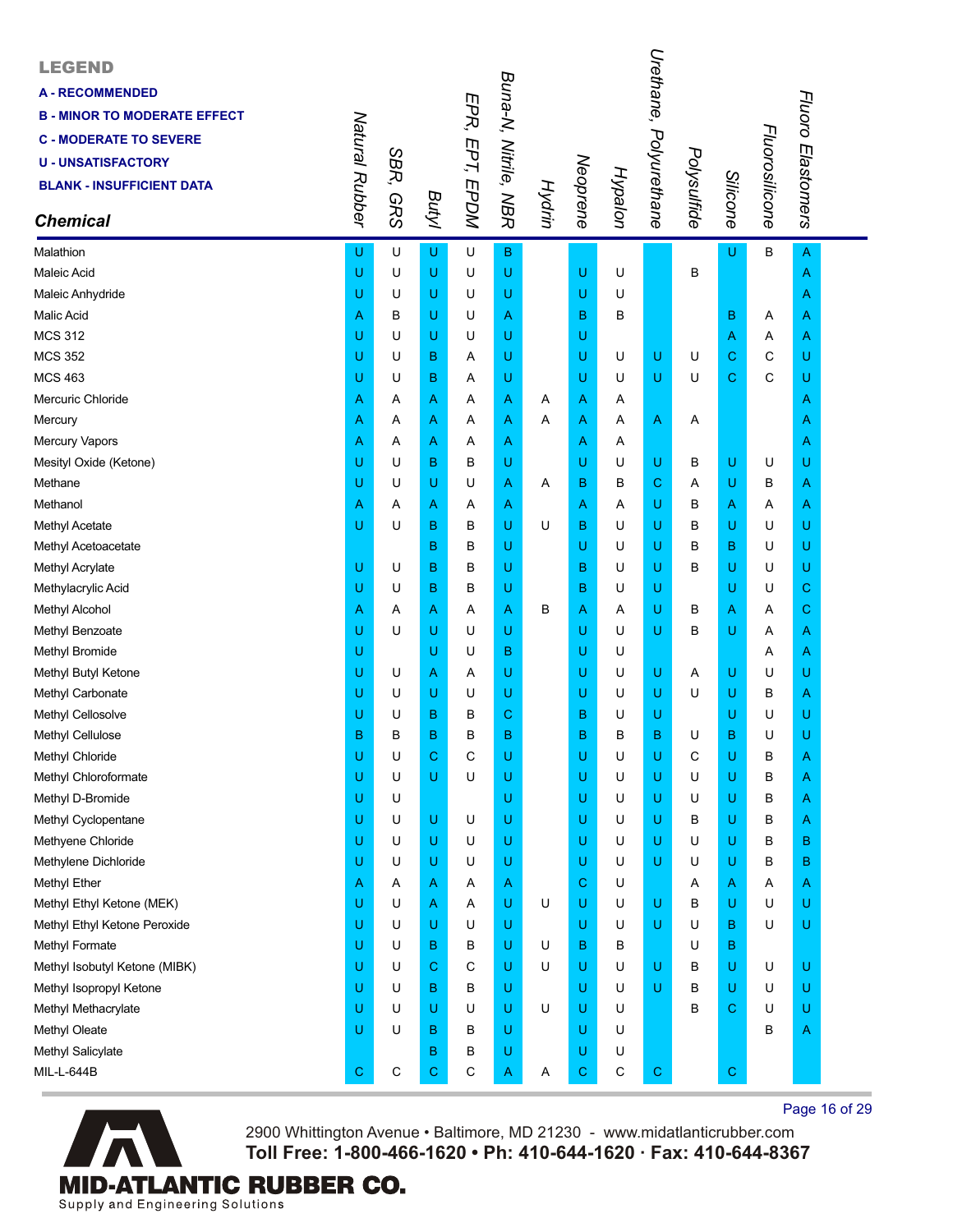| <b>LEGEND</b><br><b>A - RECOMMENDED</b><br><b>B - MINOR TO MODERATE EFFECT</b><br><b>C - MODERATE TO SEVERE</b><br><b>U - UNSATISFACTORY</b><br><b>BLANK - INSUFFICIENT DATA</b><br><b>Chemical</b> | Natural Rubber | SBR,<br><b>GRS</b> | Butyl       | EPR, EPT, EPDM | Buna-N, Nitrile, NBR |   |   | Hypalon<br>Neoprene<br>Hydrin | Urethane, Polyurethane | Polysulfide | Silicone | Fluorosilicone | Fluoro Elastomers |  |
|-----------------------------------------------------------------------------------------------------------------------------------------------------------------------------------------------------|----------------|--------------------|-------------|----------------|----------------------|---|---|-------------------------------|------------------------|-------------|----------|----------------|-------------------|--|
| Malathion                                                                                                                                                                                           | U              | U                  | U           | U              | $\overline{B}$       |   |   |                               |                        |             | U        | B              | A                 |  |
| Maleic Acid                                                                                                                                                                                         | U              | U                  | U           | U              | U                    |   | U | U                             |                        | В           |          |                | Α                 |  |
| Maleic Anhydride                                                                                                                                                                                    | U              | U                  | U           | U              | U                    |   | U | U                             |                        |             |          |                | Α                 |  |
| Malic Acid                                                                                                                                                                                          | Α              | в                  | U           | U              | Α                    |   | в | в                             |                        |             | B        | Α              | A                 |  |
| <b>MCS 312</b>                                                                                                                                                                                      | U              | U                  | U           | U              | U                    |   | U |                               |                        |             | Α        | Α              | A                 |  |
| <b>MCS 352</b>                                                                                                                                                                                      | U              | U                  | B           | Α              | U                    |   | U | U                             | U                      | U           | С        | C              | U                 |  |
| <b>MCS 463</b>                                                                                                                                                                                      | U              | U                  | B           | Α              | U                    |   | U | U                             | U                      | U           | C.       | $\mathsf{C}$   | U                 |  |
| Mercuric Chloride                                                                                                                                                                                   | Α              | A                  | Α           | Α              | Α                    | Α | Α | Α                             |                        |             |          |                | Α                 |  |
| Mercury                                                                                                                                                                                             | A              | Α                  | Α           | Α              | Α                    | Α | Α | Α                             | A                      | A           |          |                | Α                 |  |
| Mercury Vapors                                                                                                                                                                                      | Α              | Α                  | A           | Α              | A                    |   | Α | Α                             |                        |             |          |                | Α                 |  |
| Mesityl Oxide (Ketone)                                                                                                                                                                              | U              | U                  | B           | В              | U                    |   | U | U                             | U                      | в           | U        | U              | U                 |  |
| Methane                                                                                                                                                                                             | U              | U                  | U           | U              | Α                    | Α | в | в                             | C                      | Α           | U        | в              | Α                 |  |
| Methanol                                                                                                                                                                                            | Α              | Α                  | Α           | Α              | Α                    |   | Α | Α                             | U                      | В           | Α        | Α              | Α                 |  |
| Methyl Acetate                                                                                                                                                                                      | U              | U                  | B           | В              | U                    | U | в | U                             | U                      | в           | U        | U              | U                 |  |
| Methyl Acetoacetate                                                                                                                                                                                 |                |                    | B           | В              | U                    |   | U | U                             | U                      | в           | В        | U              | U                 |  |
| Methyl Acrylate                                                                                                                                                                                     | U              | U                  | B           | в              | U                    |   | B | U                             | U                      | в           | U        | U              | U                 |  |
| Methylacrylic Acid                                                                                                                                                                                  | U              | U                  | B           | В              | U                    |   | B | U                             | U                      |             | U        | U              | С                 |  |
| Methyl Alcohol                                                                                                                                                                                      | Α              | Α                  | A           | Α              | Α                    | в | Α | Α                             | U                      | в           | Α        | Α              | С                 |  |
| Methyl Benzoate                                                                                                                                                                                     | U              | U                  | U           | U              | U                    |   | U | U                             | U                      | в           | U        | Α              | Α                 |  |
| Methyl Bromide                                                                                                                                                                                      | U              |                    | U           | U              | в                    |   | U | U                             |                        |             |          | Α              | Α                 |  |
| Methyl Butyl Ketone                                                                                                                                                                                 | U              | U                  | Α           | Α              | U                    |   | U | U                             | U                      | Α           | U        | U              | U                 |  |
| Methyl Carbonate                                                                                                                                                                                    | U              | U                  | U           | U              | U                    |   | U | U                             | U                      | U           | U        | В              | A                 |  |
| Methyl Cellosolve                                                                                                                                                                                   | U              | U                  | B           | В              | C                    |   | B | U                             | U                      |             | U        | U              | U                 |  |
| Methyl Cellulose                                                                                                                                                                                    | B              | B                  | B           | B              | B                    |   | в | в                             | в                      | U           | В        | U              | U                 |  |
| Methyl Chloride                                                                                                                                                                                     | U              | U                  | C           | С              | U                    |   | U | U                             | U                      | С           | U        | В              | Α                 |  |
| Methyl Chloroformate                                                                                                                                                                                | U              | U                  | U           | U              | U                    |   | U | U                             | U                      | U           | U        | В              | Α                 |  |
| Methyl D-Bromide                                                                                                                                                                                    | U              | U                  |             |                | U                    |   | U | U                             | U                      | U           | U        | В              | Α                 |  |
| Methyl Cyclopentane                                                                                                                                                                                 | U              | U                  | U           | U              | U                    |   | U | U                             | U                      | в           | U        | в              | A                 |  |
| Methyene Chloride                                                                                                                                                                                   | U              | U                  | U           | U              | U                    |   | U | U                             | U                      | U           | U        | В              | в                 |  |
| Methylene Dichloride                                                                                                                                                                                | U              | U                  | U           | U              | U                    |   | U | U                             | U                      | U           | U        | В              | в                 |  |
| Methyl Ether                                                                                                                                                                                        | Α              | A                  | Α           | Α              | A                    |   | С | U                             |                        | A           | Α        | Α              | A                 |  |
| Methyl Ethyl Ketone (MEK)                                                                                                                                                                           | U              | U                  | A           | Α              | U                    | U | U | U                             | U                      | в           | U        | U              | U                 |  |
| Methyl Ethyl Ketone Peroxide                                                                                                                                                                        | U              | U                  | U           | U              | U                    |   | U | U                             | U                      | U           | В        | U              | U                 |  |
| Methyl Formate                                                                                                                                                                                      | U              | U                  | B           | В              | U                    | U | B | В                             |                        | U           | B        |                |                   |  |
| Methyl Isobutyl Ketone (MIBK)                                                                                                                                                                       | U              | U                  | С           | C              | U                    | U | U | U                             | U                      | в           | U        | U              | U                 |  |
| Methyl Isopropyl Ketone                                                                                                                                                                             | U              | U                  | B           | В              | U                    |   | U | U                             | U                      | в           | U        | U              | U                 |  |
| Methyl Methacrylate                                                                                                                                                                                 | U              | U                  | U           | U              | U                    | U | U | U                             |                        | В           | C        | U              | U                 |  |
| Methyl Oleate                                                                                                                                                                                       | U              | U                  | B           | В              | U                    |   | U | U                             |                        |             |          | В              | Α                 |  |
| Methyl Salicylate                                                                                                                                                                                   |                |                    | B           | В              | U                    |   | U | U                             |                        |             |          |                |                   |  |
| MIL-L-644B                                                                                                                                                                                          | С              | С                  | $\mathbf C$ | С              | A                    | Α | C | С                             | $\mathbf C$            |             | C        |                |                   |  |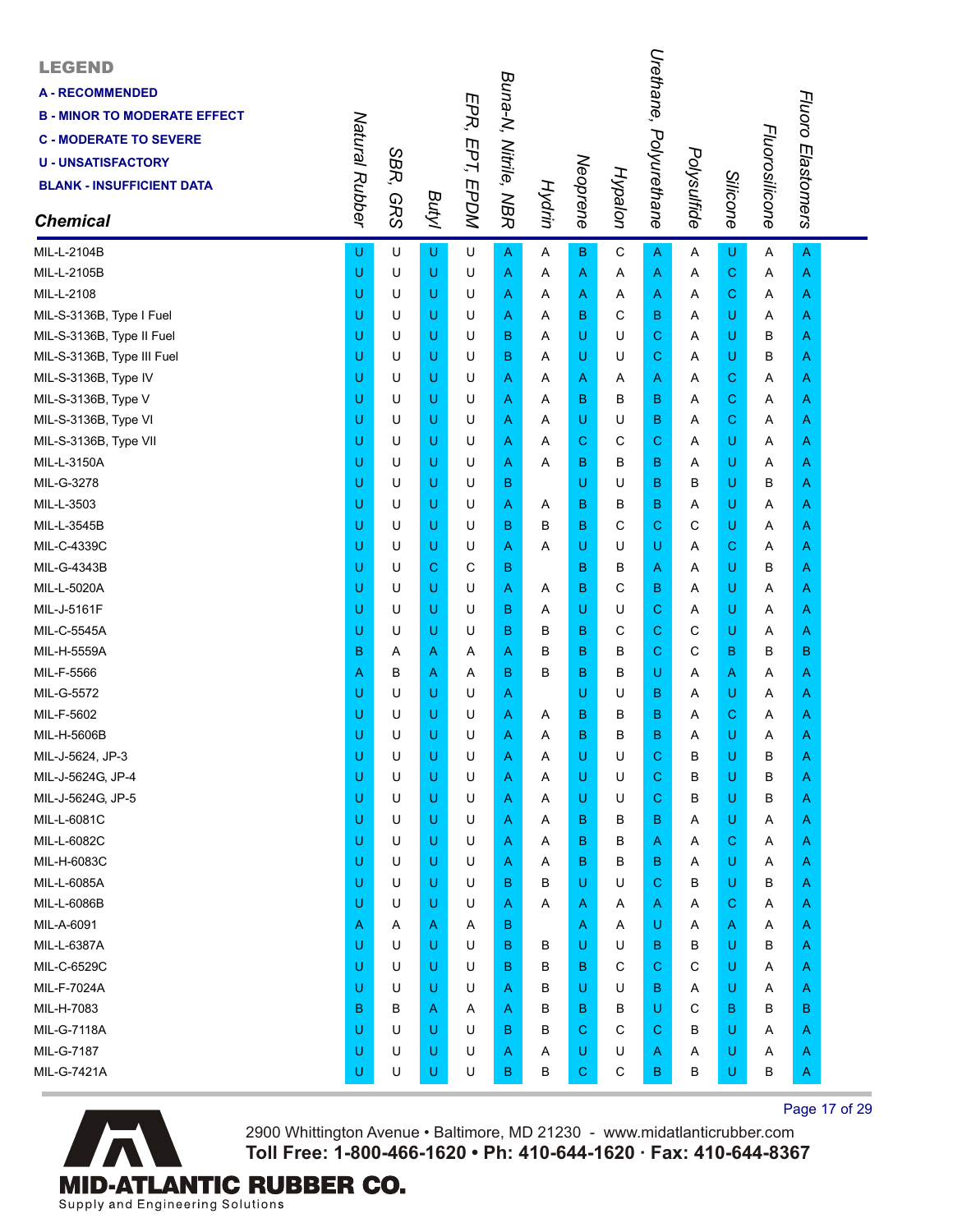| <b>LEGEND</b><br><b>A-RECOMMENDED</b><br><b>B - MINOR TO MODERATE EFFECT</b><br><b>C - MODERATE TO SEVERE</b><br><b>U - UNSATISFACTORY</b><br><b>BLANK - INSUFFICIENT DATA</b><br><b>Chemical</b> | Natural Rubber | SBR,<br><b>GRS</b> | <b>Butyl</b> | EPR, EPT, EPDM | Buna-N, Nitrile, NBR | Hydrin | Neoprene | Hypalon      | Urethane,<br>Polyurethane | Polysulfide | Silicone    | Fluorosilicone | Fluoro Elastomers |  |
|---------------------------------------------------------------------------------------------------------------------------------------------------------------------------------------------------|----------------|--------------------|--------------|----------------|----------------------|--------|----------|--------------|---------------------------|-------------|-------------|----------------|-------------------|--|
| MIL-L-2104B                                                                                                                                                                                       | U              | U                  | U            | U              | $\overline{A}$       | Α      | B        | $\mathbf C$  | A                         | Α           | U           | A              | A                 |  |
| MIL-L-2105B                                                                                                                                                                                       | U              | U                  | U            | U              | A                    | Α      | A        | Α            | A                         | Α           | $\mathbf C$ | Α              | A                 |  |
| MIL-L-2108                                                                                                                                                                                        | U              | U                  | U            | U              | Α                    | A      | A        | A            | Α                         | A           | C           | Α              | A                 |  |
| MIL-S-3136B, Type I Fuel                                                                                                                                                                          | U              | U                  | U            | U              | Α                    | Α      | B        | $\mathsf{C}$ | в                         | Α           | U           | Α              | A                 |  |
| MIL-S-3136B, Type II Fuel                                                                                                                                                                         | U              | U                  | U            | U              | B                    | A      | U        | U            | $\mathbf C$               | A           | U           | B              | A                 |  |
| MIL-S-3136B, Type III Fuel                                                                                                                                                                        | U              | U                  | U            | U              | в                    | A      | U        | U            | $\mathbf C$               | A           | U           | В              | A                 |  |
| MIL-S-3136B, Type IV                                                                                                                                                                              | U              | U                  | U            | U              | Α                    | A      | Α        | A            | Α                         | A           | C           | Α              | A                 |  |
| MIL-S-3136B, Type V                                                                                                                                                                               | U              | U                  | U            | U              | Α                    | A      | в        | B            | в                         | Α           | $\mathbf C$ | Α              | A                 |  |
| MIL-S-3136B, Type VI                                                                                                                                                                              | U              | U                  | U            | U              | Α                    | Α      | U        | U            | B                         | Α           | C           | A              | A                 |  |
| MIL-S-3136B, Type VII                                                                                                                                                                             | U              | U                  | U            | U              | Α                    | Α      | С        | C            | С                         | Α           | U           | Α              | A                 |  |
| MIL-L-3150A                                                                                                                                                                                       | U              | U                  | U            | U              | Α                    | Α      | в        | В            | в                         | A           | U           | Α              | A                 |  |
| MIL-G-3278                                                                                                                                                                                        | U              | U                  | U            | U              | В                    |        | U        | U            | в                         | B           | U           | В              | A                 |  |
| MIL-L-3503                                                                                                                                                                                        | U              | U                  | U            | U              | A                    | A      | в        | В            | B                         | Α           | U           | Α              | A                 |  |
| MIL-L-3545B                                                                                                                                                                                       | U              | U                  | U            | U              | в                    | в      | B        | C            | C.                        | C           | U           | Α              | A                 |  |
| MIL-C-4339C                                                                                                                                                                                       | U              | U                  | U            | U              | Α                    | Α      | U        | U            | U                         | A           | C           | Α              | A                 |  |
| MIL-G-4343B                                                                                                                                                                                       | U              | U                  | С            | C              | в                    |        | B        | B            | A                         | Α           | U           | В              | A                 |  |
| MIL-L-5020A                                                                                                                                                                                       | U              | U                  | U            | U              | Α                    | A      | в        | C            | B                         | Α           | U           | Α              | A                 |  |
| MIL-J-5161F                                                                                                                                                                                       | U              | U                  | U            | U              | в                    | Α      | U        | U            | C                         | Α           | U           | Α              | A                 |  |
| MIL-C-5545A                                                                                                                                                                                       | U              | U                  | U            | U              | в                    | в      | в        | C            | С                         | С           | U           | Α              | A                 |  |
| MIL-H-5559A                                                                                                                                                                                       | B              | A                  | A            | Α              | Α                    | В      | B        | В            | C.                        | C           | B           | В              | В                 |  |
| MIL-F-5566                                                                                                                                                                                        | Α              | в                  | A            | Α              | B                    | в      | в        | В            | U                         | Α           | A           | Α              | A                 |  |
| MIL-G-5572                                                                                                                                                                                        | U              | U                  | U            | U              | A                    |        | U        | U            | B                         | Α           | U           | A              | A                 |  |
| MIL-F-5602                                                                                                                                                                                        | U              | U                  | U            | U              | Α                    | Α      | в        | в            | в                         | A           | C           | Α              | A                 |  |
| MIL-H-5606B                                                                                                                                                                                       | U              | U                  | U            | U              | Α                    | Α      | в        | B            | B                         | Α           | U           | Α              | Α                 |  |
| MIL-J-5624, JP-3                                                                                                                                                                                  | U              | U                  | U            | U              | A                    | Α      | U        | U            | C.                        | B           | U           | В              | A                 |  |
| MIL-J-5624G, JP-4                                                                                                                                                                                 | U              | U                  | U            | U              | Α                    | Α      | U        | U            | C.                        | B           | U           | B              | A                 |  |
| MIL-J-5624G, JP-5                                                                                                                                                                                 | U              | U                  | U            | U              | Α                    | Α      | U        | U            | С                         | B           | U           | В              | A                 |  |
| MIL-L-6081C                                                                                                                                                                                       | U              | U                  | U            | U              | A                    | A      | в        | в            | в                         | Α           | U           | Α              | A                 |  |
| MIL-L-6082C                                                                                                                                                                                       | U              | U                  | U            | U              | A                    | Α      | в        | в            | A                         | Α           | $\mathbf C$ | Α              | A                 |  |
| MIL-H-6083C                                                                                                                                                                                       | U              | U                  | U            | U              | A                    | Α      | в        | в            | в                         | Α           | U           | Α              | A                 |  |
| MIL-L-6085A                                                                                                                                                                                       | U              | U                  | U            | U              | B                    | В      | U        | U            | С                         | В           | U           | В              | A                 |  |
| MIL-L-6086B                                                                                                                                                                                       | U              | U                  | U            | U              | Α                    | Α      | A        | Α            | A                         | Α           | C           | Α              | A                 |  |
| MIL-A-6091                                                                                                                                                                                        | Α              | Α                  | A            | Α              | В                    |        | A        | Α            | U                         | A           | A           | A              | A                 |  |
| MIL-L-6387A                                                                                                                                                                                       | U              | U                  | U            | U              | B                    | в      | U        | U            | в                         | в           | U           | В              | A                 |  |
| MIL-C-6529C                                                                                                                                                                                       | U              | U                  | U            | U              | B                    | В      | в        | C            | С                         | С           | U           | Α              | A                 |  |
| MIL-F-7024A                                                                                                                                                                                       | U              | U                  | U            | U              | A                    | в      | U        | U            | в                         | Α           | U           | Α              | A                 |  |
| MIL-H-7083                                                                                                                                                                                        | в              | в                  | A            | Α              | A                    | в      | в        | в            | U                         | C           | В           | В              | в                 |  |
| <b>MIL-G-7118A</b>                                                                                                                                                                                | U              | U                  | U            | U              | B                    | в      | C        | C            | С                         | в           | U           | Α              | A                 |  |
| MIL-G-7187                                                                                                                                                                                        | U              | U                  | U            | U              | Α                    | Α      | U        | U            | A                         | Α           | U           | Α              | A                 |  |
| MIL-G-7421A                                                                                                                                                                                       | U              | U                  | U            | U              | B                    | В      | С        | $\mathsf C$  | B                         | В           | U           | в              | A                 |  |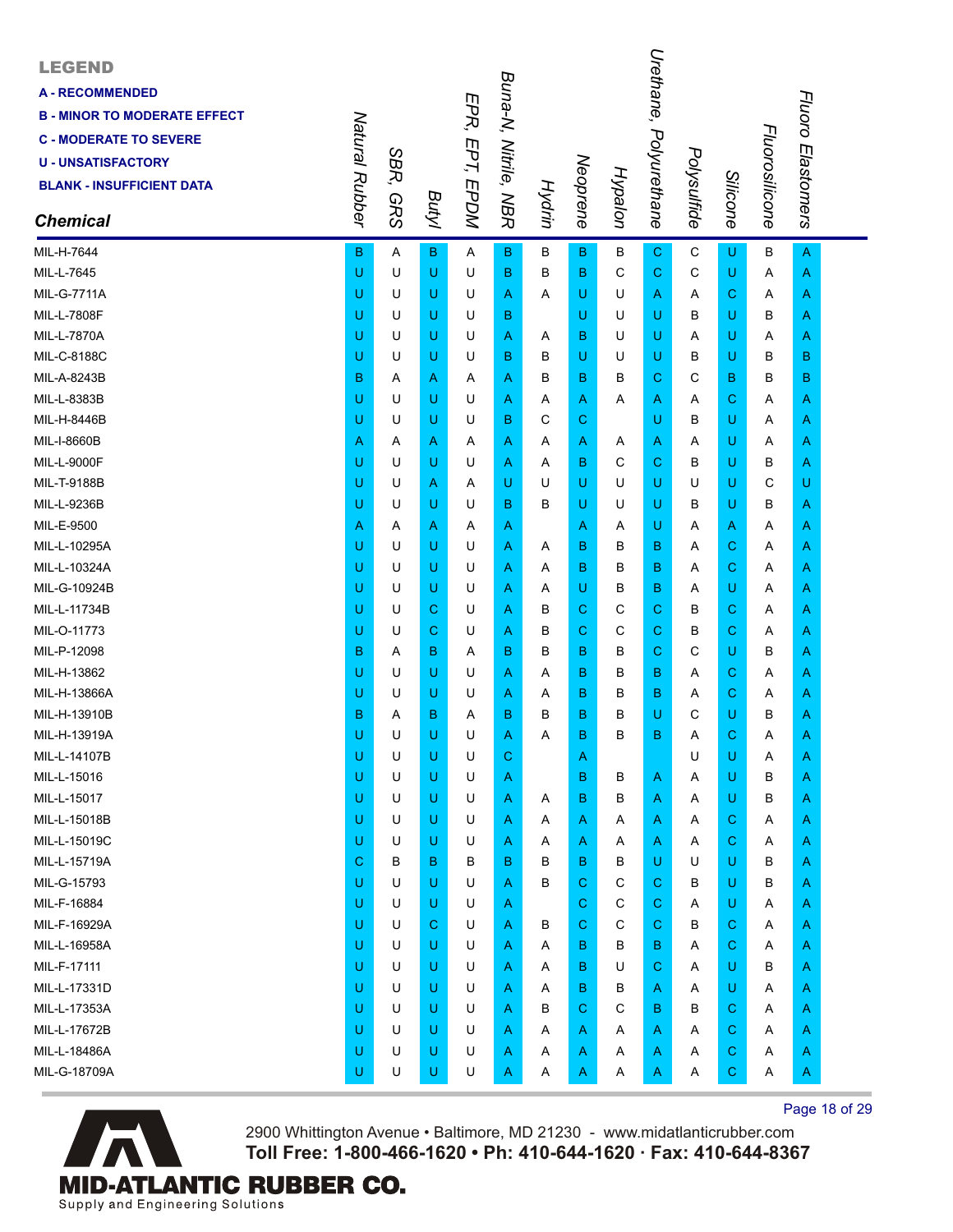| <b>LEGEND</b><br><b>A - RECOMMENDED</b><br><b>B - MINOR TO MODERATE EFFECT</b><br><b>C - MODERATE TO SEVERE</b><br><b>U - UNSATISFACTORY</b><br><b>BLANK - INSUFFICIENT DATA</b><br><b>Chemical</b> | Natural Rubber | SBR,<br><b>GRS</b> | Butyl | EPR, EPT, EPDM | Buna-N, Nitrile, NBR | <b>Hydrin</b> | Neoprene     | Hypalon | Urethane,<br>Polyurethane | Polysulfide | <b>Silicone</b> | Fluorosilicone | Fluoro Elastomers |  |
|-----------------------------------------------------------------------------------------------------------------------------------------------------------------------------------------------------|----------------|--------------------|-------|----------------|----------------------|---------------|--------------|---------|---------------------------|-------------|-----------------|----------------|-------------------|--|
| MIL-H-7644                                                                                                                                                                                          | B              | A                  | в     | A              | в                    | В             | B            | В       | $\mathbf C$               | C           | U               | В              | A                 |  |
| MIL-L-7645                                                                                                                                                                                          | U              | U                  | U     | U              | в                    | в             | в            | С       | $\mathbf C$               | С           | U               | Α              | A                 |  |
| <b>MIL-G-7711A</b>                                                                                                                                                                                  | U              | U                  | U     | U              | Α                    | A             | U            | U       | A                         | A           | С               | A              | Α                 |  |
| MIL-L-7808F                                                                                                                                                                                         | U              | U                  | U     | U              | в                    |               | U            | U       | U                         | в           | U               | в              | Α                 |  |
| <b>MIL-L-7870A</b>                                                                                                                                                                                  | U              | U                  | U     | U              | Α                    | A             | в            | U       | U                         | A           | U               | A              | Α                 |  |
| MIL-C-8188C                                                                                                                                                                                         | U              | U                  | U     | U              | в                    | в             | U            | U       | U                         | в           | U               | в              | в                 |  |
| MIL-A-8243B                                                                                                                                                                                         | B              | Α                  | Α     | A              | Α                    | в             | В            | в       | С                         | С           | в               | B              | в                 |  |
| MIL-L-8383B                                                                                                                                                                                         | U              | U                  | U     | U              | Α                    | A             | A            | Α       | A                         | Α           | С               | A              | A                 |  |
| MIL-H-8446B                                                                                                                                                                                         | U              | U                  | U     | U              | в                    | С             | $\mathbf C$  |         | U                         | в           | U               | Α              | Α                 |  |
| MIL-I-8660B                                                                                                                                                                                         | Α              | A                  | Α     | A              | Α                    | A             | A            | A       | A                         | Α           | U               | A              | Α                 |  |
| <b>MIL-L-9000F</b>                                                                                                                                                                                  | U              | U                  | U     | U              | Α                    | A             | в            | С       | С                         | в           | U               | в              | Α                 |  |
| MIL-T-9188B                                                                                                                                                                                         | U              | U                  | A     | Α              | U                    | U             | U            | U       | U                         | U           | U               | C              | U                 |  |
| MIL-L-9236B                                                                                                                                                                                         | U              | U                  | U     | U              | B                    | в             | U            | U       | U                         | B           | U               | B              | Α                 |  |
| MIL-E-9500                                                                                                                                                                                          | Α              | A                  | Α     | A              | Α                    |               | A            | Α       | U                         | Α           | Α               | A              | Α                 |  |
| MIL-L-10295A                                                                                                                                                                                        | U              | U                  | U     | U              | Α                    | A             | B            | в       | в                         | Α           | С               | A              | Α                 |  |
| MIL-L-10324A                                                                                                                                                                                        | U              | U                  | U     | U              | Α                    | A             | В            | B       | в                         | Α           | С               | A              | A                 |  |
| MIL-G-10924B                                                                                                                                                                                        | U              | U                  | U     | U              | Α                    | A             | U            | B       | В                         | A           | U               | A              | Α                 |  |
| MIL-L-11734B                                                                                                                                                                                        | U              | U                  | С     | U              | Α                    | в             | C            | С       | C                         | в           | С               | A              | Α                 |  |
| MIL-O-11773                                                                                                                                                                                         | U              | U                  | С     | U              | Α                    | в             | C            | С       | C                         | в           | C               | A              | Α                 |  |
| MIL-P-12098                                                                                                                                                                                         | в              | A                  | в     | Α              | в                    | в             | В            | в       | C                         | С           | U               | в              | A                 |  |
| MIL-H-13862                                                                                                                                                                                         | U              | U                  | U     | U              | Α                    | A             | B            | B       | В                         | Α           | C               | A              | Α                 |  |
| MIL-H-13866A                                                                                                                                                                                        | U              | U                  | U     | U              | Α                    | A             | в            | B       | в                         | Α           | С               | A              | Α                 |  |
| MIL-H-13910B                                                                                                                                                                                        | В              | Α                  | В     | A              | в                    | в             | В            | в       | U                         | С           | U               | в              | Α                 |  |
| MIL-H-13919A                                                                                                                                                                                        | U              | U                  | U     | U              | Α                    | Α             | B            | B       | в                         | Α           | С               | Α              | Α                 |  |
| MIL-L-14107B                                                                                                                                                                                        | U              | U                  | U     | U              | С                    |               | A            |         |                           | U           | U               | Α              | Α                 |  |
| MIL-L-15016                                                                                                                                                                                         | U              | U                  | U     | U              | Α                    |               | B            | в       | A                         | Α           | U               | в              | Α                 |  |
| MIL-L-15017                                                                                                                                                                                         | U              | U                  | U     | U              | Α                    | A             | в            | В       | Α                         | Α           | U               | в              | Α                 |  |
| MIL-L-15018B                                                                                                                                                                                        | U              | U                  | U     | U              | Α                    | A             | $\mathsf{A}$ | Α       | A                         | Α           | С               | Α              | A                 |  |
| MIL-L-15019C                                                                                                                                                                                        | U              | U                  | U     | U              | Α                    | Α             | A            | Α       | A                         | Α           | $\mathbf C$     | A              | Α                 |  |
| MIL-L-15719A                                                                                                                                                                                        | С              | в                  | B     | в              | в                    | в             | B            | в       | U                         | U           | U               | в              | Α                 |  |
| MIL-G-15793                                                                                                                                                                                         | U              | U                  | U     | U              | Α                    | в             | $\mathbf C$  | С       | C                         | В           | U               | В              | A                 |  |
| MIL-F-16884                                                                                                                                                                                         | U              | U                  | U     | U              | A                    |               | $\mathbf C$  | C       | C                         | Α           | U               | A              | A                 |  |
| MIL-F-16929A                                                                                                                                                                                        | U              | U                  | С     | U              | Α                    | В             | $\mathbf C$  | C       | $\mathbf C$               | В           | $\mathbf C$     | A              | Α                 |  |
| MIL-L-16958A                                                                                                                                                                                        | U              | U                  | U     | U              | Α                    | Α             | B            | в       | в                         | Α           | $\mathbf C$     | Α              | Α                 |  |
| MIL-F-17111                                                                                                                                                                                         | U              | U                  | U     | U              | Α                    | A             | B            | U       | C                         | A           | U               | B              | Α                 |  |
| MIL-L-17331D                                                                                                                                                                                        | U              | U                  | U     | U              | Α                    | A             | B            | в       | A                         | Α           | U               | A              | A                 |  |
| MIL-L-17353A                                                                                                                                                                                        | U              | U                  | U     | U              | Α                    | в             | $\mathbf C$  | C       | в                         | В           | $\mathbf C$     | Α              | A                 |  |
| MIL-L-17672B                                                                                                                                                                                        | U              | U                  | U     | U              | Α                    | Α             | A            | Α       | Α                         | Α           | $\mathbf C$     | Α              | A                 |  |
| MIL-L-18486A                                                                                                                                                                                        | U              | U                  | U     | U              | Α                    | Α             | A            | Α       | A                         | Α           | С               | Α              | A                 |  |
| MIL-G-18709A                                                                                                                                                                                        | U              | U                  | U     | U              | A                    | Α             | A            | Α       | A                         | Α           | $\mathbf C$     | Α              | A                 |  |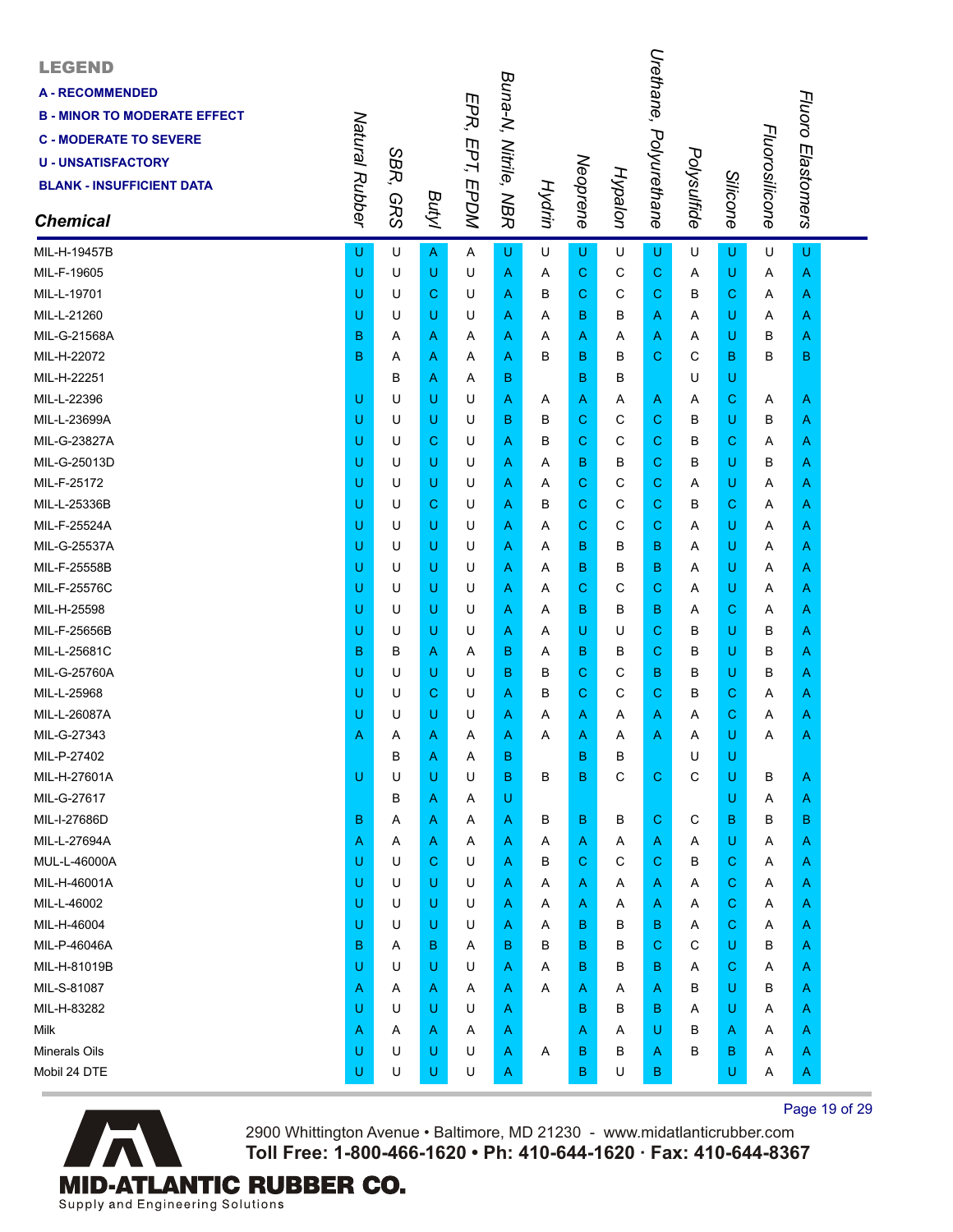| <b>LEGEND</b><br><b>A-RECOMMENDED</b><br><b>B - MINOR TO MODERATE EFFECT</b><br><b>C - MODERATE TO SEVERE</b><br><b>U-UNSATISFACTORY</b><br><b>BLANK - INSUFFICIENT DATA</b><br><b>Chemical</b> | Natural Rubber | SBR,<br><b>GRS</b> | Butyl | EPR, EPT, EPDM | Buna-N, Nitrile, NBR | Hydrin | Neoprene     | Hypalon | Urethane,<br>Polyurethane | Polysulfide | Silicone    | Fluorosilicone | Fluoro Elastomers |  |
|-------------------------------------------------------------------------------------------------------------------------------------------------------------------------------------------------|----------------|--------------------|-------|----------------|----------------------|--------|--------------|---------|---------------------------|-------------|-------------|----------------|-------------------|--|
| MIL-H-19457B                                                                                                                                                                                    | U              | U                  | A     | A              | U                    | U      | U            | U       | U                         | U           | U           | U              | U                 |  |
| MIL-F-19605                                                                                                                                                                                     | U              | U                  | U     | U              | A                    | A      | C            | С       | С                         | Α           | U           | A              | A                 |  |
| MIL-L-19701                                                                                                                                                                                     | U              | U                  | С     | U              | A                    | в      | C            | C       | С                         | в           | C           | A              | A                 |  |
| MIL-L-21260                                                                                                                                                                                     | U              | U                  | U     | U              | A                    | A      | В            | B       | A                         | Α           | U           | A              | A                 |  |
| MIL-G-21568A                                                                                                                                                                                    | B              | A                  | Α     | A              | A                    | A      | A            | A       | A                         | A           | U           | в              | Α                 |  |
| MIL-H-22072                                                                                                                                                                                     | в              | Α                  | Α     | A              | A                    | в      | в            | в       | С                         | C           | в           | B              | в                 |  |
| MIL-H-22251                                                                                                                                                                                     |                | в                  | Α     | A              | в                    |        | B            | в       |                           | U           | U           |                |                   |  |
| MIL-L-22396                                                                                                                                                                                     | U              | U                  | U     | U              | A                    | A      | A            | Α       | A                         | A           | С           | A              | A                 |  |
| MIL-L-23699A                                                                                                                                                                                    | U              | U                  | U     | U              | в                    | в      | C            | С       | С                         | в           | U           | в              | Α                 |  |
| MIL-G-23827A                                                                                                                                                                                    | U              | U                  | С     | U              | A                    | в      | C            | С       | С                         | в           | С           | A              | Α                 |  |
| MIL-G-25013D                                                                                                                                                                                    | U              | U                  | U     | U              | A                    | A      | в            | B       | С                         | B           | U           | в              | Α                 |  |
| MIL-F-25172                                                                                                                                                                                     | U              | U                  | U     | U              | A                    | A      | C            | С       | С                         | Α           | U           | A              | A                 |  |
| MIL-L-25336B                                                                                                                                                                                    | U              | U                  | С     | U              | A                    | в      | C            | С       | С                         | в           | С           | Α              | Α                 |  |
| MIL-F-25524A                                                                                                                                                                                    | U              | U                  | U     | U              | A                    | A      | C            | С       | С                         | A           | U           | A              | Α                 |  |
| MIL-G-25537A                                                                                                                                                                                    | U              | U                  | U     | U              | A                    | A      | B            | B       | в                         | A           | U           | A              | Α                 |  |
| MIL-F-25558B                                                                                                                                                                                    | U              | U                  | U     | U              | A                    | A      | В            | B       | в                         | Α           | U           | A              | A                 |  |
| MIL-F-25576C                                                                                                                                                                                    | U              | U                  | U     | U              | A                    | A      | C            | С       | С                         | A           | U           | Α              | Α                 |  |
| MIL-H-25598                                                                                                                                                                                     | U              | U                  | U     | U              | A                    | A      | в            | B       | в                         | A           | С           | A              | Α                 |  |
| MIL-F-25656B                                                                                                                                                                                    | U              | U                  | U     | U              | A                    | A      | U            | U       | С                         | в           | U           | В              | Α                 |  |
| MIL-L-25681C                                                                                                                                                                                    | в              | в                  | Α     | A              | в                    | A      | В            | B       | С                         | B           | U           | B              | Α                 |  |
| MIL-G-25760A                                                                                                                                                                                    | U              | U                  | U     | U              | в                    | в      | C            | С       | в                         | в           | U           | B              | Α                 |  |
| MIL-L-25968                                                                                                                                                                                     | U              | U                  | С     | U              | A                    | в      | C            | С       | С                         | в           | С           | A              | Α                 |  |
| MIL-L-26087A                                                                                                                                                                                    | U              | U                  | U     | U              | Α                    | A      | A            | Α       | Α                         | Α           | C           | A              | Α                 |  |
| MIL-G-27343                                                                                                                                                                                     | Α              | Α                  | Α     | Α              | A                    | Α      | A            | Α       | Α                         | Α           | U           | A              | Α                 |  |
| MIL-P-27402                                                                                                                                                                                     |                | в                  | Α     | Α              | в                    |        | $\mathbf B$  | B       |                           | U           | U           |                |                   |  |
| MIL-H-27601A                                                                                                                                                                                    | U              | U                  | U     | U              | B                    | В      | B            | C       | $\mathbf C$               | C           | U           | В              | A                 |  |
| MIL-G-27617                                                                                                                                                                                     |                | в                  | Α     | A              | U                    |        |              |         |                           |             | U           | Α              | A                 |  |
| MIL-I-27686D                                                                                                                                                                                    | в              | A                  | Α     | Α              | A                    | В      | B            | В       | C.                        | C           | в           | B              | B                 |  |
| MIL-L-27694A                                                                                                                                                                                    | Α              | A                  | Α     | A              | A                    | Α      | $\mathsf{A}$ | A       | A                         | Α           | U           | Α              | A                 |  |
| MUL-L-46000A                                                                                                                                                                                    | U              | U                  | C     | U              | A                    | В      | $\mathbf C$  | C       | $\mathbf C$               | B           | $\mathbf C$ | Α              | A                 |  |
| MIL-H-46001A                                                                                                                                                                                    | U              | U                  | U     | U              | A                    | A      | A            | A       | A                         | Α           | С           | Α              | A                 |  |
| MIL-L-46002                                                                                                                                                                                     | U              | U                  | U     | U              | A                    | Α      | A            | Α       | A                         | Α           | $\mathbf C$ | Α              | A                 |  |
| MIL-H-46004                                                                                                                                                                                     | U              | U                  | U     | U              | A                    | Α      | $\mathbf B$  | B       | в                         | Α           | $\mathbf C$ | Α              | A                 |  |
| MIL-P-46046A                                                                                                                                                                                    | B              | A                  | B     | Α              | в                    | B      | B            | B       | C.                        | C           | U           | B              | A                 |  |
| MIL-H-81019B                                                                                                                                                                                    | U              | U                  | U     | U              | A                    | A      | B            | В       | в                         | A           | С           | Α              | A                 |  |
| MIL-S-81087                                                                                                                                                                                     | A              | A                  | Α     | A              | A                    | Α      | A            | Α       | A                         | B           | U           | B              | Α                 |  |
| MIL-H-83282                                                                                                                                                                                     | U              | U                  | U     | U              | A                    |        | B            | В       | в                         | Α           | U           | Α              | A                 |  |
| Milk                                                                                                                                                                                            | Α              | A                  | Α     | A              | Α                    |        | A            | Α       | U                         | B           | A           | Α              | A                 |  |
| <b>Minerals Oils</b>                                                                                                                                                                            | U              | U                  | U     | U              | A                    | A      | B            | В       | A                         | B           | в           | Α              | A                 |  |
| Mobil 24 DTE                                                                                                                                                                                    | U              | U                  | U     | U              | A                    |        | $\mathbf B$  | U       | B                         |             | U           | Α              | A                 |  |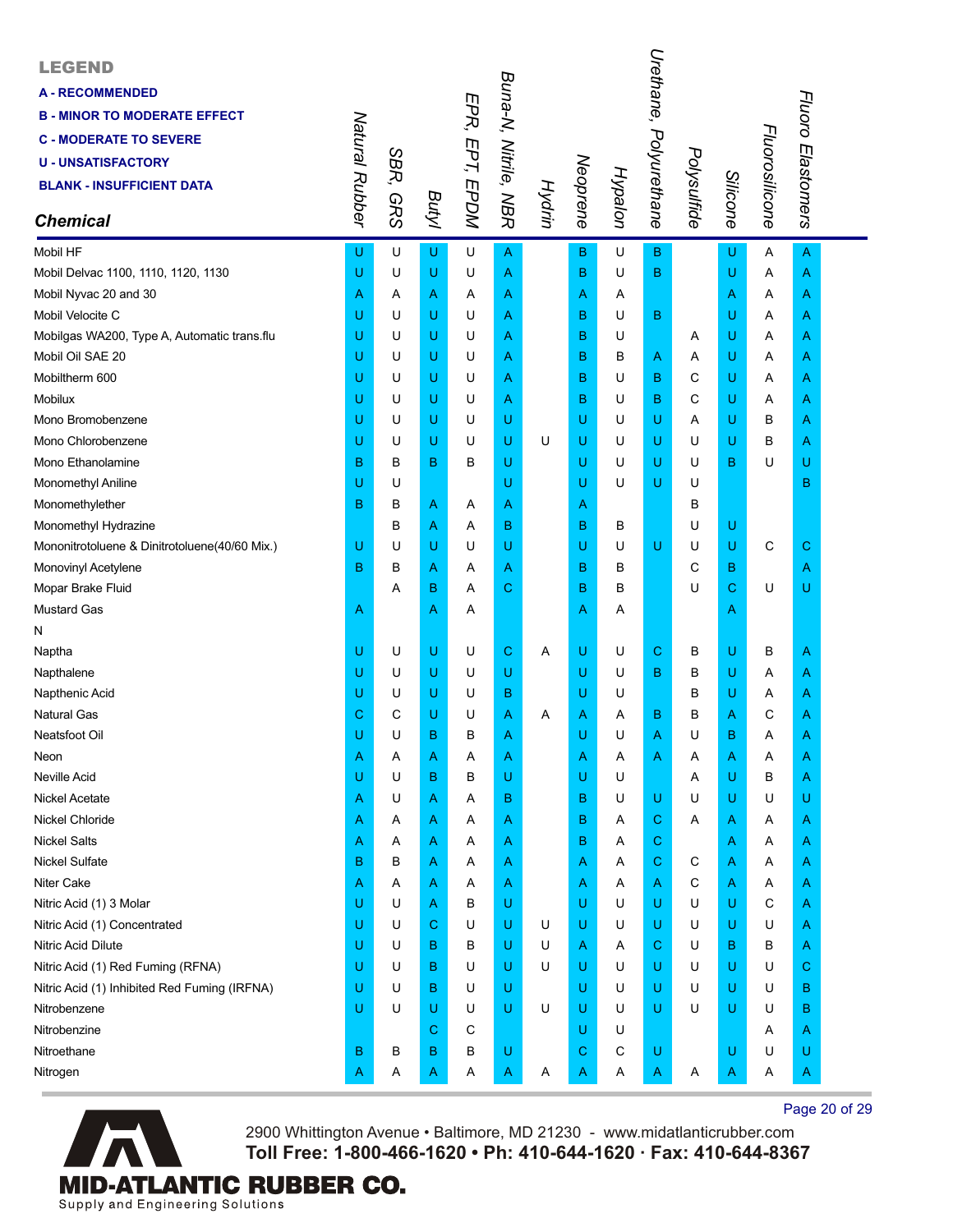| <b>LEGEND</b><br><b>A-RECOMMENDED</b><br><b>B - MINOR TO MODERATE EFFECT</b><br><b>C - MODERATE TO SEVERE</b><br><b>U-UNSATISFACTORY</b><br><b>BLANK - INSUFFICIENT DATA</b><br><b>Chemical</b> | Natural Rubber | SBR,<br><b>GRS</b> | Butyl | EPR, EPT, EPDM | Buna-N, Nitrile, NBR |   | Neoprene<br>Hydrin | <b>Hypalon</b> | Urethane, Polyurethane | Polysulfide | Silicone    | Fluorosilicone | Fluoro Elastomers |  |
|-------------------------------------------------------------------------------------------------------------------------------------------------------------------------------------------------|----------------|--------------------|-------|----------------|----------------------|---|--------------------|----------------|------------------------|-------------|-------------|----------------|-------------------|--|
| Mobil HF                                                                                                                                                                                        | U              | U                  | U     | U              | Α                    |   | B                  | U              | в                      |             | U           | Α              | $\overline{A}$    |  |
| Mobil Delvac 1100, 1110, 1120, 1130                                                                                                                                                             | U              | U                  | U     | U              | A                    |   | B                  | U              | B                      |             | U           | Α              | A                 |  |
| Mobil Nyvac 20 and 30                                                                                                                                                                           | Α              | Α                  | Α     | Α              | Α                    |   | Α                  | Α              |                        |             | A           | Α              | A                 |  |
| Mobil Velocite C                                                                                                                                                                                | U              | U                  | U     | U              | Α                    |   | в                  | U              | В                      |             | U           | Α              | A                 |  |
| Mobilgas WA200, Type A, Automatic trans.flu                                                                                                                                                     | U              | U                  | U     | U              | Α                    |   | B                  | U              |                        | A           | U           | Α              | A                 |  |
| Mobil Oil SAE 20                                                                                                                                                                                | U              | U                  | U     | U              | Α                    |   | B                  | В              | Α                      | Α           | U           | Α              | A                 |  |
| Mobiltherm 600                                                                                                                                                                                  | U              | U                  | U     | U              | Α                    |   | B                  | U              | В                      | C           | U           | Α              | A                 |  |
| <b>Mobilux</b>                                                                                                                                                                                  | U              | U                  | U     | U              | Α                    |   | B                  | U              | В                      | С           | U           | Α              | A                 |  |
| Mono Bromobenzene                                                                                                                                                                               | U              | U                  | U     | U              | U                    |   | U                  | U              | U                      | Α           | U           | в              | A                 |  |
| Mono Chlorobenzene                                                                                                                                                                              | U              | U                  | U     | U              | U                    | U | U                  | U              | U                      | U           | U           | В              | Α                 |  |
| Mono Ethanolamine                                                                                                                                                                               | B              | B                  | В     | B              | U                    |   | U                  | U              | U                      | U           | $\mathbf B$ | U              | U                 |  |
| Monomethyl Aniline                                                                                                                                                                              | U              | U                  |       |                | U                    |   | U                  | U              | U                      | U           |             |                | в                 |  |
| Monomethylether                                                                                                                                                                                 | B              | B                  | Α     | Α              | Α                    |   | A                  |                |                        | В           |             |                |                   |  |
| Monomethyl Hydrazine                                                                                                                                                                            |                | B                  | Α     | Α              | в                    |   | в                  | в              |                        | U           | U           |                |                   |  |
| Mononitrotoluene & Dinitrotoluene(40/60 Mix.)                                                                                                                                                   | U              | U                  | U     | U              | U                    |   | U                  | U              | U                      | U           | U           | C              | С                 |  |
| Monovinyl Acetylene                                                                                                                                                                             | B              | B                  | Α     | Α              | Α                    |   | B                  | B              |                        | C           | в           |                | A                 |  |
| Mopar Brake Fluid                                                                                                                                                                               |                | Α                  | B     | Α              | C                    |   | B                  | B              |                        | U           | $\mathbf C$ | U              | U                 |  |
| <b>Mustard Gas</b>                                                                                                                                                                              | Α              |                    | Α     | Α              |                      |   | Α                  | A              |                        |             | A           |                |                   |  |
| N                                                                                                                                                                                               |                |                    |       |                |                      |   |                    |                |                        |             |             |                |                   |  |
| Naptha                                                                                                                                                                                          | U              | U                  | U     | U              | C                    | Α | U                  | U              | С                      | в           | U           | в              | A                 |  |
| Napthalene                                                                                                                                                                                      | U              | U                  | U     | U              | U                    |   | U                  | U              | В                      | В           | U           | Α              | A                 |  |
| Napthenic Acid                                                                                                                                                                                  | U              | U                  | U     | U              | в                    |   | U                  | U              |                        | В           | U           | Α              | Α                 |  |
| <b>Natural Gas</b>                                                                                                                                                                              | С              | C                  | U     | U              | Α                    | Α | Α                  | Α              | в                      | в           | Α           | С              | A                 |  |
| Neatsfoot Oil                                                                                                                                                                                   | U              | U                  | B     | B              | Α                    |   | U                  | U              | Α                      | U           | B           | Α              | A                 |  |
| Neon                                                                                                                                                                                            | Α              | Α                  | Α     | Α              | A                    |   | A                  | Α              | Α                      | Α           | A           | Α              | A                 |  |
| Neville Acid                                                                                                                                                                                    | U              | U                  | В     | B              | U                    |   | U                  | U              |                        | Α           | U           | B              | A                 |  |
| Nickel Acetate                                                                                                                                                                                  | Α              | U                  | Α     | Α              | в                    |   | B                  | U              | U                      | U           | U           | U              | U                 |  |
| Nickel Chloride                                                                                                                                                                                 | Α              | Α                  | Α     | A              | Α                    |   | В                  | A              | С                      | Α           | A           | Α              | A                 |  |
| <b>Nickel Salts</b>                                                                                                                                                                             | Α              | Α                  | Α     | Α              | Α                    |   | в                  | Α              | С                      |             | A           | Α              | A                 |  |
| <b>Nickel Sulfate</b>                                                                                                                                                                           | в              | В                  | Α     | Α              | A                    |   | A                  | A              | C                      | C           | A           | Α              | A                 |  |
| <b>Niter Cake</b>                                                                                                                                                                               | Α              | A                  | Α     | Α              | Α                    |   | Α                  | A              | Α                      | С           | A           | Α              | A                 |  |
| Nitric Acid (1) 3 Molar                                                                                                                                                                         | U              | U                  | Α     | В              | U                    |   | U                  | U              | U                      | U           | U           | C              | A                 |  |
| Nitric Acid (1) Concentrated                                                                                                                                                                    | U              | U                  | C     | U              | υ                    | U | U                  | U              | U                      | U           | U           | U              | Α                 |  |
| Nitric Acid Dilute                                                                                                                                                                              | U              | U                  | B     | в              | υ                    | U | Α                  | A              | С                      | U           | в           | В              | Α                 |  |
| Nitric Acid (1) Red Fuming (RFNA)                                                                                                                                                               | U              | U                  | B     | U              | U                    | U | U                  | U              | U                      | U           | U           | U              | C                 |  |
| Nitric Acid (1) Inhibited Red Fuming (IRFNA)                                                                                                                                                    | U              | U                  | в     | U              | υ                    |   | U                  | U              | U                      | U           | U           | U              | в                 |  |
| Nitrobenzene                                                                                                                                                                                    | U              | U                  | U     | U              | U                    | U | U                  | U              | U                      | U           | U           | U              | в                 |  |
| Nitrobenzine                                                                                                                                                                                    |                |                    | С     | C              |                      |   | U                  | U              |                        |             |             | Α              | A                 |  |
| Nitroethane                                                                                                                                                                                     | в              | В                  | B     | В              | U                    |   | С                  | С              | U                      |             | U           | U              | U                 |  |
| Nitrogen                                                                                                                                                                                        | Α              | Α                  | Α     | Α              | Α                    | Α | Α                  | Α              | Α                      | Α           | A           | Α              | A                 |  |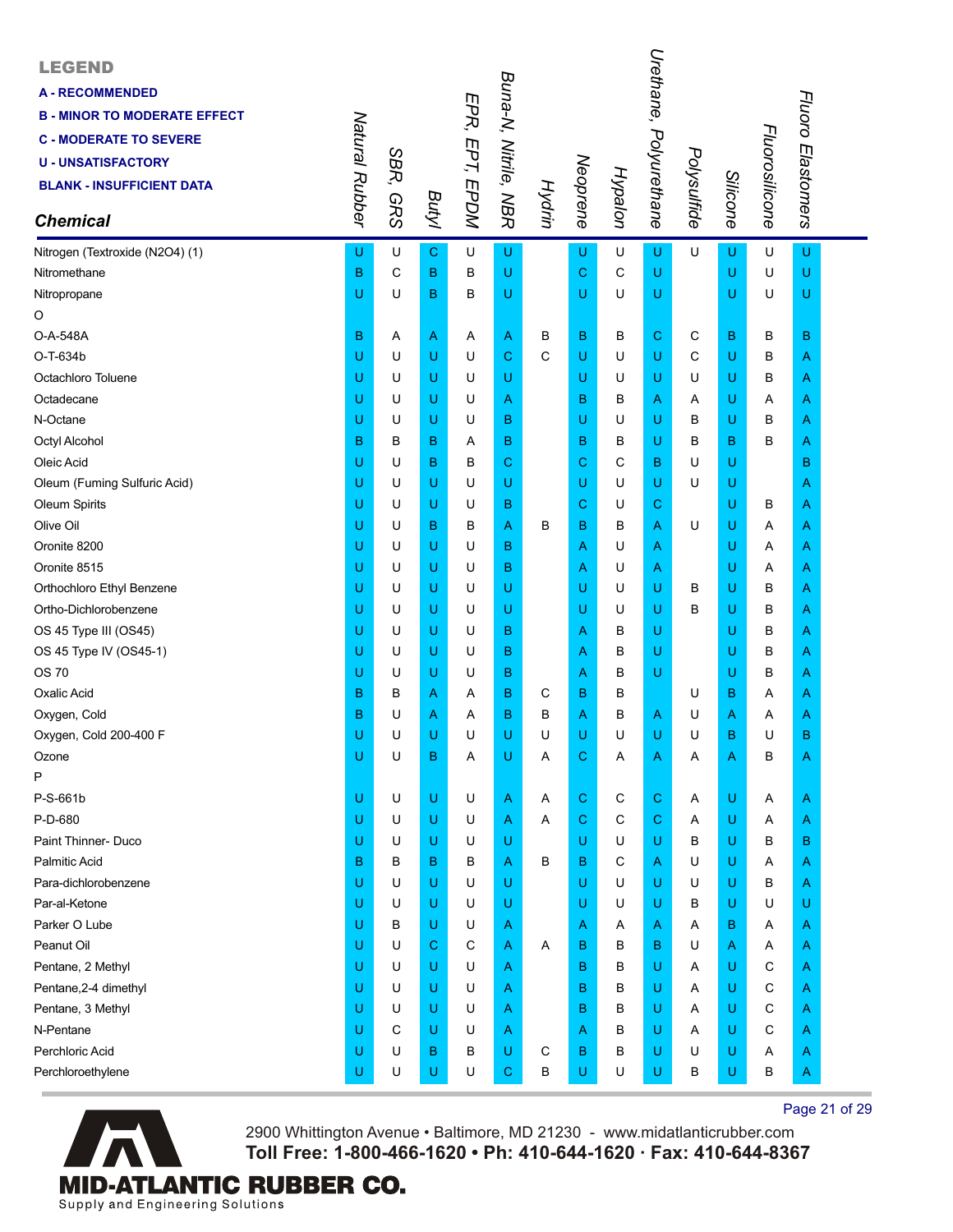| <b>LEGEND</b><br><b>A - RECOMMENDED</b><br><b>B - MINOR TO MODERATE EFFECT</b><br><b>C - MODERATE TO SEVERE</b><br><b>U - UNSATISFACTORY</b><br><b>BLANK - INSUFFICIENT DATA</b><br><b>Chemical</b> | Natural Rubber | SBR,<br><b>GRS</b> | Butyl       | EPR, EPT, EPDM | Buna-N, Nitrile, NBR | Hydrin | Neoprene     | Hypalon | Urethane, Polyurethane | Polysulfide | Silicone | Fluorosilicone | Fluoro Elastomers |  |
|-----------------------------------------------------------------------------------------------------------------------------------------------------------------------------------------------------|----------------|--------------------|-------------|----------------|----------------------|--------|--------------|---------|------------------------|-------------|----------|----------------|-------------------|--|
| Nitrogen (Textroxide (N2O4) (1)                                                                                                                                                                     | U              | U                  | $\mathbf C$ | U              | U                    |        | U            | U       | U                      | U           | U        | U              | U                 |  |
| Nitromethane                                                                                                                                                                                        | B              | C                  | B           | B              | U                    |        | $\mathbf C$  | C       | U                      |             | U        | U              | $\sf U$           |  |
| Nitropropane                                                                                                                                                                                        | U              | U                  | B           | в              | U                    |        | U            | U       | U                      |             | U        | U              | U                 |  |
| O                                                                                                                                                                                                   |                |                    |             |                |                      |        |              |         |                        |             |          |                |                   |  |
| O-A-548A                                                                                                                                                                                            | B              | Α                  | Α           | Α              | Α                    | в      | $\, {\bf B}$ | в       | C                      | C           | в        | в              | в                 |  |
| O-T-634b                                                                                                                                                                                            | U              | U                  | U           | U              | $\mathbf C$          | C      | U            | U       | U                      | C           | U        | в              | A                 |  |
| Octachloro Toluene                                                                                                                                                                                  | U              | U                  | U           | U              | U                    |        | U            | U       | U                      | U           | U        | в              | A                 |  |
| Octadecane                                                                                                                                                                                          | U              | U                  | U           | U              | Α                    |        | B            | В       | A                      | A           | U        | Α              | A                 |  |
| N-Octane                                                                                                                                                                                            | U              | U                  | U           | U              | B                    |        | U            | U       | U                      | B           | U        | в              | A                 |  |
| Octyl Alcohol                                                                                                                                                                                       | в              | B                  | B           | Α              | в                    |        | в            | В       | U                      | в           | в        | B              | A                 |  |
| Oleic Acid                                                                                                                                                                                          | U              | U                  | B           | в              | С                    |        | $\mathbf C$  | С       | В                      | U           | U        |                | в                 |  |
| Oleum (Fuming Sulfuric Acid)                                                                                                                                                                        | U              | U                  | U           | U              | U                    |        | U            | U       | U                      | U           | U        |                | Α                 |  |
| Oleum Spirits                                                                                                                                                                                       | U              | U                  | U           | U              | B                    |        | $\mathbf C$  | U       | С                      |             | U        | в              | A                 |  |
| Olive Oil                                                                                                                                                                                           | U              | U                  | B           | В              | Α                    | B      | в            | B       | A                      | U           | U        | Α              | A                 |  |
| Oronite 8200                                                                                                                                                                                        | U              | U                  | U           | U              | в                    |        | A            | U       | Α                      |             | U        | Α              | A                 |  |
| Oronite 8515                                                                                                                                                                                        | U              | U                  | U           | U              | в                    |        | A            | U       | Α                      |             | U        | Α              | A                 |  |
| Orthochloro Ethyl Benzene                                                                                                                                                                           | U              | U                  | U           | U              | U                    |        | U            | U       | U                      | B           | U        | в              | Α                 |  |
| Ortho-Dichlorobenzene                                                                                                                                                                               | U              | U                  | U           | U              | U                    |        | U            | U       | U                      | в           | U        | в              | A                 |  |
| OS 45 Type III (OS45)                                                                                                                                                                               | U              | U                  | U           | U              | в                    |        | A            | В       | U                      |             | U        | В              | A                 |  |
| OS 45 Type IV (OS45-1)                                                                                                                                                                              | U              | U                  | U           | U              | в                    |        | A            | В       | U                      |             | U        | в              | A                 |  |
| OS 70                                                                                                                                                                                               | U              | U                  | U           | U              | B                    |        | A            | в       | U                      |             | U        | В              | Α                 |  |
| Oxalic Acid                                                                                                                                                                                         | B              | В                  | Α           | Α              | в                    | C      | B            | В       |                        | U           | в        | Α              | A                 |  |
| Oxygen, Cold                                                                                                                                                                                        | B              | U                  | Α           | A              | в                    | в      | Α            | В       | Α                      | U           | Α        | Α              | A                 |  |
| Oxygen, Cold 200-400 F                                                                                                                                                                              | U              | U                  | U           | U              | U                    | U      | U            | U       | U                      | U           | B        | U              | в                 |  |
| Ozone                                                                                                                                                                                               | U              | U                  | B           | Α              | U                    | Α      | C            | Α       | A                      | Α           | Α        | B              | A                 |  |
| P                                                                                                                                                                                                   |                |                    |             |                |                      |        |              |         |                        |             |          |                |                   |  |
| P-S-661b                                                                                                                                                                                            | U              | U                  | U           | U              | A                    | Α      | $\mathbf C$  | C       | С                      | Α           | U        | Α              | A                 |  |
| P-D-680                                                                                                                                                                                             | U              | U                  | U           | U              | A                    | A      | $\mathbf C$  | С       | С                      | Α           | U        | Α              | A                 |  |
| Paint Thinner- Duco                                                                                                                                                                                 | U              | U                  | U           | U              | U                    |        | U            | U       | U                      | в           | U        | в              | в                 |  |
| <b>Palmitic Acid</b>                                                                                                                                                                                | B              | В                  | B           | В              | Α                    | B      | в            | С       | Α                      | U           | U        | Α              | A                 |  |
| Para-dichlorobenzene                                                                                                                                                                                | U              | U                  | U           | U              | U                    |        | U            | U       | U                      | U           | U        | В              | A                 |  |
| Par-al-Ketone                                                                                                                                                                                       | U              | U                  | U           | U              | U                    |        | U            | U       | U                      | B           | U        | U              | U                 |  |
| Parker O Lube                                                                                                                                                                                       | U              | В                  | U           | U              | A                    |        | A            | A       | Α                      | A           | в        | Α              | A                 |  |
| Peanut Oil                                                                                                                                                                                          | U              | U                  | С           | C              | Α                    | Α      | в            | В       | в                      | U           | A        | Α              | A                 |  |
| Pentane, 2 Methyl                                                                                                                                                                                   | U              | U                  | U           | U              | A                    |        | B            | в       | U                      | A           | U        | С              | A                 |  |
| Pentane, 2-4 dimethyl                                                                                                                                                                               | U              | U                  | U           | U              | Α                    |        | в            | B       | U                      | Α           | U        | C              | A                 |  |
| Pentane, 3 Methyl                                                                                                                                                                                   | U              | U                  | U           | U              | A                    |        | в            | В       | U                      | A           | U        | С              | A                 |  |
| N-Pentane                                                                                                                                                                                           | U              | С                  | U           | U              | Α                    |        | A            | В       | U                      | Α           | U        | C              | A                 |  |
| Perchloric Acid                                                                                                                                                                                     | U              | U                  | B           | в              | U                    | C      | в            | В       | U                      | U           | U        | Α              | A                 |  |
| Perchloroethylene                                                                                                                                                                                   | U              | U                  | U           | U              | С                    | в      | U            | U       | U                      | В           | U        | В              | A                 |  |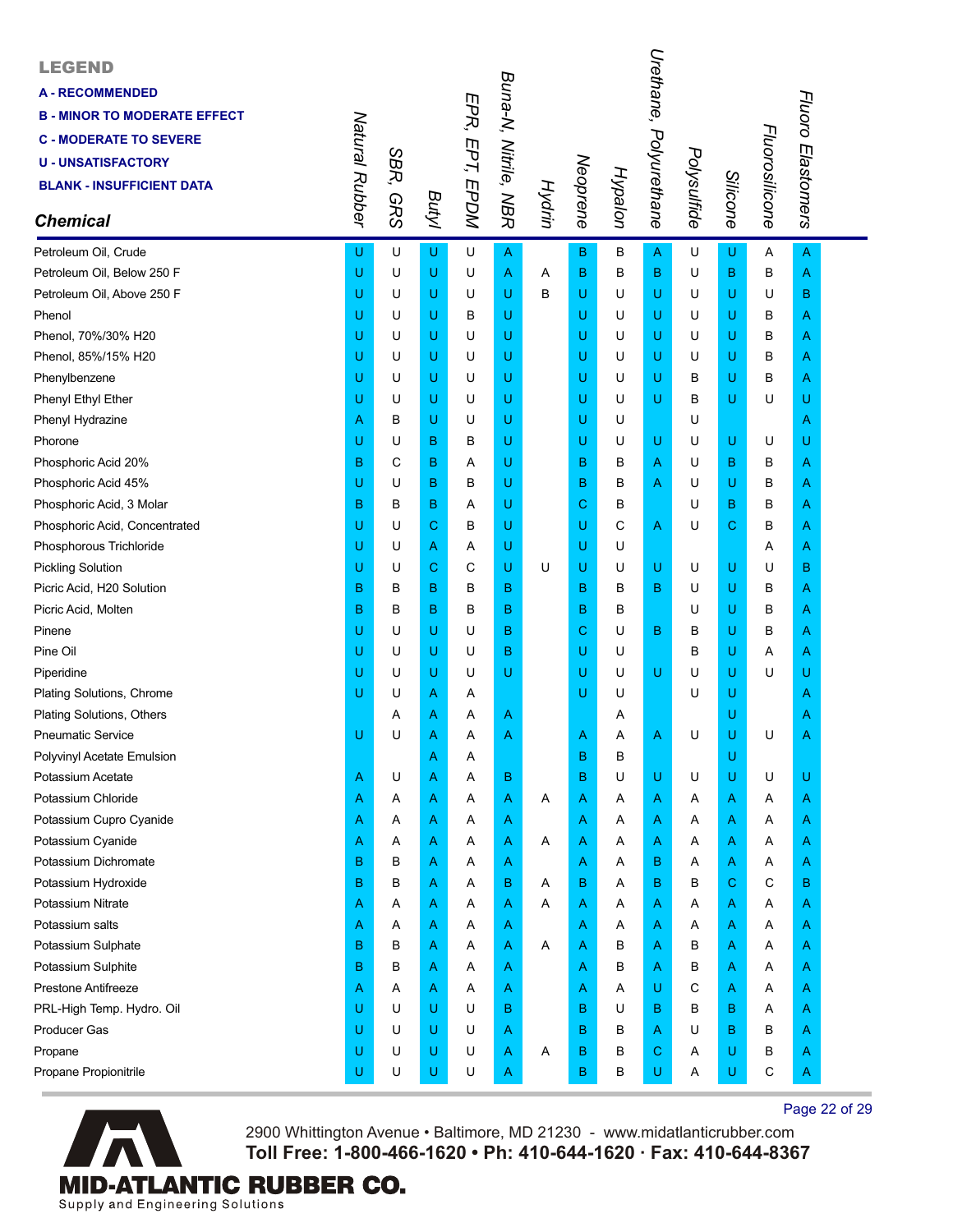| <b>LEGEND</b><br><b>A-RECOMMENDED</b><br><b>B - MINOR TO MODERATE EFFECT</b><br><b>C - MODERATE TO SEVERE</b><br><b>U - UNSATISFACTORY</b><br><b>BLANK - INSUFFICIENT DATA</b><br><b>Chemical</b> | Natural Rubber | SBR,<br><b>GRS</b> | Butyl | EPR, EPT, EPDM | Buna-N, Nitrile, NBR | Hydrin | Neoprene     | Hypalon | Urethane, Polyurethane | Polysulfide | Silicone    | Fluorosilicone | Fluoro Elastomers |  |
|---------------------------------------------------------------------------------------------------------------------------------------------------------------------------------------------------|----------------|--------------------|-------|----------------|----------------------|--------|--------------|---------|------------------------|-------------|-------------|----------------|-------------------|--|
| Petroleum Oil, Crude                                                                                                                                                                              | U              | U                  | U     | U              | A                    |        | $\mathbf{B}$ | B       | A                      | U           | U           | A              | $\overline{A}$    |  |
| Petroleum Oil, Below 250 F                                                                                                                                                                        | U              | U                  | U     | U              | A                    | Α      | B            | B       | B                      | U           | B           | B              | A                 |  |
| Petroleum Oil, Above 250 F                                                                                                                                                                        | U              | U                  | U     | U              | U                    | B      | U            | U       | U                      | U           | U           | U              | B                 |  |
| Phenol                                                                                                                                                                                            | U              | U                  | U     | в              | U                    |        | U            | U       | U                      | U           | U           | В              | Α                 |  |
| Phenol, 70%/30% H20                                                                                                                                                                               | U              | U                  | U     | U              | U                    |        | U            | U       | U                      | U           | U           | В              | Α                 |  |
| Phenol, 85%/15% H20                                                                                                                                                                               | U              | U                  | U     | U              | U                    |        | U            | U       | U                      | U           | U           | в              | A                 |  |
| Phenylbenzene                                                                                                                                                                                     | U              | U                  | U     | U              | U                    |        | U            | U       | U                      | в           | U           | в              | Α                 |  |
| Phenyl Ethyl Ether                                                                                                                                                                                | U              | U                  | U     | U              | U                    |        | U            | U       | U                      | B           | U           | U              | U                 |  |
| Phenyl Hydrazine                                                                                                                                                                                  | Α              | в                  | U     | U              | U                    |        | U            | U       |                        | U           |             |                | Α                 |  |
| Phorone                                                                                                                                                                                           | U              | U                  | B     | в              | U                    |        | U            | U       | U                      | U           | U           | U              | U                 |  |
| Phosphoric Acid 20%                                                                                                                                                                               | В              | С                  | B     | Α              | U                    |        | в            | в       | Α                      | U           | в           | В              | Α                 |  |
| Phosphoric Acid 45%                                                                                                                                                                               | U              | U                  | B     | В              | U                    |        | в            | в       | Α                      | U           | U           | B              | A                 |  |
| Phosphoric Acid, 3 Molar                                                                                                                                                                          | B              | в                  | B     | Α              | U                    |        | C            | в       |                        | U           | в           | B              | Α                 |  |
| Phosphoric Acid, Concentrated                                                                                                                                                                     | U              | U                  | С     | В              | U                    |        | U            | С       | A                      | U           | $\mathbf C$ | B              | Α                 |  |
| Phosphorous Trichloride                                                                                                                                                                           | U              | U                  | A     | Α              | U                    |        | U            | U       |                        |             |             | Α              | Α                 |  |
| <b>Pickling Solution</b>                                                                                                                                                                          | U              | U                  | С     | С              | U                    | U      | U            | U       | U                      | U           | U           | U              | в                 |  |
| Picric Acid, H20 Solution                                                                                                                                                                         | B              | в                  | B     | в              | B                    |        | B            | B       | B                      | U           | U           | B              | Α                 |  |
| Picric Acid, Molten                                                                                                                                                                               | B              | В                  | B     | В              | B                    |        | в            | В       |                        | U           | U           | в              | A                 |  |
| Pinene                                                                                                                                                                                            | U              | U                  | U     | U              | в                    |        | $\mathbf C$  | U       | B                      | В           | U           | В              | A                 |  |
| Pine Oil                                                                                                                                                                                          | U              | U                  | U     | U              | B                    |        | U            | U       |                        | B           | U           | Α              | Α                 |  |
| Piperidine                                                                                                                                                                                        | U              | U                  | U     | U              | U                    |        | U            | U       | U                      | U           | U           | U              | U                 |  |
| Plating Solutions, Chrome                                                                                                                                                                         | U              | U                  | Α     | Α              |                      |        | U            | U       |                        | U           | U           |                | Α                 |  |
| Plating Solutions, Others                                                                                                                                                                         |                | Α                  | Α     | A              | A                    |        |              | Α       |                        |             | U           |                | Α                 |  |
| <b>Pneumatic Service</b>                                                                                                                                                                          | U              | U                  | Α     | Α              | Α                    |        | A            | Α       | Α                      | U           | U           | U              | A                 |  |
| Polyvinyl Acetate Emulsion                                                                                                                                                                        |                |                    | Α     | Α              |                      |        | в            | в       |                        |             | U           |                |                   |  |
| Potassium Acetate                                                                                                                                                                                 | Α              | U                  | Α     | Α              | B                    |        | в            | U       | U                      | U           | U           | U              | U                 |  |
| Potassium Chloride                                                                                                                                                                                | Α              | Α                  | Α     | Α              | Α                    | Α      | A            | A       | Α                      | A           | Α           | Α              | Α                 |  |
| Potassium Cupro Cyanide                                                                                                                                                                           | Α              | A                  | Α     | Α              | Α                    |        | A            | Α       | Α                      | Α           | A           | A              | Α                 |  |
| Potassium Cyanide                                                                                                                                                                                 | Α              | Α                  | Α     | Α              | A                    | A      | A            | Α       | Α                      | Α           | A           | Α              | Α                 |  |
| Potassium Dichromate                                                                                                                                                                              | B              | в                  | Α     | Α              | Α                    |        | A            | Α       | B                      | Α           | Α           | Α              | Α                 |  |
| Potassium Hydroxide                                                                                                                                                                               | B              | в                  | Α     | Α              | в                    | Α      | В            | Α       | B                      | B           | C           | С              | в                 |  |
| Potassium Nitrate                                                                                                                                                                                 | Α              | Α                  | Α     | Α              | Α                    | Α      | A            | A       | Α                      | Α           | Α           | Α              | Α                 |  |
| Potassium salts                                                                                                                                                                                   | Α              | A                  | Α     | Α              | A                    |        | A            | Α       | Α                      | Α           | Α           | Α              | Α                 |  |
| Potassium Sulphate                                                                                                                                                                                | B              | в                  | Α     | Α              | Α                    | A      | A            | B       | Α                      | в           | A           | A              | A                 |  |
| Potassium Sulphite                                                                                                                                                                                | B              | в                  | Α     | A              | A                    |        | A            | в       | Α                      | в           | Α           | Α              | A                 |  |
| Prestone Antifreeze                                                                                                                                                                               | Α              | Α                  | Α     | Α              | Α                    |        | A            | Α       | U                      | С           | A           | Α              | Α                 |  |
| PRL-High Temp. Hydro. Oil                                                                                                                                                                         | U              | U                  | U     | U              | B                    |        | в            | U       | B                      | B           | в           | A              | Α                 |  |
| <b>Producer Gas</b>                                                                                                                                                                               | U              | U                  | U     | U              | Α                    |        | в            | В       | Α                      | U           | в           | B              | A                 |  |
| Propane                                                                                                                                                                                           | U              | U                  | U     | U              | Α                    | Α      | B            | В       | С                      | Α           | U           | в              | A                 |  |
| Propane Propionitrile                                                                                                                                                                             | U              | U                  | U     | U              | A                    |        | в            | B       | U                      | Α           | U           | С              | A                 |  |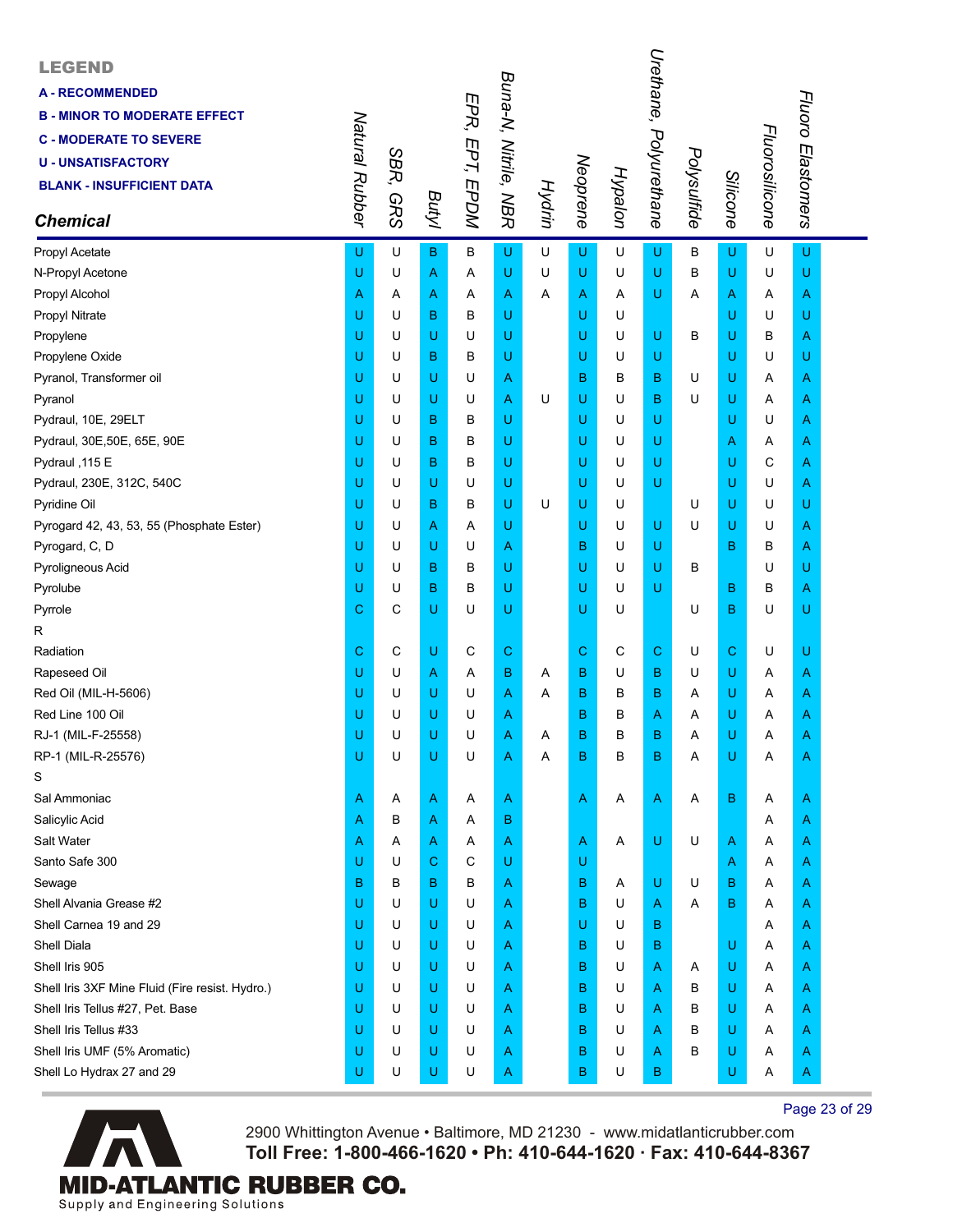| <b>LEGEND</b><br><b>A-RECOMMENDED</b><br><b>B - MINOR TO MODERATE EFFECT</b><br><b>C - MODERATE TO SEVERE</b><br><b>U - UNSATISFACTORY</b><br><b>BLANK - INSUFFICIENT DATA</b><br><b>Chemical</b> | Natural Rubber | SBR,<br><b>GRS</b> | Butyl       | EPR, EPT, EPDM | Buna-N, Nitrile, NBR | <b>Hydrin</b> | Neoprene    | Hypalon | Urethane, Polyurethane | Polysulfide | <b>Silicone</b> | Fluorosilicone | Fluoro Elastomers |  |
|---------------------------------------------------------------------------------------------------------------------------------------------------------------------------------------------------|----------------|--------------------|-------------|----------------|----------------------|---------------|-------------|---------|------------------------|-------------|-----------------|----------------|-------------------|--|
| Propyl Acetate                                                                                                                                                                                    | U              | U                  | $\mathbf B$ | В              | U                    | U             | U           | U       | U                      | в           | U               | U              | U                 |  |
| N-Propyl Acetone                                                                                                                                                                                  | U              | U                  | A           | Α              | U                    | U             | U           | U       | U                      | в           | U               | U              | U                 |  |
| Propyl Alcohol                                                                                                                                                                                    | Α              | Α                  | A           | Α              | Α                    | Α             | Α           | Α       | U                      | Α           | Α               | Α              | A                 |  |
| Propyl Nitrate                                                                                                                                                                                    | U              | U                  | в           | в              | U                    |               | U           | U       |                        |             | U               | U              | U                 |  |
| Propylene                                                                                                                                                                                         | U              | U                  | U           | U              | U                    |               | U           | U       | U                      | в           | U               | в              | Α                 |  |
| Propylene Oxide                                                                                                                                                                                   | U              | U                  | в           | В              | U                    |               | U           | U       | U                      |             | U               | U              | U                 |  |
| Pyranol, Transformer oil                                                                                                                                                                          | U              | U                  | U           | U              | Α                    |               | B           | в       | В                      | U           | U               | Α              | A                 |  |
| Pyranol                                                                                                                                                                                           | U              | U                  | U           | U              | Α                    | U             | U           | U       | в                      | U           | U               | Α              | A                 |  |
| Pydraul, 10E, 29ELT                                                                                                                                                                               | U              | U                  | в           | в              | U                    |               | U           | U       | U                      |             | U               | U              | A                 |  |
| Pydraul, 30E, 50E, 65E, 90E                                                                                                                                                                       | U              | U                  | в           | в              | U                    |               | U           | U       | U                      |             | Α               | Α              | A                 |  |
| Pydraul, 115 E                                                                                                                                                                                    | U              | U                  | в           | в              | U                    |               | U           | U       | U                      |             | U               | С              | A                 |  |
| Pydraul, 230E, 312C, 540C                                                                                                                                                                         | U              | U                  | U           | U              | U                    |               | U           | U       | U                      |             | U               | U              | A                 |  |
| Pyridine Oil                                                                                                                                                                                      | U              | U                  | в           | в              | U                    | U             | U           | U       |                        | U           | U               | U              | U                 |  |
| Pyrogard 42, 43, 53, 55 (Phosphate Ester)                                                                                                                                                         | U              | U                  | A           | Α              | U                    |               | U           | U       | U                      | U           | U               | U              | A                 |  |
| Pyrogard, C, D                                                                                                                                                                                    | U              | U                  | U           | U              | Α                    |               | B           | U       | U                      |             | B               | В              | A                 |  |
| Pyroligneous Acid                                                                                                                                                                                 | U              | U                  | в           | В              | U                    |               | U           | U       | U                      | В           |                 | U              | U                 |  |
| Pyrolube                                                                                                                                                                                          | U              | U                  | в           | В              | U                    |               | U           | U       | U                      |             | в               | В              | A                 |  |
| Pyrrole                                                                                                                                                                                           | С              | С                  | U           | U              | U                    |               | U           | U       |                        | U           | B               | U              | U                 |  |
| R                                                                                                                                                                                                 |                |                    |             |                |                      |               |             |         |                        |             |                 |                |                   |  |
| Radiation                                                                                                                                                                                         | С              | С                  | U           | С              | С                    |               | $\mathbf C$ | C       | $\mathbf C$            | U           | С               | U              | U                 |  |
| Rapeseed Oil                                                                                                                                                                                      | U              | U                  | Α           | Α              | B                    | A             | B           | U       | В                      | U           | U               | Α              | A                 |  |
| Red Oil (MIL-H-5606)                                                                                                                                                                              | U              | U                  | U           | U              | Α                    | A             | B           | в       | В                      | Α           | U               | Α              | A                 |  |
| Red Line 100 Oil                                                                                                                                                                                  | U              | U                  | U           | U              | Α                    |               | B           | в       | Α                      | Α           | U               | Α              | A                 |  |
| RJ-1 (MIL-F-25558)                                                                                                                                                                                | Ü              | U                  | U           | U              | Α                    | Α             | B           | В       | В                      | Α           | U               | Α              | Α                 |  |
| RP-1 (MIL-R-25576)                                                                                                                                                                                | U              | U                  | U           | U              | Α                    | Α             | B           | B       | В                      | Α           | U               | Α              | Α                 |  |
| S                                                                                                                                                                                                 |                |                    |             |                |                      |               |             |         |                        |             |                 |                |                   |  |
| Sal Ammoniac                                                                                                                                                                                      | Α              | A                  | Α           | A              | A                    |               | Α           | Α       | $\mathsf{A}$           | Α           | в               | A              | A                 |  |
| Salicylic Acid                                                                                                                                                                                    | Α              | в                  | A           | Α              | B                    |               |             |         |                        |             |                 | Α              | A                 |  |
| Salt Water                                                                                                                                                                                        | Α              | A                  | A           | A              | Α                    |               | A           | A       | U                      | U           | A               | Α              | A                 |  |
| Santo Safe 300                                                                                                                                                                                    | U              | U                  | $\mathbf C$ | C              | U                    |               | U           |         |                        |             | A               | Α              | Α                 |  |
| Sewage                                                                                                                                                                                            | в              | В                  | в           | в              | Α                    |               | В           | A       | U                      | U           | в               | Α              | A                 |  |
| Shell Alvania Grease #2                                                                                                                                                                           | U              | U                  | U           | U              | Α                    |               | в           | U       | Α                      | Α           | B               | Α              | A                 |  |
| Shell Carnea 19 and 29                                                                                                                                                                            | U              | U                  | U           | U              | Α                    |               | U           | U       | в                      |             |                 | Α              | Α                 |  |
| <b>Shell Diala</b>                                                                                                                                                                                | U              | U                  | U           | U              | Α                    |               | B           | U       | в                      |             | U               | Α              | Α                 |  |
| Shell Iris 905                                                                                                                                                                                    | U<br>U         | U<br>U             | U<br>U      | U              | Α                    |               | B           | U<br>U  | Α                      | A           | U               | A              | A                 |  |
| Shell Iris 3XF Mine Fluid (Fire resist. Hydro.)                                                                                                                                                   | U              | U                  |             | U<br>U         | Α                    |               | в<br>B      | U       | Α                      | в<br>В      | U<br>U          | Α              | A                 |  |
| Shell Iris Tellus #27, Pet. Base<br>Shell Iris Tellus #33                                                                                                                                         | U              | U                  | U<br>U      | U              | Α                    |               | B           | U       | Α                      | В           | U               | Α              | A                 |  |
| Shell Iris UMF (5% Aromatic)                                                                                                                                                                      | U              | U                  | U           | U              | Α                    |               | B           | U       | Α<br>Α                 | В           | U               | Α<br>A         | A                 |  |
| Shell Lo Hydrax 27 and 29                                                                                                                                                                         | U              | U                  | U           | U              | Α<br>Α               |               | в           | U       | B                      |             | U               | Α              | A<br>A            |  |
|                                                                                                                                                                                                   |                |                    |             |                |                      |               |             |         |                        |             |                 |                |                   |  |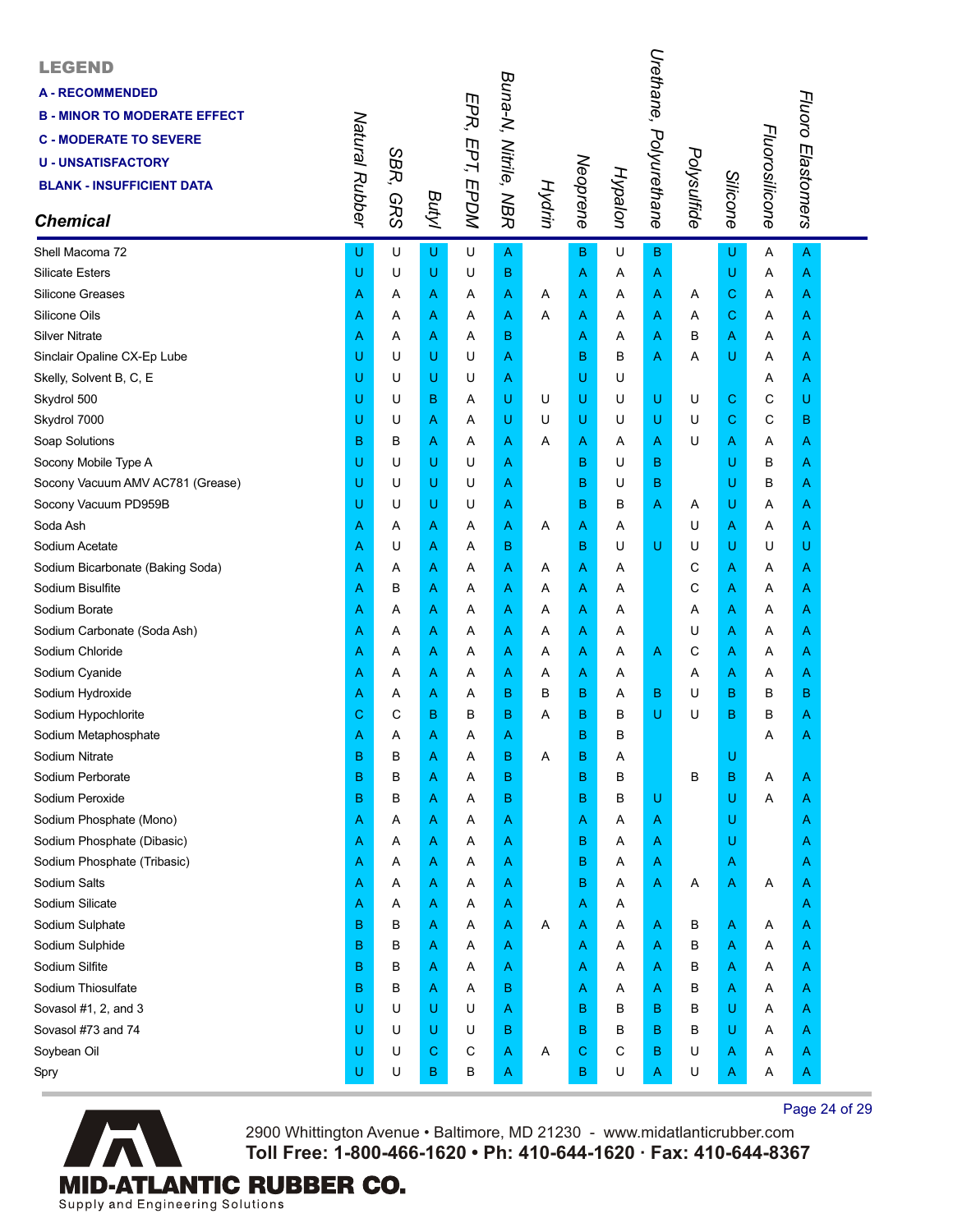| <b>LEGEND</b><br><b>A-RECOMMENDED</b><br><b>B - MINOR TO MODERATE EFFECT</b><br><b>C - MODERATE TO SEVERE</b><br><b>U - UNSATISFACTORY</b><br><b>BLANK - INSUFFICIENT DATA</b><br><b>Chemical</b> | Natural Rubber | SBR,<br><b>GRS</b> | Butyl | EPR, EPT, EPDM | Buna-N, Nitrile, NBR | Hydrin | Neoprene | Hypalon | Urethane,<br>Polyurethane | Polysulfide | Silicone    | Fluorosilicone | Fluoro Elastomers |  |
|---------------------------------------------------------------------------------------------------------------------------------------------------------------------------------------------------|----------------|--------------------|-------|----------------|----------------------|--------|----------|---------|---------------------------|-------------|-------------|----------------|-------------------|--|
| Shell Macoma 72                                                                                                                                                                                   | U              | U                  | U     | U              | A                    |        | в        | U       | в                         |             | U           | Α              | A                 |  |
| <b>Silicate Esters</b>                                                                                                                                                                            | U              | U                  | U     | U              | в                    |        | Α        | Α       | Α                         |             | U           | Α              | A                 |  |
| Silicone Greases                                                                                                                                                                                  | Α              | A                  | A     | Α              | Α                    | A      | Α        | A       | Α                         | A           | $\mathbf C$ | Α              | A                 |  |
| Silicone Oils                                                                                                                                                                                     | Α              | Α                  | A     | Α              | Α                    | A      | Α        | Α       | A                         | Α           | $\mathbf C$ | Α              | A                 |  |
| <b>Silver Nitrate</b>                                                                                                                                                                             | A              | A                  | Α     | A              | в                    |        | Α        | A       | Α                         | в           | A           | A              | Α                 |  |
| Sinclair Opaline CX-Ep Lube                                                                                                                                                                       | U              | U                  | U     | U              | Α                    |        | B        | B       | Α                         | A           | U           | A              | Α                 |  |
| Skelly, Solvent B, C, E                                                                                                                                                                           | U              | U                  | U     | U              | Α                    |        | U        | U       |                           |             |             | Α              | A                 |  |
| Skydrol 500                                                                                                                                                                                       | U              | U                  | в     | Α              | U                    | U      | U        | U       | U                         | U           | $\mathbf C$ | С              | U                 |  |
| Skydrol 7000                                                                                                                                                                                      | U              | U                  | Α     | Α              | U                    | U      | U        | U       | U                         | U           | $\mathbf C$ | С              | в                 |  |
| Soap Solutions                                                                                                                                                                                    | B              | в                  | A     | Α              | Α                    | A      | Α        | Α       | Α                         | U           | A           | A              | A                 |  |
| Socony Mobile Type A                                                                                                                                                                              | U              | U                  | U     | U              | Α                    |        | B        | U       | B                         |             | U           | В              | A                 |  |
| Socony Vacuum AMV AC781 (Grease)                                                                                                                                                                  | U              | U                  | U     | U              | Α                    |        | B        | U       | в                         |             | U           | в              | Α                 |  |
| Socony Vacuum PD959B                                                                                                                                                                              | U              | U                  | U     | U              | Α                    |        | B        | в       | Α                         | Α           | U           | Α              | Α                 |  |
| Soda Ash                                                                                                                                                                                          | Α              | A                  | A     | Α              | Α                    | Α      | Α        | A       |                           | U           | A           | Α              | A                 |  |
| Sodium Acetate                                                                                                                                                                                    | Α              | U                  | Α     | Α              | в                    |        | B        | U       | U                         | U           | U           | U              | U                 |  |
| Sodium Bicarbonate (Baking Soda)                                                                                                                                                                  | Α              | Α                  | A     | Α              | Α                    | Α      | Α        | A       |                           | C           | A           | Α              | Α                 |  |
| Sodium Bisulfite                                                                                                                                                                                  | A              | В                  | A     | Α              | Α                    | Α      | Α        | Α       |                           | С           | A           | Α              | A                 |  |
| Sodium Borate                                                                                                                                                                                     | Α              | A                  | A     | Α              | Α                    | Α      | Α        | Α       |                           | Α           | A           | Α              | A                 |  |
| Sodium Carbonate (Soda Ash)                                                                                                                                                                       | Α              | A                  | Α     | Α              | Α                    | Α      | Α        | A       |                           | U           | A           | Α              | A                 |  |
| Sodium Chloride                                                                                                                                                                                   | Α              | Α                  | A     | Α              | Α                    | Α      | Α        | Α       | Α                         | C           | A           | Α              | A                 |  |
| Sodium Cyanide                                                                                                                                                                                    | A              | Α                  | A     | Α              | Α                    | Α      | Α        | Α       |                           | Α           | A           | Α              | Α                 |  |
| Sodium Hydroxide                                                                                                                                                                                  | Α              | A                  | A     | Α              | в                    | в      | B        | A       | B                         | U           | B           | в              | в                 |  |
| Sodium Hypochlorite                                                                                                                                                                               | С              | С                  | В     | В              | B                    | A      | B        | В       | U                         | U           | в           | В              | A                 |  |
| Sodium Metaphosphate                                                                                                                                                                              | Α              | Α                  | Α     | Α              | Α                    |        | B        | В       |                           |             |             | Α              | A                 |  |
| Sodium Nitrate                                                                                                                                                                                    | в              | в                  | A     | Α              | в                    | A      | B        | Α       |                           |             | U           |                |                   |  |
| Sodium Perborate                                                                                                                                                                                  | B              | B                  | Α     | Α              | B                    |        | B        | B       |                           | B           | $\sf B$     | Α              | A                 |  |
| Sodium Peroxide                                                                                                                                                                                   | B              | B                  | Α     | Α              | B                    |        | B        | в       | U                         |             | U           | Α              | A                 |  |
| Sodium Phosphate (Mono)                                                                                                                                                                           | Α              | A                  | Α     | Α              | Α                    |        | Α        | Α       | A                         |             | U           |                | Α                 |  |
| Sodium Phosphate (Dibasic)                                                                                                                                                                        | A              | A                  | Α     | Α              | Α                    |        | B        | Α       | Α                         |             | U           |                | A                 |  |
| Sodium Phosphate (Tribasic)                                                                                                                                                                       | Α              | A                  | Α     | Α              | Α                    |        | B        | Α       | Α                         |             | A           |                | A                 |  |
| Sodium Salts                                                                                                                                                                                      | Α              | A                  | A     | Α              | A                    |        | B        | Α       | Α                         | Α           | A           | Α              | A                 |  |
| Sodium Silicate                                                                                                                                                                                   | Α              | A                  | A     | Α              | A                    |        | Α        | Α       |                           |             |             |                | Α                 |  |
| Sodium Sulphate                                                                                                                                                                                   | B              | в                  | Α     | Α              | Α                    | Α      | Α        | Α       | Α                         | в           | A           | Α              | A                 |  |
| Sodium Sulphide                                                                                                                                                                                   | B              | в                  | Α     | Α              | Α                    |        | Α        | Α       | Α                         | в           | A           | Α              | A                 |  |
| Sodium Silfite                                                                                                                                                                                    | B              | в                  | Α     | Α              | A                    |        | Α        | A       | Α                         | в           | A           | A              | A                 |  |
| Sodium Thiosulfate                                                                                                                                                                                | в              | B                  | Α     | Α              | B                    |        | Α        | Α       | Α                         | в           | A           | Α              | A                 |  |
| Sovasol #1, 2, and 3                                                                                                                                                                              | U              | U                  | U     | U              | A                    |        | B        | в       | B                         | В           | U           | Α              | A                 |  |
| Sovasol #73 and 74                                                                                                                                                                                | U              | U                  | U     | U              | в                    |        | B        | В       | B                         | В           | U           | Α              | A                 |  |
| Soybean Oil                                                                                                                                                                                       | U              | U                  | С     | С              | Α                    | Α      | C        | С       | B                         | U           | A           | Α              | A                 |  |
| Spry                                                                                                                                                                                              | U              | U                  | В     | B              | Α                    |        | в        | U       | Α                         | U           | A           | Α              | A                 |  |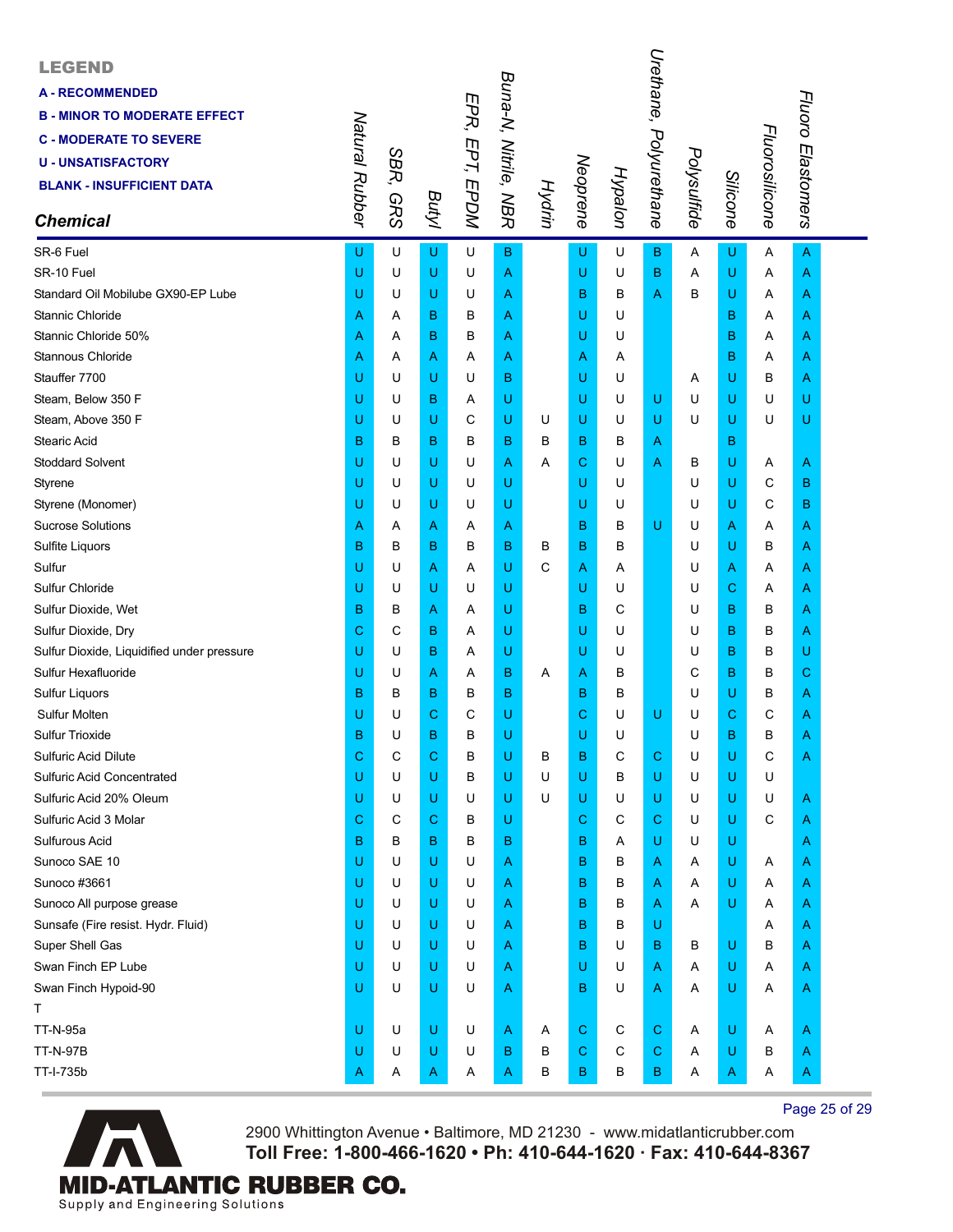| <b>LEGEND</b><br><b>A-RECOMMENDED</b><br><b>B - MINOR TO MODERATE EFFECT</b><br><b>C - MODERATE TO SEVERE</b><br><b>U - UNSATISFACTORY</b><br><b>BLANK - INSUFFICIENT DATA</b><br><b>Chemical</b> | Natural Rubber | SBR,<br><b>GRS</b> | Butyl | EPR, EPT, EPDM | Buna-N, Nitrile, NBR | Hydrin | Neoprene    | Hypalon      | Urethane,<br>Polyurethane | Polysulfide | Silicone    | Fluorosilicone | Fluoro Elastomers |  |
|---------------------------------------------------------------------------------------------------------------------------------------------------------------------------------------------------|----------------|--------------------|-------|----------------|----------------------|--------|-------------|--------------|---------------------------|-------------|-------------|----------------|-------------------|--|
| SR-6 Fuel                                                                                                                                                                                         | U              | U                  | U     | U              | в                    |        | U           | U            | B.                        | Α           | U           | A              | A                 |  |
| SR-10 Fuel                                                                                                                                                                                        | U              | U                  | U     | U              | Α                    |        | U           | U            | B                         | Α           | U           | Α              | A                 |  |
| Standard Oil Mobilube GX90-EP Lube                                                                                                                                                                | U              | U                  | U     | U              | Α                    |        | в           | B            | A                         | в           | U           | Α              | A                 |  |
| Stannic Chloride                                                                                                                                                                                  | A              | Α                  | B     | в              | Α                    |        | U           | U            |                           |             | в           | Α              | Α                 |  |
| Stannic Chloride 50%                                                                                                                                                                              | A              | Α                  | B     | В              | Α                    |        | U           | U            |                           |             | B           | Α              | A                 |  |
| Stannous Chloride                                                                                                                                                                                 | Α              | Α                  | Α     | Α              | Α                    |        | Α           | Α            |                           |             | в           | Α              | A                 |  |
| Stauffer 7700                                                                                                                                                                                     | U              | U                  | U     | U              | в                    |        | U           | U            |                           | Α           | U           | в              | Α                 |  |
| Steam, Below 350 F                                                                                                                                                                                | U              | U                  | B     | Α              | U                    |        | U           | U            | U                         | U           | U           | U              | U                 |  |
| Steam, Above 350 F                                                                                                                                                                                | U              | U                  | U     | C              | U                    | U      | U           | U            | U                         | U           | U           | U              | U                 |  |
| Stearic Acid                                                                                                                                                                                      | B              | в                  | в     | в              | в                    | в      | в           | в            | Α                         |             | В           |                |                   |  |
| <b>Stoddard Solvent</b>                                                                                                                                                                           | U              | U                  | U     | U              | Α                    | Α      | С           | U            | A                         | В           | U           | Α              | A                 |  |
| Styrene                                                                                                                                                                                           | U              | U                  | U     | U              | U                    |        | U           | U            |                           | U           | U           | С              | в                 |  |
| Styrene (Monomer)                                                                                                                                                                                 | U              | U                  | U     | U              | U                    |        | U           | U            |                           | U           | U           | C              | B                 |  |
| <b>Sucrose Solutions</b>                                                                                                                                                                          | A              | A                  | Α     | Α              | Α                    |        | B           | в            | U                         | U           | A           | A              | A                 |  |
| Sulfite Liquors                                                                                                                                                                                   | B              | в                  | B     | в              | в                    | в      | B           | в            |                           | U           | U           | в              | A                 |  |
| Sulfur                                                                                                                                                                                            | U              | U                  | Α     | Α              | U                    | С      | A           | A            |                           | U           | A           | Α              | A                 |  |
| Sulfur Chloride                                                                                                                                                                                   | U              | U                  | U     | U              | U                    |        | U           | U            |                           | U           | $\mathbf C$ | Α              | Α                 |  |
| Sulfur Dioxide, Wet                                                                                                                                                                               | B              | в                  | Α     | Α              | U                    |        | B           | C            |                           | U           | в           | в              | Α                 |  |
| Sulfur Dioxide, Dry                                                                                                                                                                               | С              | С                  | B     | Α              | U                    |        | U           | U            |                           | U           | в           | В              | A                 |  |
| Sulfur Dioxide, Liquidified under pressure                                                                                                                                                        | U              | U                  | B     | Α              | U                    |        | U           | U            |                           | U           | в           | в              | U                 |  |
| Sulfur Hexafluoride                                                                                                                                                                               | U              | U                  | Α     | Α              | в                    | A      | A           | B            |                           | С           | в           | в              | С                 |  |
| <b>Sulfur Liquors</b>                                                                                                                                                                             | B              | в                  | B     | В              | в                    |        | B           | в            |                           | U           | U           | в              | A                 |  |
| Sulfur Molten                                                                                                                                                                                     | U              | U                  | C     | С              | U                    |        | С           | U            | U                         | U           | C           | С              | A                 |  |
| Sulfur Trioxide                                                                                                                                                                                   | B              | U                  | B     | в              | U                    |        | U           | U            |                           | U           | B           | в              | A                 |  |
| Sulfuric Acid Dilute                                                                                                                                                                              | С              | С                  | С     | в              | U                    | В      | B           | C            | С                         | U           | U           | C              | Α                 |  |
| <b>Sulfuric Acid Concentrated</b>                                                                                                                                                                 | U              | U                  | U     | в              | U                    | U      | U           | B            | U.                        | U           | U           | U              |                   |  |
| Sulfuric Acid 20% Oleum                                                                                                                                                                           | U              | U                  | U     | U              | U                    | U      | U           | U            | U                         | U           | U           | U              | A                 |  |
| Sulfuric Acid 3 Molar                                                                                                                                                                             | С              | C                  | С     | в              | U                    |        | C           | C            | С                         | U           | U           | C              | A                 |  |
| Sulfurous Acid                                                                                                                                                                                    | B              | в                  | B     | в              | B                    |        | в           | Α            | U                         | U           | U           |                | A                 |  |
| Sunoco SAE 10                                                                                                                                                                                     | U              | U                  | U     | U              | Α                    |        | B           | B            | Α                         | Α           | U           | Α              | A                 |  |
| Sunoco #3661                                                                                                                                                                                      | U              | U                  | U     | U              | A                    |        | B           | B            | Α                         | Α           | U           | Α              | A                 |  |
| Sunoco All purpose grease                                                                                                                                                                         | U              | U                  | U     | U              | Α                    |        | B           | B            | A                         | Α           | U           | Α              | A                 |  |
| Sunsafe (Fire resist. Hydr. Fluid)                                                                                                                                                                | U              | U                  | U     | U              | A                    |        | B           | B            | U                         |             |             | Α              | A                 |  |
| Super Shell Gas                                                                                                                                                                                   | U              | U                  | U     | U              | A                    |        | B           | U            | B                         | в           | U           | В              | A                 |  |
| Swan Finch EP Lube                                                                                                                                                                                | U              | U                  | U     | U              | A                    |        | U           | U            | A                         | Α           | U           | Α              | A                 |  |
| Swan Finch Hypoid-90                                                                                                                                                                              | U              | U                  | U     | U              | Α                    |        | в           | U            | Α                         | Α           | U           | Α              | A                 |  |
| Т                                                                                                                                                                                                 |                |                    |       |                |                      |        |             |              |                           |             |             |                |                   |  |
| <b>TT-N-95a</b>                                                                                                                                                                                   | U              | U                  | U     | U              | A                    | A      | $\mathbf C$ | С            | $\mathbf C$               | Α           | U           | Α              | A                 |  |
| <b>TT-N-97B</b>                                                                                                                                                                                   | U              | U                  | U     | U              | в                    | в      | C           | $\mathsf{C}$ | С                         | Α           | U           | в              | A                 |  |
| TT-I-735b                                                                                                                                                                                         | A              | Α                  | A     | A              | A                    | В      | в           | в            | В                         | Α           | A           | Α              | Α                 |  |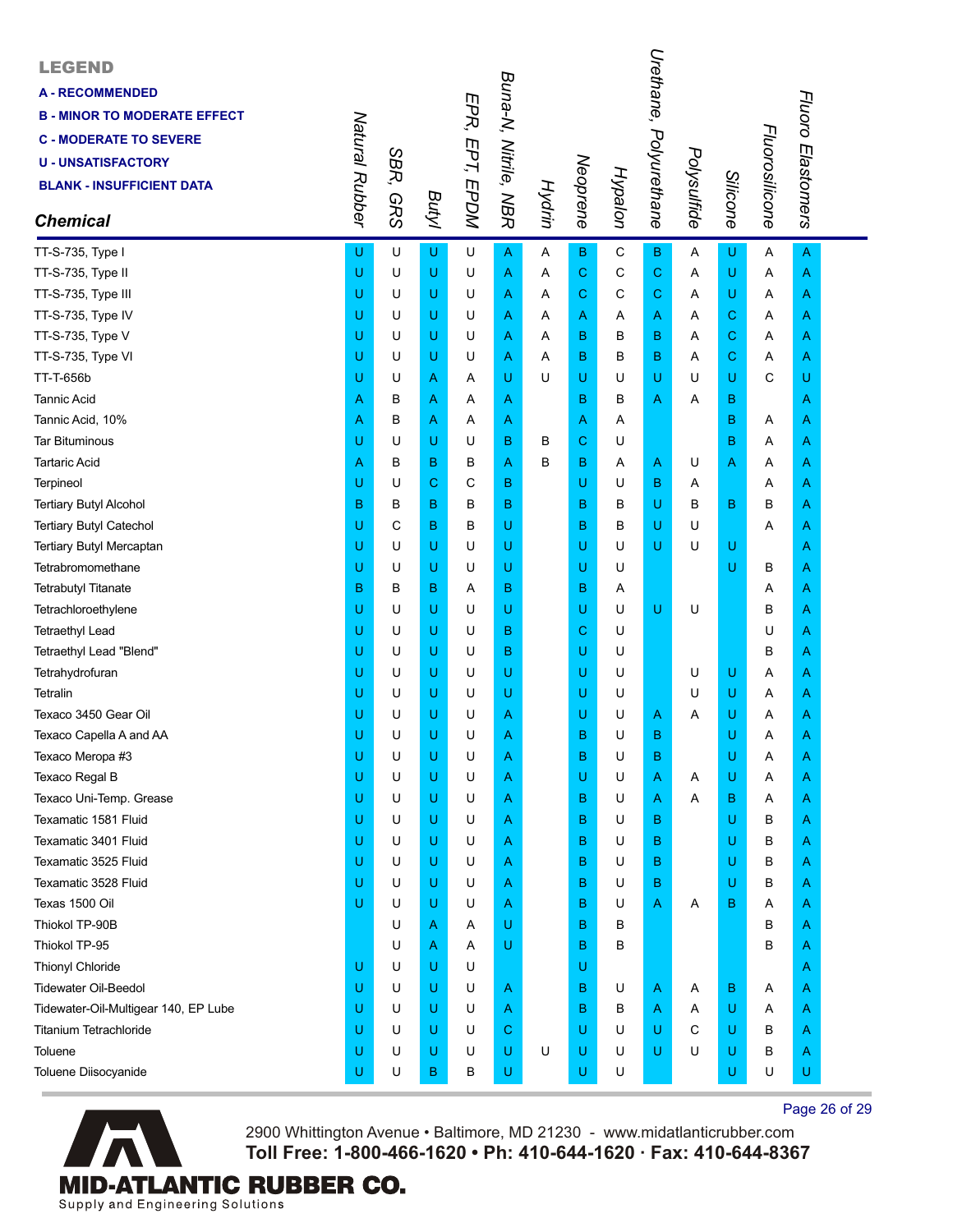| <b>LEGEND</b><br><b>A-RECOMMENDED</b><br><b>B - MINOR TO MODERATE EFFECT</b><br><b>C - MODERATE TO SEVERE</b><br><b>U - UNSATISFACTORY</b><br><b>BLANK - INSUFFICIENT DATA</b><br><b>Chemical</b> | Natural Rubber | SBR,<br><b>GRS</b> | Butyl | EPR, EPT, EPDM | Buna-N, Nitrile, NBR | Hydrin | Neoprene    | Hypalon     | Urethane,<br>Polyurethane | Polysulfide  | Silicone                                                                                                   | Fluorosilicone | Fluoro Elastomers |  |
|---------------------------------------------------------------------------------------------------------------------------------------------------------------------------------------------------|----------------|--------------------|-------|----------------|----------------------|--------|-------------|-------------|---------------------------|--------------|------------------------------------------------------------------------------------------------------------|----------------|-------------------|--|
| TT-S-735, Type I                                                                                                                                                                                  | U              | U                  | U     | U              | $\overline{A}$       | Α      | B           | $\mathbf C$ | B                         | A            | U                                                                                                          | Α              | $\mathsf{A}$      |  |
| TT-S-735, Type II                                                                                                                                                                                 | U              | U                  | U     | U              | A                    | Α      | $\mathbf C$ | C           | $\mathbf C$               | A            | $\sf U$                                                                                                    | Α              | A                 |  |
| TT-S-735, Type III                                                                                                                                                                                | Ü              | U                  | U     | U              | Α                    | A      | C           | C           | C                         | Α            | U                                                                                                          | Α              | A                 |  |
| TT-S-735, Type IV                                                                                                                                                                                 | U              | U                  | U     | U              | Α                    | Α      | Α           | Α           | A                         | Α            | $\mathbf C$                                                                                                | Α              | A                 |  |
| TT-S-735, Type V                                                                                                                                                                                  | U              | U                  | U     | U              | Α                    | A      | в           | в           | в                         | Α            | $\mathbf C$                                                                                                | Α              | A                 |  |
| TT-S-735, Type VI                                                                                                                                                                                 | U              | U                  | U     | U              | Α                    | A      | В           | B           | в                         | Α            | $\mathbf C$                                                                                                | Α              | A                 |  |
| TT-T-656b                                                                                                                                                                                         | Ü              | U                  | A     | Α              | U                    | U      | U           | U           | U                         | U            | $\mathsf U$                                                                                                | C              | U                 |  |
| <b>Tannic Acid</b>                                                                                                                                                                                | Α              | в                  | Α     | Α              | Α                    |        | в           | в           | Α                         | Α            | B                                                                                                          |                | A                 |  |
| Tannic Acid, 10%                                                                                                                                                                                  | Α              | В                  | Α     | Α              | Α                    |        | Α           | Α           |                           |              | $\mathbf B$                                                                                                | Α              | Α                 |  |
| <b>Tar Bituminous</b>                                                                                                                                                                             | U              | U                  | U     | U              | B                    | в      | C           | U           |                           |              | B                                                                                                          | Α              | Α                 |  |
| <b>Tartaric Acid</b>                                                                                                                                                                              | Α              | в                  | B     | В              | A                    | в      | В           | Α           | Α                         | U            | A                                                                                                          | Α              | A                 |  |
| Terpineol                                                                                                                                                                                         | U              | U                  | С     | C              | B                    |        | U           | U           | в                         | Α            |                                                                                                            | Α              | A                 |  |
| <b>Tertiary Butyl Alcohol</b>                                                                                                                                                                     | B              | В                  | B     | в              | B                    |        | B           | в           | U                         | В            | $\mathbf B$                                                                                                | в              | A                 |  |
| Tertiary Butyl Catechol                                                                                                                                                                           | U              | C                  | B     | B              | U                    |        | B           | в           | U                         | U            |                                                                                                            | Α              | A                 |  |
| Tertiary Butyl Mercaptan                                                                                                                                                                          | Ü              | U                  | U     | U              | U                    |        | U           | U           | U                         | U            | U                                                                                                          |                | A                 |  |
| Tetrabromomethane                                                                                                                                                                                 | U              | U                  | U     | U              | U                    |        | U           | U           |                           |              | $\mathsf U$                                                                                                | В              | A                 |  |
| <b>Tetrabutyl Titanate</b>                                                                                                                                                                        | B              | в                  | B     | Α              | B                    |        | B           | Α           |                           |              |                                                                                                            | Α              | Α                 |  |
| Tetrachloroethylene                                                                                                                                                                               | U              | U                  | U     | U              | U                    |        | U           | U           | U                         | U            |                                                                                                            | B              | A                 |  |
| <b>Tetraethyl Lead</b>                                                                                                                                                                            | Ü              | U                  | U     | U              | B                    |        | C           | U           |                           |              |                                                                                                            | U              | A                 |  |
| Tetraethyl Lead "Blend"                                                                                                                                                                           | U              | U                  | U     | U              | B                    |        | U           | U           |                           |              |                                                                                                            | в              | A                 |  |
| Tetrahydrofuran                                                                                                                                                                                   | Ü              | U                  | U     | U              | U                    |        | U           | U           |                           | U            | $\mathsf{U}% _{T}=\mathsf{U}_{T}\!\left( a,b\right) ,\ \mathsf{U}_{T}=\mathsf{U}_{T}\!\left( a,b\right) ,$ | Α              | A                 |  |
| Tetralin                                                                                                                                                                                          | U              | U                  | U     | U              | U                    |        | U           | U           |                           | U            | $\mathsf{U}% _{T}=\mathsf{U}_{T}\!\left( a,b\right) ,\ \mathsf{U}_{T}=\mathsf{U}_{T}\!\left( a,b\right) ,$ | Α              | A                 |  |
| Texaco 3450 Gear Oil                                                                                                                                                                              | Ü              | U                  | U     | U              | Α                    |        | U           | U           | A                         | A            | U                                                                                                          | Α              | A                 |  |
| Texaco Capella A and AA                                                                                                                                                                           | Ü              | U                  | U     | U              | Α                    |        | B           | U           | в                         |              | U                                                                                                          | Α              | Α                 |  |
| Texaco Meropa #3                                                                                                                                                                                  | U              | U                  | U     | U              | Α                    |        | B           | U           | в                         |              | U                                                                                                          | Α              | A                 |  |
| Texaco Regal B                                                                                                                                                                                    | U              | U                  | U     | U              | Α                    |        | U           | U           | A                         | Α            | U                                                                                                          | Α              | A                 |  |
| Texaco Uni-Temp. Grease                                                                                                                                                                           | U              | U                  | U     | U              | Α                    |        | B           | U           | A                         | A            | $\mathbf B$                                                                                                | Α              | A                 |  |
| Texamatic 1581 Fluid                                                                                                                                                                              | U              | U                  | U     | U              | Α                    |        | B           | U           | в                         |              | U                                                                                                          | В              | A                 |  |
| Texamatic 3401 Fluid                                                                                                                                                                              | U              | U                  | U     | U              | Α                    |        | B           | U           | в                         |              | U                                                                                                          | в              | A                 |  |
| Texamatic 3525 Fluid                                                                                                                                                                              | U              | U                  | U     | U              | Α                    |        | B           | U           | в                         |              | U                                                                                                          | В              | A                 |  |
| Texamatic 3528 Fluid                                                                                                                                                                              | U              | U                  | U     | U              | Α                    |        | B           | U           | в                         |              | U                                                                                                          | В              | A                 |  |
| Texas 1500 Oil                                                                                                                                                                                    | U              | U                  | U     | U              | Α                    |        | в           | U           | A                         | Α            | $\mathbf B$                                                                                                | Α              | A                 |  |
| Thiokol TP-90B                                                                                                                                                                                    |                | U                  | A     | Α              | U                    |        | B           | В           |                           |              |                                                                                                            | B              | A                 |  |
| Thiokol TP-95                                                                                                                                                                                     |                | U                  | Α     | Α              | U                    |        | B           | B           |                           |              |                                                                                                            | B              | A                 |  |
| <b>Thionyl Chloride</b>                                                                                                                                                                           | U              | U                  | U     | U              |                      |        | U           |             |                           |              |                                                                                                            |                | A                 |  |
| <b>Tidewater Oil-Beedol</b>                                                                                                                                                                       | U              | U                  | U     | U              | Α                    |        | В           | U           | A                         | A            | B                                                                                                          | A              | A                 |  |
| Tidewater-Oil-Multigear 140, EP Lube                                                                                                                                                              | U              | U                  | U     | U              | Α                    |        | B           | В           | Α                         | Α            | U                                                                                                          | Α              | A                 |  |
| Titanium Tetrachloride                                                                                                                                                                            | U              | U                  | U     | U              | C                    |        | U           | U           | U                         | $\mathsf{C}$ | U                                                                                                          | В              | A                 |  |
| Toluene                                                                                                                                                                                           | U              | U                  | U     | U              | U                    | U      | U           | U           | U                         | U            | U                                                                                                          | В              | A                 |  |
| Toluene Diisocyanide                                                                                                                                                                              | U              | U                  | в     | В              | U                    |        | U           | U           |                           |              | U                                                                                                          | U              | U                 |  |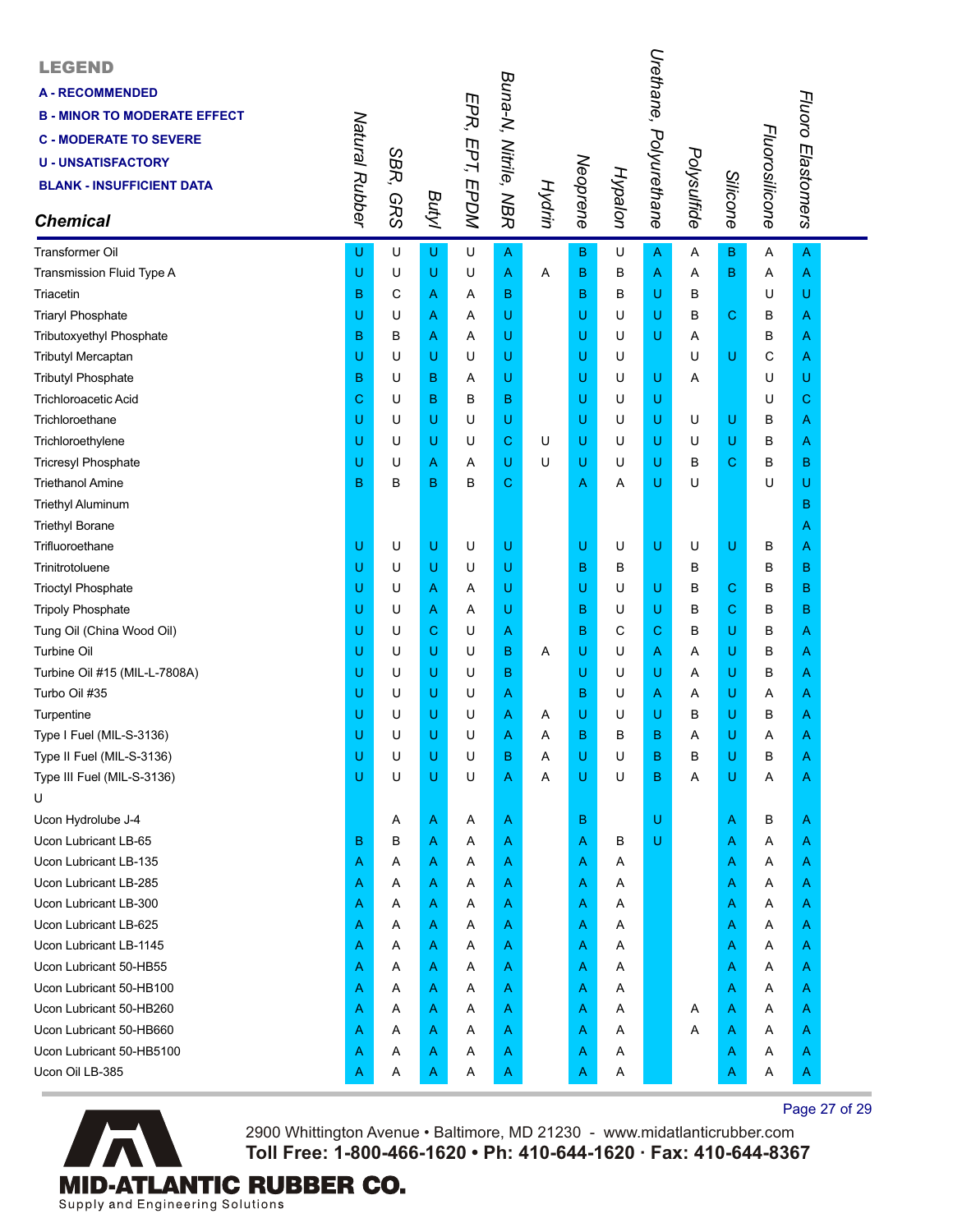| <b>LEGEND</b><br><b>A-RECOMMENDED</b><br><b>B - MINOR TO MODERATE EFFECT</b><br><b>C - MODERATE TO SEVERE</b><br><b>U - UNSATISFACTORY</b><br><b>BLANK - INSUFFICIENT DATA</b><br><b>Chemical</b> | Natural Rubber | SBR,<br><b>GRS</b> | Butyl | EPR, EPT, EPDM | Buna-N, Nitrile, NBR | Hydrin | Neoprene    | Hypalon | Urethane,<br>Polyurethane | Polysulfide | Silicone                                                                                                   | Fluorosilicone | Fluoro Elastomers |  |
|---------------------------------------------------------------------------------------------------------------------------------------------------------------------------------------------------|----------------|--------------------|-------|----------------|----------------------|--------|-------------|---------|---------------------------|-------------|------------------------------------------------------------------------------------------------------------|----------------|-------------------|--|
| <b>Transformer Oil</b>                                                                                                                                                                            | U              | U                  | U     | U              | $\overline{A}$       |        | $\mathbf B$ | U       | A                         | Α           | $\mathsf B$                                                                                                | A              | $\mathsf{A}$      |  |
| Transmission Fluid Type A                                                                                                                                                                         | U              | U                  | U     | U              | A                    | Α      | B           | В       | A                         | Α           | $\mathbf B$                                                                                                | Α              | A                 |  |
| Triacetin                                                                                                                                                                                         | B              | С                  | Α     | Α              | B                    |        | B           | в       | U                         | в           |                                                                                                            | U              | U                 |  |
| <b>Triaryl Phosphate</b>                                                                                                                                                                          | U              | U                  | Α     | Α              | U                    |        | U           | U       | U                         | B           | $\mathbf C$                                                                                                | В              | A                 |  |
| Tributoxyethyl Phosphate                                                                                                                                                                          | B              | в                  | Α     | Α              | U                    |        | U           | U       | U                         | Α           |                                                                                                            | В              | A                 |  |
| <b>Tributyl Mercaptan</b>                                                                                                                                                                         | U              | U                  | U     | U              | U                    |        | U           | U       |                           | U           | $\mathsf{U}% _{T}=\mathsf{U}_{T}\!\left( a,b\right) ,\ \mathsf{U}_{T}=\mathsf{U}_{T}\!\left( a,b\right) ,$ | С              | Α                 |  |
| <b>Tributyl Phosphate</b>                                                                                                                                                                         | B              | U                  | B     | Α              | U                    |        | U           | U       | U                         | Α           |                                                                                                            | U              | U                 |  |
| <b>Trichloroacetic Acid</b>                                                                                                                                                                       | С              | U                  | B     | в              | B                    |        | U           | U       | U                         |             |                                                                                                            | U              | С                 |  |
| Trichloroethane                                                                                                                                                                                   | U              | U                  | U     | U              | U                    |        | U           | U       | U                         | U           | $\mathsf{U}% _{T}=\mathsf{U}_{T}\!\left( a,b\right) ,\ \mathsf{U}_{T}=\mathsf{U}_{T}\!\left( a,b\right) ,$ | В              | A                 |  |
| Trichloroethylene                                                                                                                                                                                 | U              | U                  | U     | U              | C                    | U      | U           | U       | U                         | U           | $\mathsf{U}% _{T}=\mathsf{U}_{T}\!\left( a,b\right) ,\ \mathsf{U}_{T}=\mathsf{U}_{T}\!\left( a,b\right) ,$ | В              | A                 |  |
| <b>Tricresyl Phosphate</b>                                                                                                                                                                        | U              | U                  | Α     | Α              | U                    | U      | U           | U       | U                         | в           | $\mathbf C$                                                                                                | в              | В                 |  |
| <b>Triethanol Amine</b>                                                                                                                                                                           | B              | B                  | B     | в              | C                    |        | Α           | Α       | U                         | U           |                                                                                                            | U              | U                 |  |
| <b>Triethyl Aluminum</b>                                                                                                                                                                          |                |                    |       |                |                      |        |             |         |                           |             |                                                                                                            |                | в                 |  |
| <b>Triethyl Borane</b>                                                                                                                                                                            |                |                    |       |                |                      |        |             |         |                           |             |                                                                                                            |                | A                 |  |
| Trifluoroethane                                                                                                                                                                                   | U              | U                  | U     | U              | U                    |        | U           | U       | U                         | U           | $\mathsf U$                                                                                                | В              | A                 |  |
| Trinitrotoluene                                                                                                                                                                                   | Ü              | U                  | U     | U              | U                    |        | в           | в       |                           | в           |                                                                                                            | в              | B                 |  |
| <b>Trioctyl Phosphate</b>                                                                                                                                                                         | U              | U                  | Α     | Α              | U                    |        | U           | U       | U                         | в           | $\mathbf C$                                                                                                | в              | В                 |  |
| <b>Tripoly Phosphate</b>                                                                                                                                                                          | U              | U                  | Α     | Α              | U                    |        | B           | U       | U                         | в           | $\mathbf C$                                                                                                | в              | B                 |  |
| Tung Oil (China Wood Oil)                                                                                                                                                                         | Ü              | U                  | С     | U              | Α                    |        | B           | C       | С                         | В           | U                                                                                                          | в              | A                 |  |
| <b>Turbine Oil</b>                                                                                                                                                                                | U              | U                  | U     | U              | в                    | A      | U           | U       | A                         | Α           | U                                                                                                          | в              | A                 |  |
| Turbine Oil #15 (MIL-L-7808A)                                                                                                                                                                     | U              | U                  | U     | U              | B                    |        | U           | U       | U                         | Α           | U                                                                                                          | В              | Α                 |  |
| Turbo Oil #35                                                                                                                                                                                     | U              | U                  | U     | U              | Α                    |        | B           | U       | Α                         | Α           | $\sf U$                                                                                                    | Α              | A                 |  |
| Turpentine                                                                                                                                                                                        | U              | U                  | U     | U              | Α                    | Α      | U           | U       | U                         | в           | U                                                                                                          | В              | A                 |  |
| Type I Fuel (MIL-S-3136)                                                                                                                                                                          | U              | U                  | U     | U              | А                    | Α      | B           | в       | B                         | Α           | U                                                                                                          | Α              | A                 |  |
| Type II Fuel (MIL-S-3136)                                                                                                                                                                         | U              | U                  | U     | U              | B                    | Α      | U           | U       | B                         | в           | U                                                                                                          | B              | A                 |  |
| Type III Fuel (MIL-S-3136)                                                                                                                                                                        | U              | U                  | U     | U              | Α                    | Α      | U           | U       | B                         | Α           | $\sf U$                                                                                                    | Α              | Α                 |  |
| U                                                                                                                                                                                                 |                |                    |       |                |                      |        |             |         |                           |             |                                                                                                            |                |                   |  |
| Ucon Hydrolube J-4                                                                                                                                                                                |                | Α                  | A     | Α              | Α                    |        | В           |         | U                         |             | A                                                                                                          | В              | A                 |  |
| Ucon Lubricant LB-65                                                                                                                                                                              | в              | в                  | Α     | Α              | A                    |        | Α           | В       | U                         |             | Α                                                                                                          | Α              | Α                 |  |
| Ucon Lubricant LB-135                                                                                                                                                                             | Α              | Α                  | Α     | Α              | Α                    |        | Α           | Α       |                           |             | Α                                                                                                          | Α              | A                 |  |
| Ucon Lubricant LB-285                                                                                                                                                                             | Α              | Α                  | Α     | Α              | Α                    |        | Α           | A       |                           |             | Α                                                                                                          | Α              | A                 |  |
| Ucon Lubricant LB-300                                                                                                                                                                             | Α              | Α                  | Α     | Α              | A                    |        | Α           | Α       |                           |             | Α                                                                                                          | Α              | Α                 |  |
| Ucon Lubricant LB-625                                                                                                                                                                             | Α              | Α                  | Α     | Α              | Α                    |        | Α           | Α       |                           |             | Α                                                                                                          | Α              | Α                 |  |
| Ucon Lubricant LB-1145                                                                                                                                                                            | Α              | A                  | Α     | Α              | Α                    |        | Α           | Α       |                           |             | Α                                                                                                          | Α              | A                 |  |
| Ucon Lubricant 50-HB55                                                                                                                                                                            | Α              | Α                  | Α     | Α              | Α                    |        | Α           | A       |                           |             | Α                                                                                                          | Α              | A                 |  |
| Ucon Lubricant 50-HB100                                                                                                                                                                           | Α              | Α                  | Α     | Α              | A                    |        | Α           | Α       |                           |             | Α                                                                                                          | Α              | A                 |  |
| Ucon Lubricant 50-HB260                                                                                                                                                                           | Α              | Α                  | Α     | Α              | Α                    |        | Α           | A       |                           | A           | A                                                                                                          | Α              | Α                 |  |
| Ucon Lubricant 50-HB660                                                                                                                                                                           | Α              | A                  | Α     | Α              | Α                    |        | Α           | Α       |                           | Α           | Α                                                                                                          | Α              | A                 |  |
| Ucon Lubricant 50-HB5100                                                                                                                                                                          | Α              | Α                  | A     | Α              | Α                    |        | Α           | A       |                           |             | A                                                                                                          | Α              | A                 |  |
| Ucon Oil LB-385                                                                                                                                                                                   | Α              | Α                  | A     | A              | A                    |        | Α           | Α       |                           |             | Α                                                                                                          | Α              | A                 |  |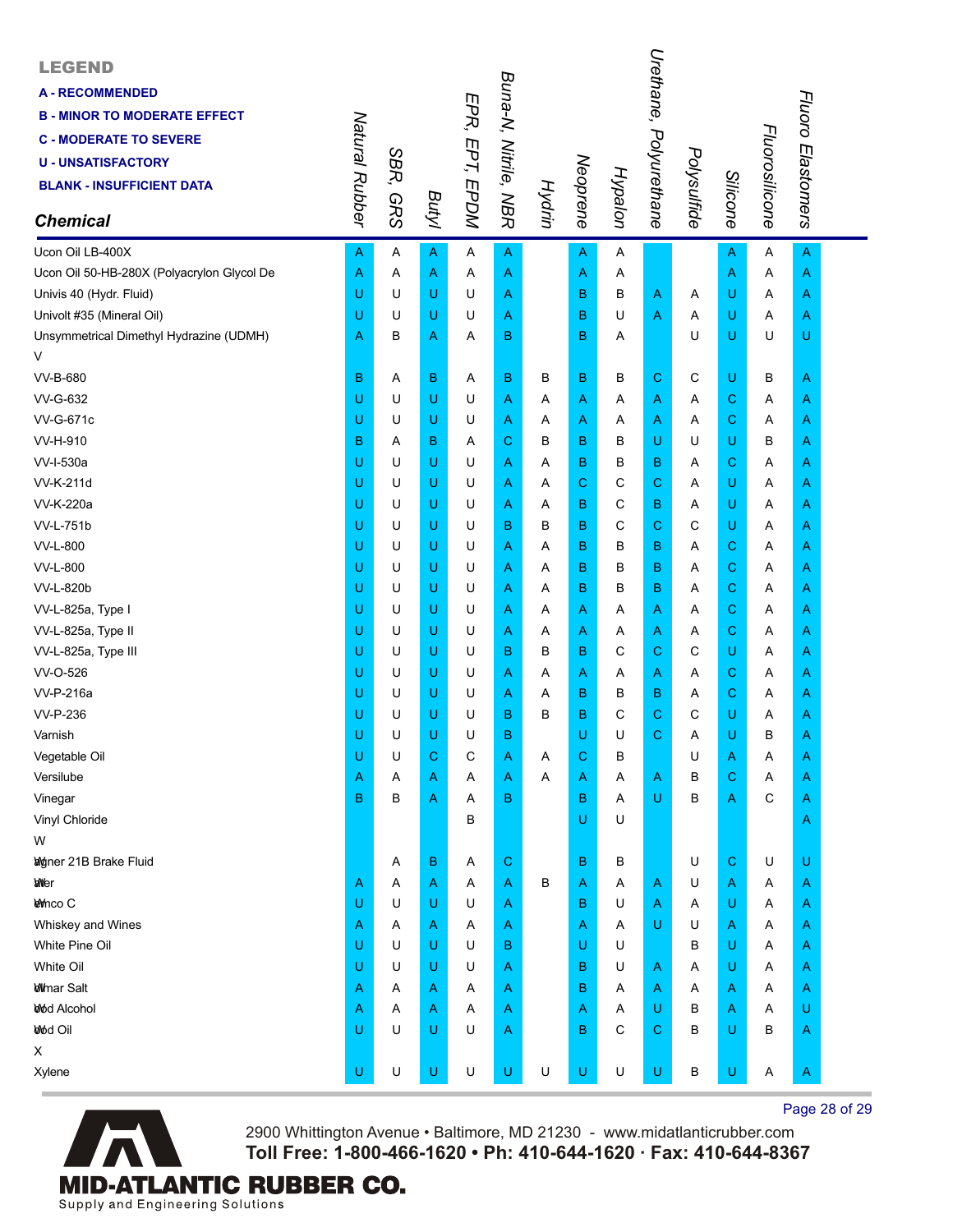| <b>LEGEND</b><br><b>A - RECOMMENDED</b><br><b>B - MINOR TO MODERATE EFFECT</b><br><b>C - MODERATE TO SEVERE</b><br><b>U-UNSATISFACTORY</b><br><b>BLANK - INSUFFICIENT DATA</b><br><b>Chemical</b> | Natural Rubber | SBR,<br><b>GRS</b> | <b>Butyl</b> | EPR, EPT, EPDM | Buna-N, Nitrile, NBR | Hydrin | Neoprene                                                                                                   | Hypalon | Urethane,<br>Polyurethane | Polysulfide | Silicone     | Fluorosilicone | Fluoro Elastomers |  |
|---------------------------------------------------------------------------------------------------------------------------------------------------------------------------------------------------|----------------|--------------------|--------------|----------------|----------------------|--------|------------------------------------------------------------------------------------------------------------|---------|---------------------------|-------------|--------------|----------------|-------------------|--|
| Ucon Oil LB-400X                                                                                                                                                                                  | A              | Α                  | A            | Α              | A                    |        | $\mathsf{A}$                                                                                               | Α       |                           |             | $\mathsf{A}$ | A              | $\overline{A}$    |  |
| Ucon Oil 50-HB-280X (Polyacrylon Glycol De                                                                                                                                                        | Α              | Α                  | Α            | Α              | Α                    |        | Α                                                                                                          | Α       |                           |             | A            | Α              | A                 |  |
| Univis 40 (Hydr. Fluid)                                                                                                                                                                           | U              | U                  | U            | U              | Α                    |        | B                                                                                                          | B       | Α                         | Α           | U            | Α              | Α                 |  |
| Univolt #35 (Mineral Oil)                                                                                                                                                                         | U              | U                  | U            | U              | Α                    |        | в                                                                                                          | U       | Α                         | Α           | U            | Α              | A                 |  |
| Unsymmetrical Dimethyl Hydrazine (UDMH)                                                                                                                                                           | Α              | в                  | Α            | Α              | в                    |        | B                                                                                                          | Α       |                           | U           | U            | U              | U                 |  |
| V                                                                                                                                                                                                 |                |                    |              |                |                      |        |                                                                                                            |         |                           |             |              |                |                   |  |
| <b>VV-B-680</b>                                                                                                                                                                                   | B              | Α                  | B            | Α              | в                    | В      | в                                                                                                          | в       | С                         | C           | U            | в              | A                 |  |
| VV-G-632                                                                                                                                                                                          | U              | U                  | U            | U              | Α                    | Α      | $\mathsf{A}$                                                                                               | Α       | Α                         | Α           | $\mathbf C$  | Α              | A                 |  |
| <b>VV-G-671c</b>                                                                                                                                                                                  | U              | U                  | U            | U              | Α                    | A      | Α                                                                                                          | Α       | Α                         | Α           | $\mathbf C$  | Α              | Α                 |  |
| VV-H-910                                                                                                                                                                                          | B              | Α                  | в            | A              | С                    | в      | в                                                                                                          | B       | U                         | U           | U            | В              | Α                 |  |
| VV-I-530a                                                                                                                                                                                         | U              | U                  | U            | U              | Α                    | Α      | B                                                                                                          | B       | В                         | Α           | $\mathbf C$  | Α              | Α                 |  |
| VV-K-211d                                                                                                                                                                                         | U              | U                  | U            | U              | A                    | Α      | $\mathbf C$                                                                                                | С       | C                         | Α           | U            | Α              | A                 |  |
| VV-K-220a                                                                                                                                                                                         | U              | U                  | U            | U              | A                    | Α      | в                                                                                                          | C       | в                         | Α           | U            | Α              | Α                 |  |
| <b>VV-L-751b</b>                                                                                                                                                                                  | U              | U                  | U            | U              | B                    | в      | B                                                                                                          | C       | $\mathbf C$               | С           | U            | Α              | Α                 |  |
| VV-L-800                                                                                                                                                                                          | U              | U                  | U            | U              | Α                    | Α      | в                                                                                                          | B       | В                         | Α           | $\mathbf C$  | Α              | Α                 |  |
| VV-L-800                                                                                                                                                                                          | U              | U                  | U            | U              | Α                    | A      | в                                                                                                          | B       | в                         | Α           | $\mathbf C$  | Α              | A                 |  |
| VV-L-820b                                                                                                                                                                                         | U              | U                  | U            | U              | Α                    | A      | в                                                                                                          | B       | в                         | Α           | $\mathbf C$  | Α              | Α                 |  |
| VV-L-825a, Type I                                                                                                                                                                                 | U              | U                  | U            | U              | A                    | Α      | $\overline{A}$                                                                                             | Α       | Α                         | Α           | $\mathbf C$  | A              | Α                 |  |
| VV-L-825a, Type II                                                                                                                                                                                | U              | U                  | U            | U              | Α                    | A      | A                                                                                                          | Α       | Α                         | A           | $\mathbf C$  | Α              | A                 |  |
| VV-L-825a, Type III                                                                                                                                                                               | U              | U                  | U            | U              | в                    | B      | в                                                                                                          | С       | C                         | С           | U            | Α              | A                 |  |
| VV-O-526                                                                                                                                                                                          | U              | U                  | U            | U              | Α                    | Α      | Α                                                                                                          | Α       | Α                         | Α           | $\mathbf C$  | Α              | Α                 |  |
| VV-P-216a                                                                                                                                                                                         | U              | U                  | U            | U              | A                    | A      | в                                                                                                          | B       | в                         | Α           | $\mathbf C$  | A              | A                 |  |
| <b>VV-P-236</b>                                                                                                                                                                                   | U              | U                  | U            | U              | B                    | в      | B                                                                                                          | С       | C                         | С           | U            | Α              | A                 |  |
| Varnish                                                                                                                                                                                           | U              | U                  | U            | U              | B                    |        | U                                                                                                          | U       | С                         | Α           | U            | в              | Α                 |  |
| Vegetable Oil                                                                                                                                                                                     | U              | U                  | С            | C              | Α                    | A      | $\mathbf C$                                                                                                | B       |                           | U           | A            | Α              | A                 |  |
| Versilube                                                                                                                                                                                         | Α              | Α                  | Α            | Α              | Α                    | A      | Α                                                                                                          | Α       | Α                         | В           | $\mathbf C$  | Α              | Α                 |  |
| Vinegar                                                                                                                                                                                           | B              | B                  | Α            | Α              | B                    |        | B                                                                                                          | Α       | U                         | B           | A            | C              | A                 |  |
| Vinyl Chloride                                                                                                                                                                                    |                |                    |              | В              |                      |        | U                                                                                                          | U       |                           |             |              |                | A                 |  |
| W                                                                                                                                                                                                 |                |                    |              |                |                      |        |                                                                                                            |         |                           |             |              |                |                   |  |
| <b>Woner 21B Brake Fluid</b>                                                                                                                                                                      |                | Α                  | В            | Α              | С                    |        | B                                                                                                          | В       |                           | U           | $\mathbf C$  | U              | U                 |  |
| <b>anter</b>                                                                                                                                                                                      | Α              | Α                  | Α            | Α              | Α                    | B      | A                                                                                                          | Α       | Α                         | U           | A            | Α              | Α                 |  |
| <b>Levinco C</b>                                                                                                                                                                                  | U              | U                  | U            | U              | Α                    |        | B                                                                                                          | U       | Α                         | Α           | U            | Α              | A                 |  |
| Whiskey and Wines                                                                                                                                                                                 | Α              | Α                  | Α            | Α              | Α                    |        | Α                                                                                                          | Α       | U                         | U           | A            | Α              | Α                 |  |
| White Pine Oil                                                                                                                                                                                    | U              | U                  | U            | U              | в                    |        | U                                                                                                          | U       |                           | в           | U            | Α              | Α                 |  |
| White Oil                                                                                                                                                                                         | U              | U                  | U            | U              | Α                    |        | B                                                                                                          | U       | Α                         | A           | U            | Α              | Α                 |  |
| <b>Whener Salt</b>                                                                                                                                                                                | Α              | A                  | Α            | Α              | Α                    |        | B                                                                                                          | Α       | Α                         | Α           | A            | Α              | A                 |  |
| <b>Wod Alcohol</b>                                                                                                                                                                                | Α              | Α                  | Α            | Α              | Α                    |        | Α                                                                                                          | Α       | U                         | В           | A            | Α              | U                 |  |
| <b>Wod Oil</b>                                                                                                                                                                                    | U              | U                  | U            | U              | Α                    |        | B                                                                                                          | C       | C                         | В           | U            | в              | A                 |  |
| X                                                                                                                                                                                                 |                |                    |              |                |                      |        |                                                                                                            |         |                           |             |              |                |                   |  |
| Xylene                                                                                                                                                                                            | U              | U                  | U            | U              | U                    | U      | $\mathsf{U}% _{T}=\mathsf{U}_{T}\!\left( a,b\right) ,\ \mathsf{U}_{T}=\mathsf{U}_{T}\!\left( a,b\right) ,$ | U       | U                         | B           | U            | Α              | A                 |  |